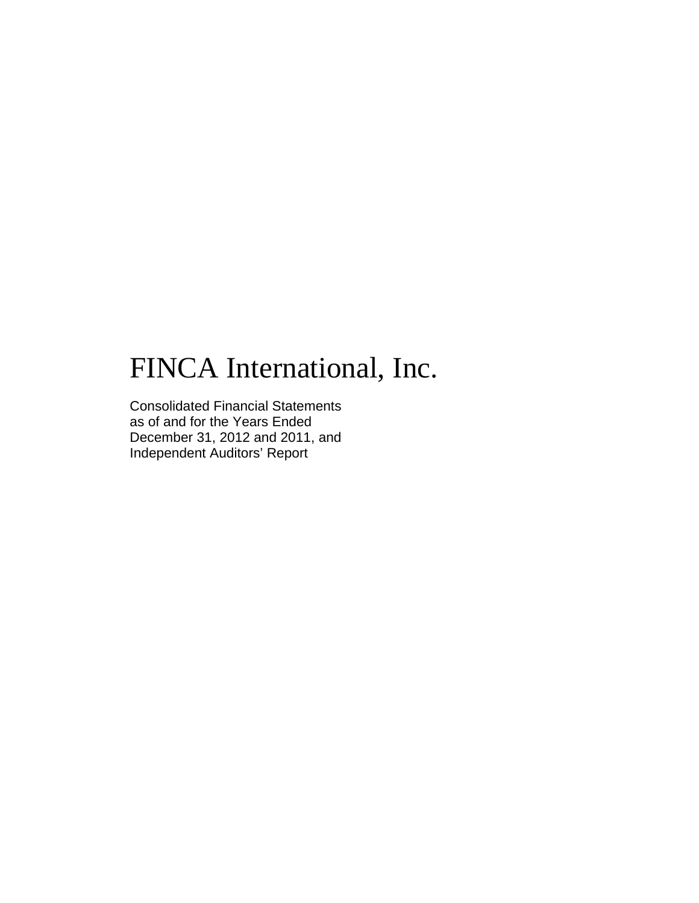## FINCA International, Inc.

Consolidated Financial Statements as of and for the Years Ended December 31, 2012 and 2011, and Independent Auditors' Report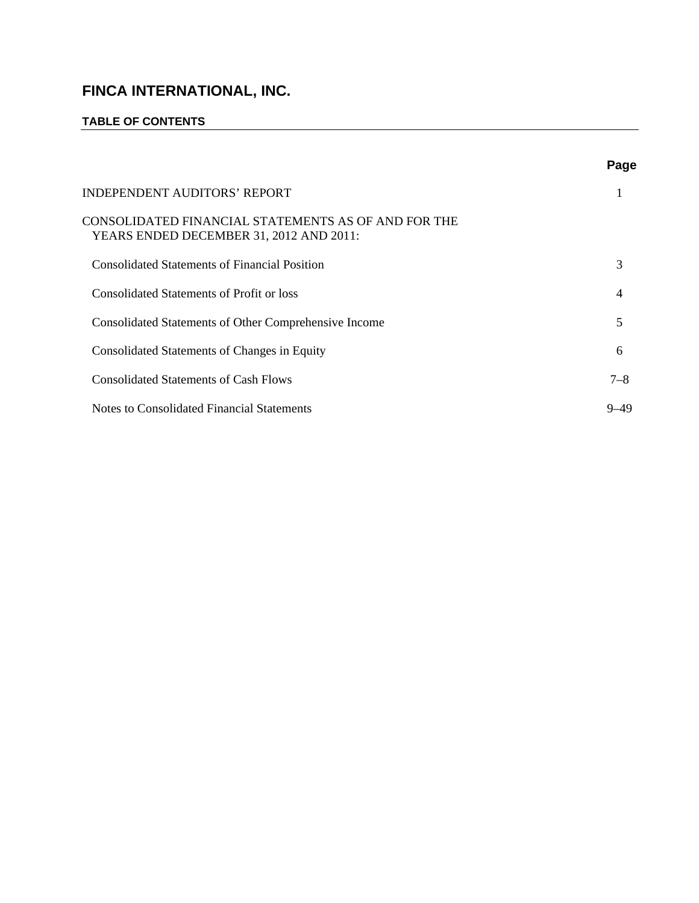#### **TABLE OF CONTENTS**

|                                                                                                | Page           |
|------------------------------------------------------------------------------------------------|----------------|
| <b>INDEPENDENT AUDITORS' REPORT</b>                                                            | 1              |
| CONSOLIDATED FINANCIAL STATEMENTS AS OF AND FOR THE<br>YEARS ENDED DECEMBER 31, 2012 AND 2011: |                |
| <b>Consolidated Statements of Financial Position</b>                                           | 3              |
| Consolidated Statements of Profit or loss                                                      | $\overline{4}$ |
| Consolidated Statements of Other Comprehensive Income                                          | 5              |
| Consolidated Statements of Changes in Equity                                                   | 6              |
| <b>Consolidated Statements of Cash Flows</b>                                                   | $7 - 8$        |
| Notes to Consolidated Financial Statements                                                     | $9 - 49$       |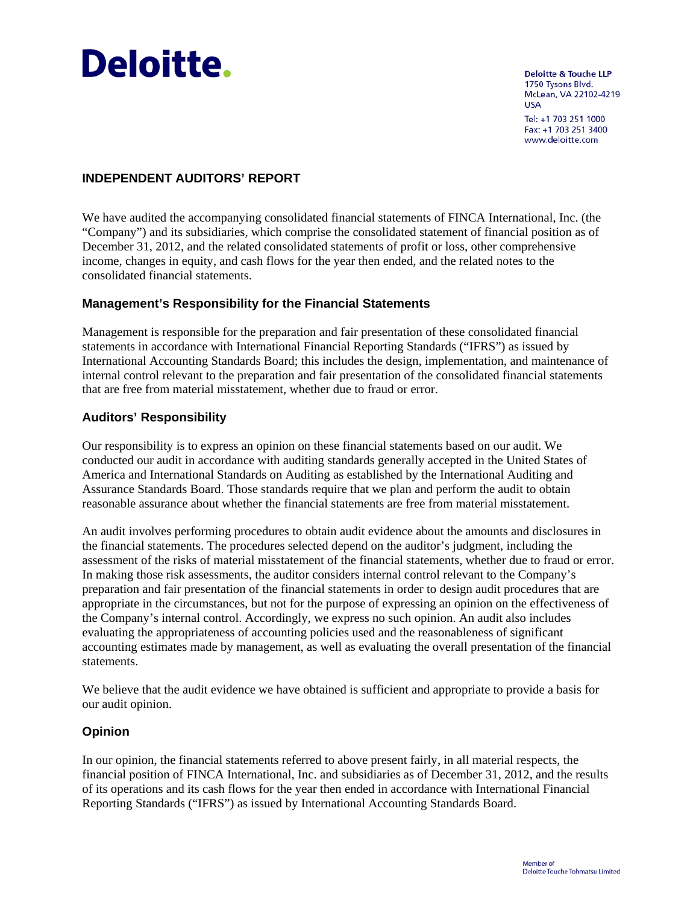# **Deloitte.**

**Deloitte & Touche LLP** 1750 Tysons Blvd. McLean, VA 22102-4219 **LISA** Tel: +1 703 251 1000 Fax: +1 703 251 3400 www.deloitte.com

#### **INDEPENDENT AUDITORS' REPORT**

We have audited the accompanying consolidated financial statements of FINCA International, Inc. (the "Company") and its subsidiaries, which comprise the consolidated statement of financial position as of December 31, 2012, and the related consolidated statements of profit or loss, other comprehensive income, changes in equity, and cash flows for the year then ended, and the related notes to the consolidated financial statements.

#### **Management's Responsibility for the Financial Statements**

Management is responsible for the preparation and fair presentation of these consolidated financial statements in accordance with International Financial Reporting Standards ("IFRS") as issued by International Accounting Standards Board; this includes the design, implementation, and maintenance of internal control relevant to the preparation and fair presentation of the consolidated financial statements that are free from material misstatement, whether due to fraud or error.

#### **Auditors' Responsibility**

Our responsibility is to express an opinion on these financial statements based on our audit. We conducted our audit in accordance with auditing standards generally accepted in the United States of America and International Standards on Auditing as established by the International Auditing and Assurance Standards Board. Those standards require that we plan and perform the audit to obtain reasonable assurance about whether the financial statements are free from material misstatement.

An audit involves performing procedures to obtain audit evidence about the amounts and disclosures in the financial statements. The procedures selected depend on the auditor's judgment, including the assessment of the risks of material misstatement of the financial statements, whether due to fraud or error. In making those risk assessments, the auditor considers internal control relevant to the Company's preparation and fair presentation of the financial statements in order to design audit procedures that are appropriate in the circumstances, but not for the purpose of expressing an opinion on the effectiveness of the Company's internal control. Accordingly, we express no such opinion. An audit also includes evaluating the appropriateness of accounting policies used and the reasonableness of significant accounting estimates made by management, as well as evaluating the overall presentation of the financial statements.

We believe that the audit evidence we have obtained is sufficient and appropriate to provide a basis for our audit opinion.

#### **Opinion**

In our opinion, the financial statements referred to above present fairly, in all material respects, the financial position of FINCA International, Inc. and subsidiaries as of December 31, 2012, and the results of its operations and its cash flows for the year then ended in accordance with International Financial Reporting Standards ("IFRS") as issued by International Accounting Standards Board.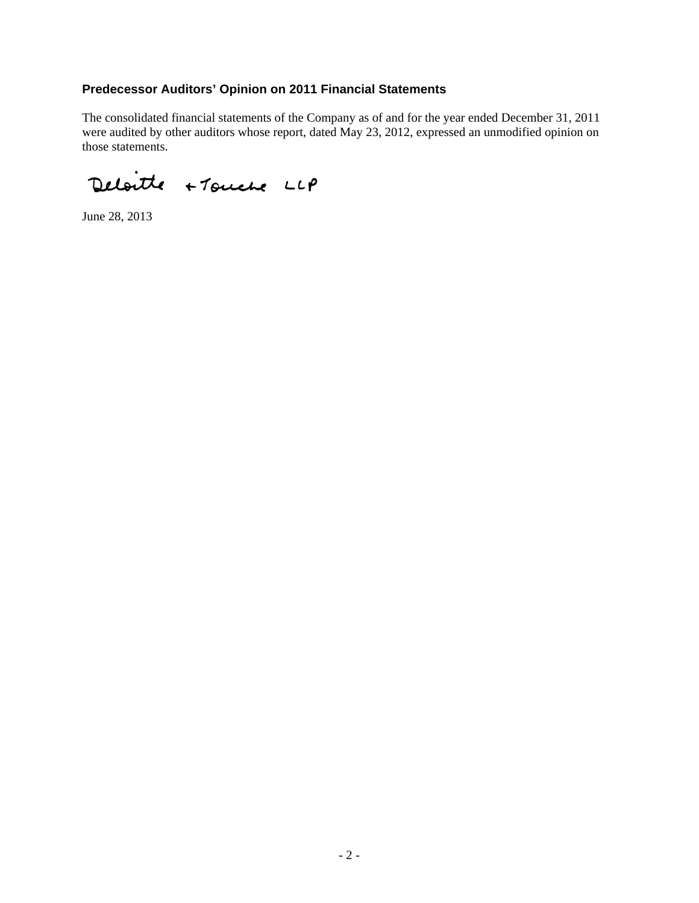#### **Predecessor Auditors' Opinion on 2011 Financial Statements**

The consolidated financial statements of the Company as of and for the year ended December 31, 2011 were audited by other auditors whose report, dated May 23, 2012, expressed an unmodified opinion on those statements.

Deloitte + Touche LLP

June 28, 2013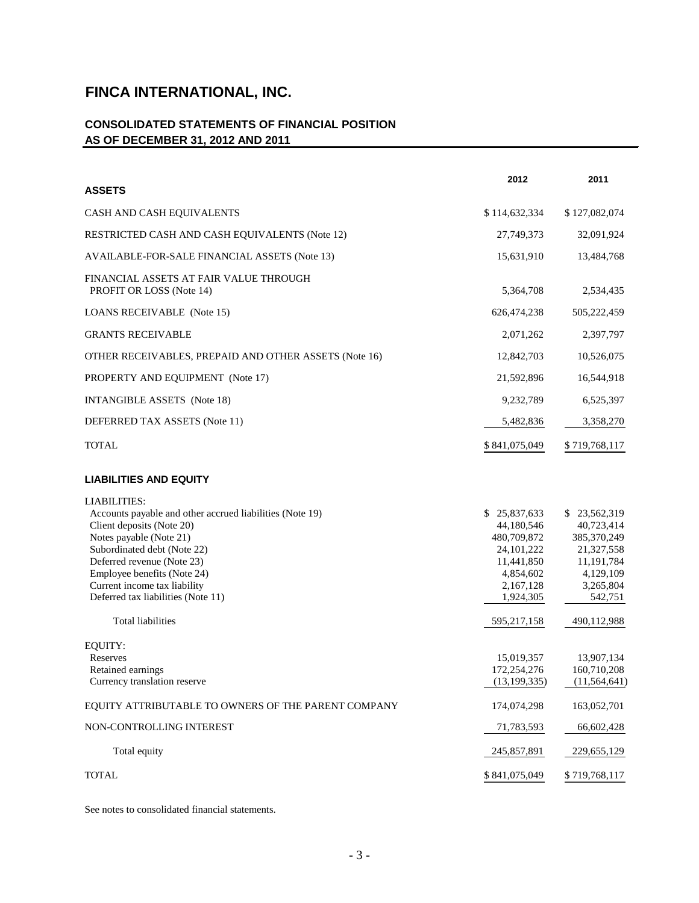#### **CONSOLIDATED STATEMENTS OF FINANCIAL POSITION AS OF DECEMBER 31, 2012 AND 2011**

|                                                                                                                                                                                                                                                                                                           | 2012                                                                                                           | 2011                                                                                                       |
|-----------------------------------------------------------------------------------------------------------------------------------------------------------------------------------------------------------------------------------------------------------------------------------------------------------|----------------------------------------------------------------------------------------------------------------|------------------------------------------------------------------------------------------------------------|
| <b>ASSETS</b>                                                                                                                                                                                                                                                                                             |                                                                                                                |                                                                                                            |
| CASH AND CASH EQUIVALENTS                                                                                                                                                                                                                                                                                 | \$114,632,334                                                                                                  | \$127,082,074                                                                                              |
| RESTRICTED CASH AND CASH EQUIVALENTS (Note 12)                                                                                                                                                                                                                                                            | 27,749,373                                                                                                     | 32,091,924                                                                                                 |
| AVAILABLE-FOR-SALE FINANCIAL ASSETS (Note 13)                                                                                                                                                                                                                                                             | 15,631,910                                                                                                     | 13,484,768                                                                                                 |
| FINANCIAL ASSETS AT FAIR VALUE THROUGH<br>PROFIT OR LOSS (Note 14)                                                                                                                                                                                                                                        | 5,364,708                                                                                                      | 2,534,435                                                                                                  |
| <b>LOANS RECEIVABLE</b> (Note 15)                                                                                                                                                                                                                                                                         | 626,474,238                                                                                                    | 505,222,459                                                                                                |
| <b>GRANTS RECEIVABLE</b>                                                                                                                                                                                                                                                                                  | 2,071,262                                                                                                      | 2,397,797                                                                                                  |
| OTHER RECEIVABLES, PREPAID AND OTHER ASSETS (Note 16)                                                                                                                                                                                                                                                     | 12,842,703                                                                                                     | 10,526,075                                                                                                 |
| PROPERTY AND EQUIPMENT (Note 17)                                                                                                                                                                                                                                                                          | 21,592,896                                                                                                     | 16,544,918                                                                                                 |
| <b>INTANGIBLE ASSETS</b> (Note 18)                                                                                                                                                                                                                                                                        | 9,232,789                                                                                                      | 6,525,397                                                                                                  |
| DEFERRED TAX ASSETS (Note 11)                                                                                                                                                                                                                                                                             | 5,482,836                                                                                                      | 3,358,270                                                                                                  |
| <b>TOTAL</b>                                                                                                                                                                                                                                                                                              | \$841,075,049                                                                                                  | \$719,768,117                                                                                              |
| <b>LIABILITIES AND EQUITY</b>                                                                                                                                                                                                                                                                             |                                                                                                                |                                                                                                            |
| <b>LIABILITIES:</b><br>Accounts payable and other accrued liabilities (Note 19)<br>Client deposits (Note 20)<br>Notes payable (Note 21)<br>Subordinated debt (Note 22)<br>Deferred revenue (Note 23)<br>Employee benefits (Note 24)<br>Current income tax liability<br>Deferred tax liabilities (Note 11) | \$25,837,633<br>44,180,546<br>480,709,872<br>24, 101, 222<br>11,441,850<br>4,854,602<br>2,167,128<br>1,924,305 | \$23,562,319<br>40,723,414<br>385,370,249<br>21,327,558<br>11,191,784<br>4,129,109<br>3,265,804<br>542,751 |
| <b>Total liabilities</b>                                                                                                                                                                                                                                                                                  | 595,217,158                                                                                                    | 490,112,988                                                                                                |
| EQUITY:<br>Reserves<br>Retained earnings<br>Currency translation reserve                                                                                                                                                                                                                                  | 15,019,357<br>172,254,276<br>(13, 199, 335)                                                                    | 13,907,134<br>160,710,208<br>(11, 564, 641)                                                                |
| EQUITY ATTRIBUTABLE TO OWNERS OF THE PARENT COMPANY                                                                                                                                                                                                                                                       | 174,074,298                                                                                                    | 163,052,701                                                                                                |
| NON-CONTROLLING INTEREST                                                                                                                                                                                                                                                                                  | 71,783,593                                                                                                     | 66,602,428                                                                                                 |
| Total equity                                                                                                                                                                                                                                                                                              | 245,857,891                                                                                                    | 229,655,129                                                                                                |
| <b>TOTAL</b>                                                                                                                                                                                                                                                                                              | \$841,075,049                                                                                                  | \$719,768,117                                                                                              |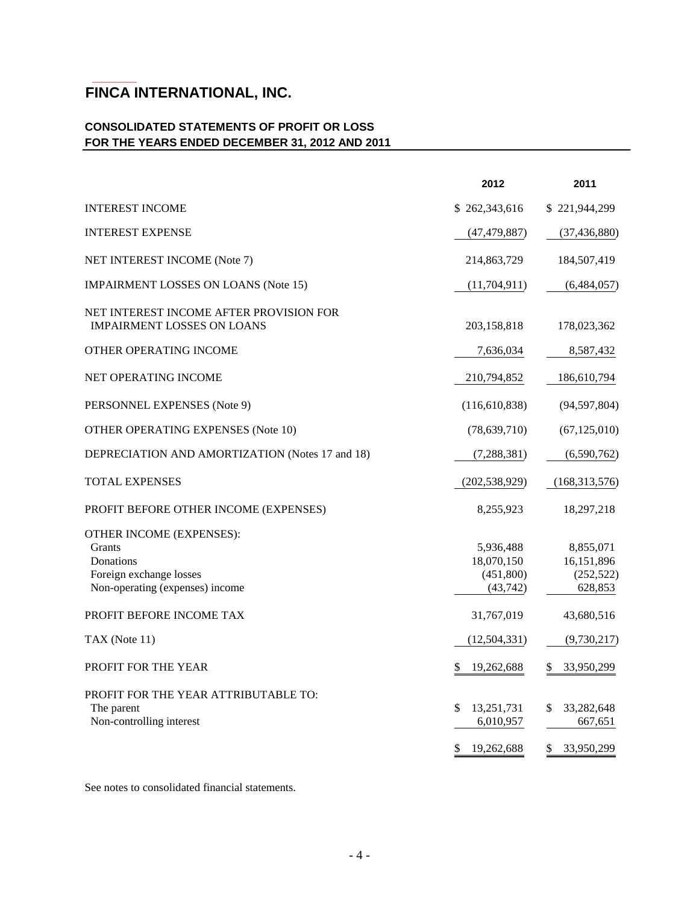#### **CONSOLIDATED STATEMENTS OF PROFIT OR LOSS FOR THE YEARS ENDED DECEMBER 31, 2012 AND 2011**

|                                                                                                               | 2012                                              | 2011                                             |
|---------------------------------------------------------------------------------------------------------------|---------------------------------------------------|--------------------------------------------------|
| <b>INTEREST INCOME</b>                                                                                        | \$262,343,616                                     | \$221,944,299                                    |
| <b>INTEREST EXPENSE</b>                                                                                       | (47, 479, 887)                                    | (37, 436, 880)                                   |
| NET INTEREST INCOME (Note 7)                                                                                  | 214,863,729                                       | 184,507,419                                      |
| <b>IMPAIRMENT LOSSES ON LOANS (Note 15)</b>                                                                   | (11,704,911)                                      | (6,484,057)                                      |
| NET INTEREST INCOME AFTER PROVISION FOR<br><b>IMPAIRMENT LOSSES ON LOANS</b>                                  | 203,158,818                                       | 178,023,362                                      |
| OTHER OPERATING INCOME                                                                                        | 7,636,034                                         | 8,587,432                                        |
| <b>NET OPERATING INCOME</b>                                                                                   | 210,794,852                                       | 186,610,794                                      |
| PERSONNEL EXPENSES (Note 9)                                                                                   | (116,610,838)                                     | (94, 597, 804)                                   |
| <b>OTHER OPERATING EXPENSES (Note 10)</b>                                                                     | (78, 639, 710)                                    | (67, 125, 010)                                   |
| DEPRECIATION AND AMORTIZATION (Notes 17 and 18)                                                               | (7, 288, 381)                                     | (6,590,762)                                      |
| <b>TOTAL EXPENSES</b>                                                                                         | (202, 538, 929)                                   | (168, 313, 576)                                  |
| PROFIT BEFORE OTHER INCOME (EXPENSES)                                                                         | 8,255,923                                         | 18,297,218                                       |
| OTHER INCOME (EXPENSES):<br>Grants<br>Donations<br>Foreign exchange losses<br>Non-operating (expenses) income | 5,936,488<br>18,070,150<br>(451,800)<br>(43,742)  | 8,855,071<br>16,151,896<br>(252, 522)<br>628,853 |
| PROFIT BEFORE INCOME TAX                                                                                      | 31,767,019                                        | 43,680,516                                       |
| TAX (Note 11)                                                                                                 | (12,504,331)                                      | (9,730,217)                                      |
| <b>PROFIT FOR THE YEAR</b>                                                                                    | 19,262,688<br>S                                   | \$<br>33,950,299                                 |
| PROFIT FOR THE YEAR ATTRIBUTABLE TO:<br>The parent<br>Non-controlling interest                                | \$<br>13,251,731<br>6,010,957<br>\$<br>19,262,688 | 33,282,648<br>\$<br>667,651<br>\$<br>33,950,299  |
|                                                                                                               |                                                   |                                                  |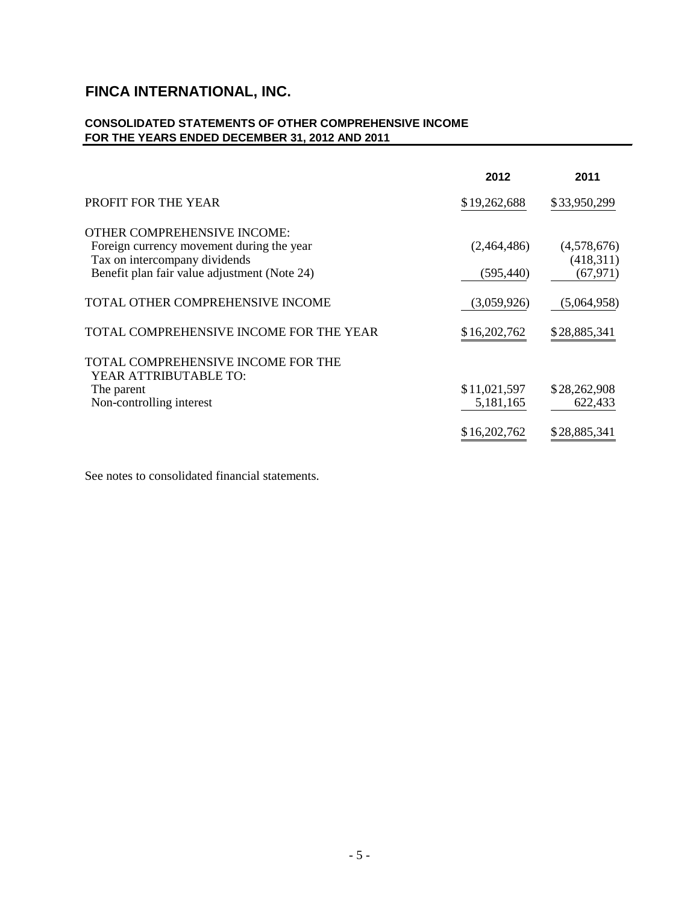#### **CONSOLIDATED STATEMENTS OF OTHER COMPREHENSIVE INCOME FOR THE YEARS ENDED DECEMBER 31, 2012 AND 2011**

|                                                                                                                                                           | 2012                      | 2011                                  |
|-----------------------------------------------------------------------------------------------------------------------------------------------------------|---------------------------|---------------------------------------|
| PROFIT FOR THE YEAR                                                                                                                                       | \$19,262,688              | \$33,950,299                          |
| OTHER COMPREHENSIVE INCOME:<br>Foreign currency movement during the year<br>Tax on intercompany dividends<br>Benefit plan fair value adjustment (Note 24) | (2,464,486)<br>(595, 440) | (4,578,676)<br>(418,311)<br>(67, 971) |
| TOTAL OTHER COMPREHENSIVE INCOME                                                                                                                          | (3,059,926)               | (5,064,958)                           |
| TOTAL COMPREHENSIVE INCOME FOR THE YEAR                                                                                                                   | \$16,202,762              | \$28,885,341                          |
| TOTAL COMPREHENSIVE INCOME FOR THE<br>YEAR ATTRIBUTABLE TO:<br>The parent<br>Non-controlling interest                                                     | \$11,021,597<br>5,181,165 | \$28,262,908<br>622,433               |
|                                                                                                                                                           | \$16,202,762              | \$28,885,341                          |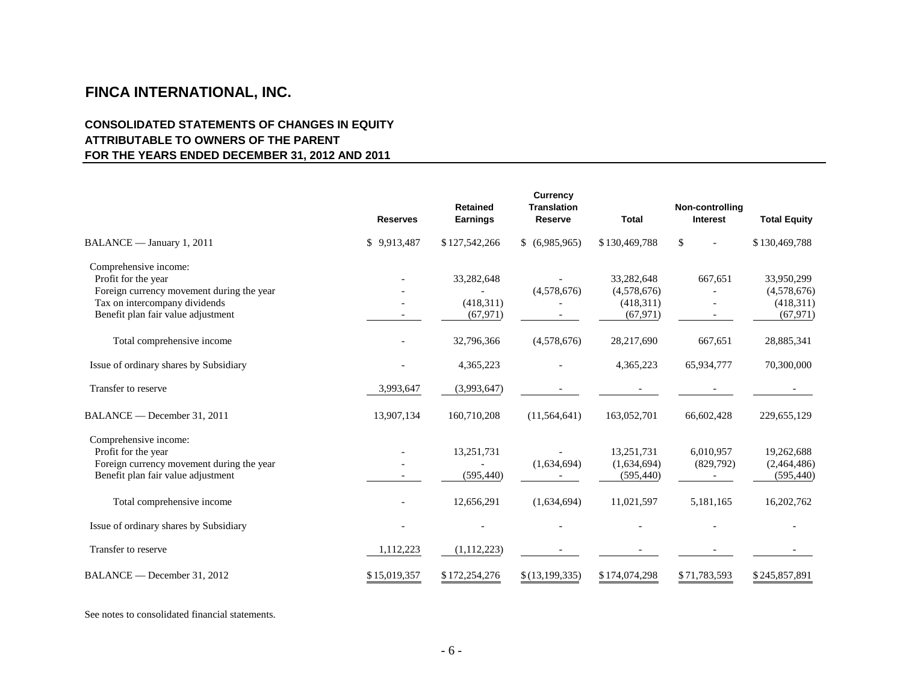#### **CONSOLIDATED STATEMENTS OF CHANGES IN EQUITY ATTRIBUTABLE TO OWNERS OF THE PARENT FOR THE YEARS ENDED DECEMBER 31, 2012 AND 2011**

|                                           | <b>Reserves</b> | <b>Retained</b><br><b>Earnings</b> | <b>Currency</b><br><b>Translation</b><br><b>Reserve</b> | <b>Total</b>  | Non-controlling<br><b>Interest</b> | <b>Total Equity</b> |
|-------------------------------------------|-----------------|------------------------------------|---------------------------------------------------------|---------------|------------------------------------|---------------------|
| BALANCE - January 1, 2011                 | \$9,913,487     | \$127,542,266                      | \$ (6,985,965)                                          | \$130,469,788 | \$                                 | \$130,469,788       |
| Comprehensive income:                     |                 |                                    |                                                         |               |                                    |                     |
| Profit for the year                       |                 | 33,282,648                         |                                                         | 33,282,648    | 667,651                            | 33,950,299          |
| Foreign currency movement during the year |                 |                                    | (4,578,676)                                             | (4,578,676)   |                                    | (4,578,676)         |
| Tax on intercompany dividends             |                 | (418,311)                          |                                                         | (418,311)     |                                    | (418,311)           |
| Benefit plan fair value adjustment        |                 | (67, 971)                          |                                                         | (67, 971)     |                                    | (67, 971)           |
| Total comprehensive income                |                 | 32,796,366                         | (4,578,676)                                             | 28,217,690    | 667,651                            | 28,885,341          |
| Issue of ordinary shares by Subsidiary    |                 | 4,365,223                          |                                                         | 4,365,223     | 65,934,777                         | 70,300,000          |
| Transfer to reserve                       | 3,993,647       | (3,993,647)                        |                                                         |               |                                    |                     |
| BALANCE — December 31, 2011               | 13,907,134      | 160,710,208                        | (11, 564, 641)                                          | 163,052,701   | 66,602,428                         | 229,655,129         |
| Comprehensive income:                     |                 |                                    |                                                         |               |                                    |                     |
| Profit for the year                       |                 | 13,251,731                         |                                                         | 13,251,731    | 6,010,957                          | 19,262,688          |
| Foreign currency movement during the year |                 |                                    | (1,634,694)                                             | (1,634,694)   | (829,792)                          | (2,464,486)         |
| Benefit plan fair value adjustment        |                 | (595, 440)                         |                                                         | (595, 440)    |                                    | (595, 440)          |
| Total comprehensive income                |                 | 12,656,291                         | (1,634,694)                                             | 11,021,597    | 5,181,165                          | 16,202,762          |
| Issue of ordinary shares by Subsidiary    |                 |                                    |                                                         |               |                                    |                     |
| Transfer to reserve                       | 1,112,223       | (1,112,223)                        |                                                         |               |                                    |                     |
| BALANCE — December 31, 2012               | \$15,019,357    | \$172,254,276                      | \$(13,199,335)                                          | \$174,074,298 | \$71,783,593                       | \$245,857,891       |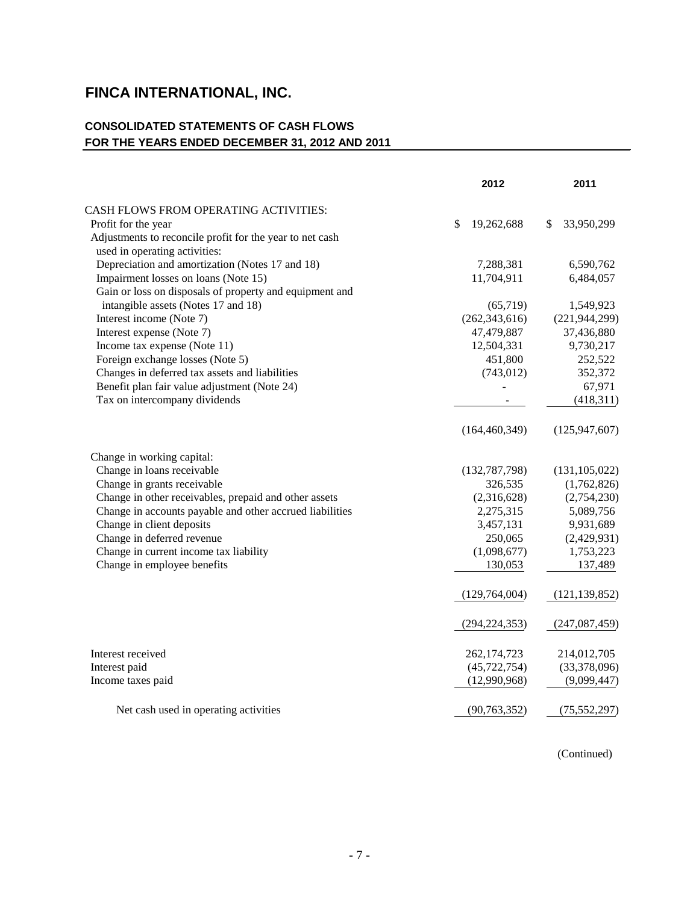#### **CONSOLIDATED STATEMENTS OF CASH FLOWS FOR THE YEARS ENDED DECEMBER 31, 2012 AND 2011**

|                                                          | 2012             | 2011             |
|----------------------------------------------------------|------------------|------------------|
| <b>CASH FLOWS FROM OPERATING ACTIVITIES:</b>             |                  |                  |
| Profit for the year                                      | \$<br>19,262,688 | 33,950,299<br>S. |
| Adjustments to reconcile profit for the year to net cash |                  |                  |
| used in operating activities:                            |                  |                  |
| Depreciation and amortization (Notes 17 and 18)          | 7,288,381        | 6,590,762        |
| Impairment losses on loans (Note 15)                     | 11,704,911       | 6,484,057        |
| Gain or loss on disposals of property and equipment and  |                  |                  |
| intangible assets (Notes 17 and 18)                      | (65,719)         | 1,549,923        |
| Interest income (Note 7)                                 | (262, 343, 616)  | (221, 944, 299)  |
| Interest expense (Note 7)                                | 47,479,887       | 37,436,880       |
| Income tax expense (Note 11)                             | 12,504,331       | 9,730,217        |
| Foreign exchange losses (Note 5)                         | 451,800          | 252,522          |
| Changes in deferred tax assets and liabilities           | (743, 012)       | 352,372          |
| Benefit plan fair value adjustment (Note 24)             |                  | 67,971           |
| Tax on intercompany dividends                            |                  | (418, 311)       |
|                                                          | (164, 460, 349)  | (125, 947, 607)  |
| Change in working capital:                               |                  |                  |
| Change in loans receivable                               | (132, 787, 798)  | (131, 105, 022)  |
| Change in grants receivable                              | 326,535          | (1,762,826)      |
| Change in other receivables, prepaid and other assets    | (2,316,628)      | (2,754,230)      |
| Change in accounts payable and other accrued liabilities | 2,275,315        | 5,089,756        |
| Change in client deposits                                | 3,457,131        | 9,931,689        |
| Change in deferred revenue                               | 250,065          | (2,429,931)      |
| Change in current income tax liability                   | (1,098,677)      | 1,753,223        |
| Change in employee benefits                              | 130,053          | 137,489          |
|                                                          | (129,764,004)    | (121, 139, 852)  |
|                                                          | (294, 224, 353)  | (247, 087, 459)  |
| Interest received                                        | 262,174,723      | 214,012,705      |
| Interest paid                                            | (45, 722, 754)   | (33,378,096)     |
| Income taxes paid                                        | (12,990,968)     | (9,099,447)      |
| Net cash used in operating activities                    | (90, 763, 352)   | (75, 552, 297)   |
|                                                          |                  |                  |

(Continued)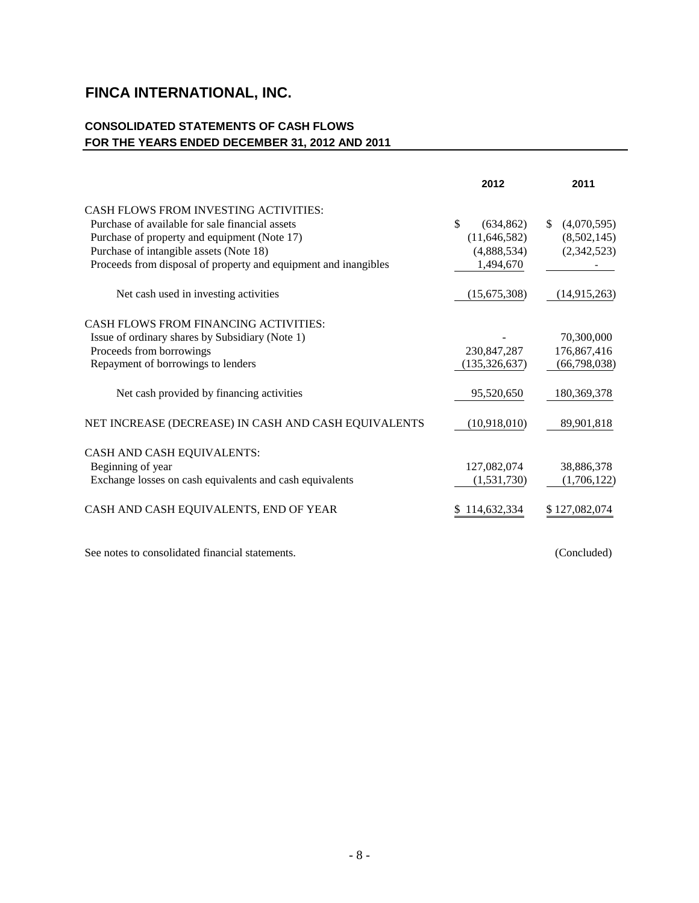#### **CONSOLIDATED STATEMENTS OF CASH FLOWS FOR THE YEARS ENDED DECEMBER 31, 2012 AND 2011**

|                                                                 | 2012                        | 2011              |
|-----------------------------------------------------------------|-----------------------------|-------------------|
| <b>CASH FLOWS FROM INVESTING ACTIVITIES:</b>                    |                             |                   |
| Purchase of available for sale financial assets                 | <sup>\$</sup><br>(634, 862) | (4,070,595)<br>S. |
| Purchase of property and equipment (Note 17)                    | (11,646,582)                | (8,502,145)       |
| Purchase of intangible assets (Note 18)                         | (4,888,534)                 | (2,342,523)       |
| Proceeds from disposal of property and equipment and inangibles | 1,494,670                   |                   |
| Net cash used in investing activities                           | (15,675,308)                | (14,915,263)      |
| <b>CASH FLOWS FROM FINANCING ACTIVITIES:</b>                    |                             |                   |
| Issue of ordinary shares by Subsidiary (Note 1)                 |                             | 70,300,000        |
| Proceeds from borrowings                                        | 230,847,287                 | 176,867,416       |
| Repayment of borrowings to lenders                              | (135, 326, 637)             | (66,798,038)      |
| Net cash provided by financing activities                       | 95,520,650                  | 180, 369, 378     |
| NET INCREASE (DECREASE) IN CASH AND CASH EQUIVALENTS            | (10,918,010)                | 89,901,818        |
| CASH AND CASH EQUIVALENTS:                                      |                             |                   |
| Beginning of year                                               | 127,082,074                 | 38,886,378        |
| Exchange losses on cash equivalents and cash equivalents        | (1,531,730)                 | (1,706,122)       |
| CASH AND CASH EQUIVALENTS, END OF YEAR                          | 114,632,334                 | \$127,082,074     |
|                                                                 |                             |                   |

See notes to consolidated financial statements. (Concluded)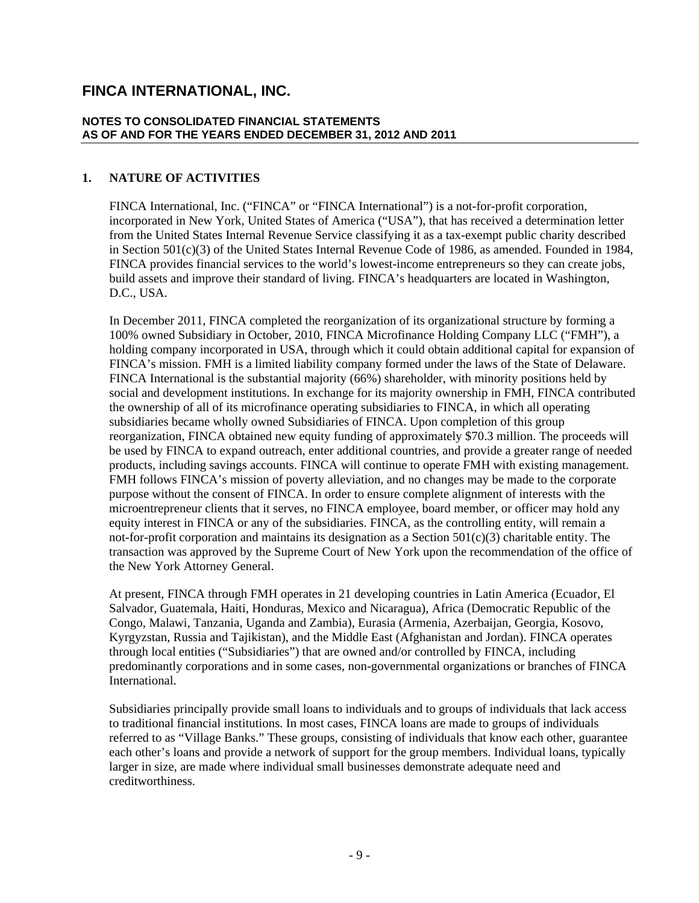#### **NOTES TO CONSOLIDATED FINANCIAL STATEMENTS AS OF AND FOR THE YEARS ENDED DECEMBER 31, 2012 AND 2011**

#### **1. NATURE OF ACTIVITIES**

FINCA International, Inc. ("FINCA" or "FINCA International") is a not-for-profit corporation, incorporated in New York, United States of America ("USA"), that has received a determination letter from the United States Internal Revenue Service classifying it as a tax-exempt public charity described in Section 501(c)(3) of the United States Internal Revenue Code of 1986, as amended. Founded in 1984, FINCA provides financial services to the world's lowest-income entrepreneurs so they can create jobs, build assets and improve their standard of living. FINCA's headquarters are located in Washington, D.C., USA.

In December 2011, FINCA completed the reorganization of its organizational structure by forming a 100% owned Subsidiary in October, 2010, FINCA Microfinance Holding Company LLC ("FMH"), a holding company incorporated in USA, through which it could obtain additional capital for expansion of FINCA's mission. FMH is a limited liability company formed under the laws of the State of Delaware. FINCA International is the substantial majority (66%) shareholder, with minority positions held by social and development institutions. In exchange for its majority ownership in FMH, FINCA contributed the ownership of all of its microfinance operating subsidiaries to FINCA, in which all operating subsidiaries became wholly owned Subsidiaries of FINCA. Upon completion of this group reorganization, FINCA obtained new equity funding of approximately \$70.3 million. The proceeds will be used by FINCA to expand outreach, enter additional countries, and provide a greater range of needed products, including savings accounts. FINCA will continue to operate FMH with existing management. FMH follows FINCA's mission of poverty alleviation, and no changes may be made to the corporate purpose without the consent of FINCA. In order to ensure complete alignment of interests with the microentrepreneur clients that it serves, no FINCA employee, board member, or officer may hold any equity interest in FINCA or any of the subsidiaries. FINCA, as the controlling entity, will remain a not-for-profit corporation and maintains its designation as a Section  $501(c)(3)$  charitable entity. The transaction was approved by the Supreme Court of New York upon the recommendation of the office of the New York Attorney General.

At present, FINCA through FMH operates in 21 developing countries in Latin America (Ecuador, El Salvador, Guatemala, Haiti, Honduras, Mexico and Nicaragua), Africa (Democratic Republic of the Congo, Malawi, Tanzania, Uganda and Zambia), Eurasia (Armenia, Azerbaijan, Georgia, Kosovo, Kyrgyzstan, Russia and Tajikistan), and the Middle East (Afghanistan and Jordan). FINCA operates through local entities ("Subsidiaries") that are owned and/or controlled by FINCA, including predominantly corporations and in some cases, non-governmental organizations or branches of FINCA International.

Subsidiaries principally provide small loans to individuals and to groups of individuals that lack access to traditional financial institutions. In most cases, FINCA loans are made to groups of individuals referred to as "Village Banks." These groups, consisting of individuals that know each other, guarantee each other's loans and provide a network of support for the group members. Individual loans, typically larger in size, are made where individual small businesses demonstrate adequate need and creditworthiness.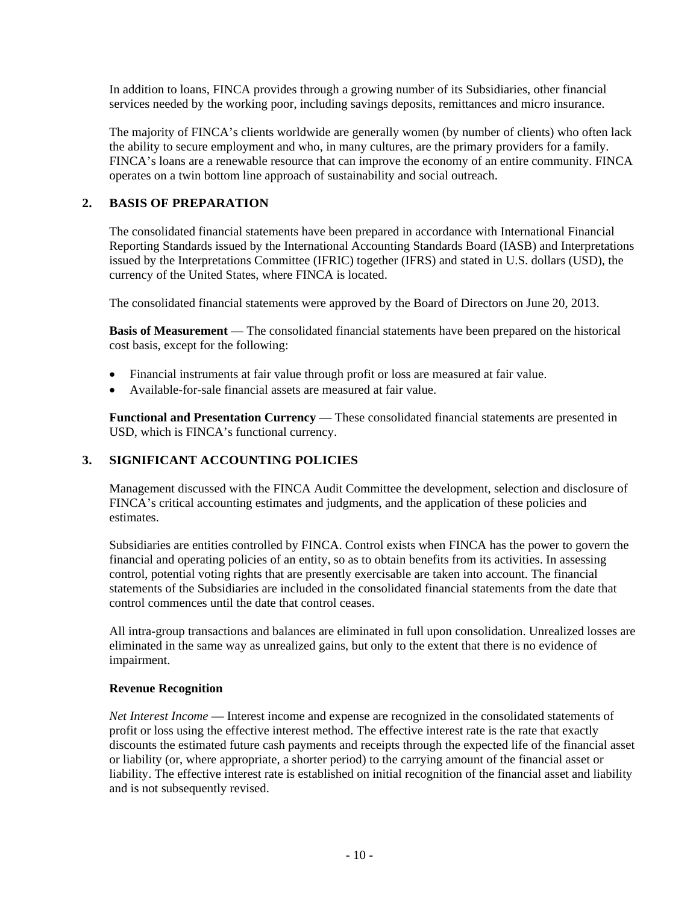In addition to loans, FINCA provides through a growing number of its Subsidiaries, other financial services needed by the working poor, including savings deposits, remittances and micro insurance.

The majority of FINCA's clients worldwide are generally women (by number of clients) who often lack the ability to secure employment and who, in many cultures, are the primary providers for a family. FINCA's loans are a renewable resource that can improve the economy of an entire community. FINCA operates on a twin bottom line approach of sustainability and social outreach.

#### **2. BASIS OF PREPARATION**

The consolidated financial statements have been prepared in accordance with International Financial Reporting Standards issued by the International Accounting Standards Board (IASB) and Interpretations issued by the Interpretations Committee (IFRIC) together (IFRS) and stated in U.S. dollars (USD), the currency of the United States, where FINCA is located.

The consolidated financial statements were approved by the Board of Directors on June 20, 2013.

**Basis of Measurement** — The consolidated financial statements have been prepared on the historical cost basis, except for the following:

- Financial instruments at fair value through profit or loss are measured at fair value.
- Available-for-sale financial assets are measured at fair value.

**Functional and Presentation Currency** — These consolidated financial statements are presented in USD, which is FINCA's functional currency.

#### **3. SIGNIFICANT ACCOUNTING POLICIES**

Management discussed with the FINCA Audit Committee the development, selection and disclosure of FINCA's critical accounting estimates and judgments, and the application of these policies and estimates.

Subsidiaries are entities controlled by FINCA. Control exists when FINCA has the power to govern the financial and operating policies of an entity, so as to obtain benefits from its activities. In assessing control, potential voting rights that are presently exercisable are taken into account. The financial statements of the Subsidiaries are included in the consolidated financial statements from the date that control commences until the date that control ceases.

All intra-group transactions and balances are eliminated in full upon consolidation. Unrealized losses are eliminated in the same way as unrealized gains, but only to the extent that there is no evidence of impairment.

#### **Revenue Recognition**

*Net Interest Income* — Interest income and expense are recognized in the consolidated statements of profit or loss using the effective interest method. The effective interest rate is the rate that exactly discounts the estimated future cash payments and receipts through the expected life of the financial asset or liability (or, where appropriate, a shorter period) to the carrying amount of the financial asset or liability. The effective interest rate is established on initial recognition of the financial asset and liability and is not subsequently revised.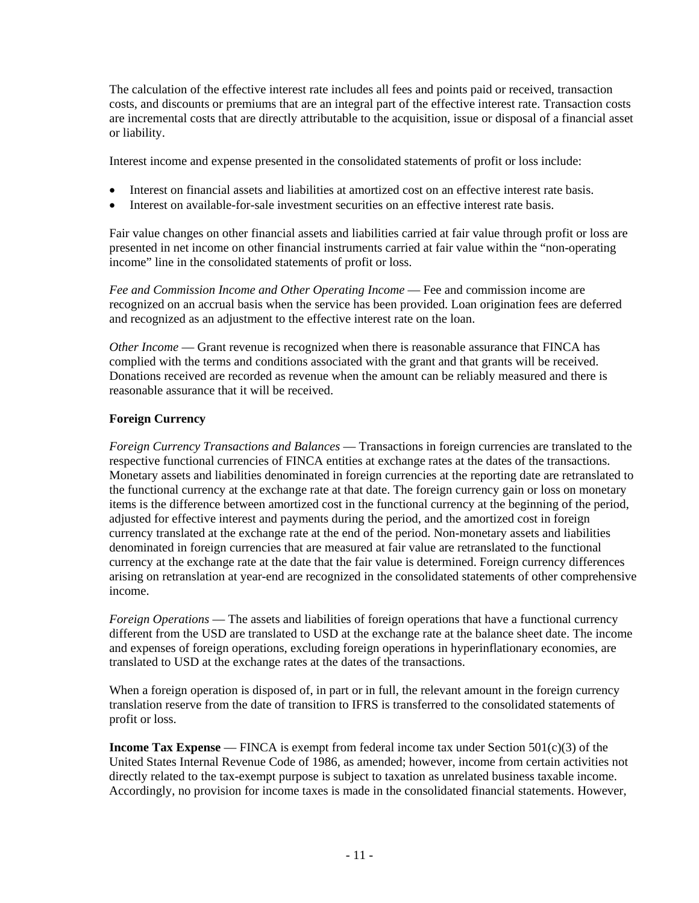The calculation of the effective interest rate includes all fees and points paid or received, transaction costs, and discounts or premiums that are an integral part of the effective interest rate. Transaction costs are incremental costs that are directly attributable to the acquisition, issue or disposal of a financial asset or liability.

Interest income and expense presented in the consolidated statements of profit or loss include:

- Interest on financial assets and liabilities at amortized cost on an effective interest rate basis.
- Interest on available-for-sale investment securities on an effective interest rate basis.

Fair value changes on other financial assets and liabilities carried at fair value through profit or loss are presented in net income on other financial instruments carried at fair value within the "non-operating income" line in the consolidated statements of profit or loss.

*Fee and Commission Income and Other Operating Income* — Fee and commission income are recognized on an accrual basis when the service has been provided. Loan origination fees are deferred and recognized as an adjustment to the effective interest rate on the loan.

*Other Income* — Grant revenue is recognized when there is reasonable assurance that FINCA has complied with the terms and conditions associated with the grant and that grants will be received. Donations received are recorded as revenue when the amount can be reliably measured and there is reasonable assurance that it will be received.

#### **Foreign Currency**

*Foreign Currency Transactions and Balances* — Transactions in foreign currencies are translated to the respective functional currencies of FINCA entities at exchange rates at the dates of the transactions. Monetary assets and liabilities denominated in foreign currencies at the reporting date are retranslated to the functional currency at the exchange rate at that date. The foreign currency gain or loss on monetary items is the difference between amortized cost in the functional currency at the beginning of the period, adjusted for effective interest and payments during the period, and the amortized cost in foreign currency translated at the exchange rate at the end of the period. Non-monetary assets and liabilities denominated in foreign currencies that are measured at fair value are retranslated to the functional currency at the exchange rate at the date that the fair value is determined. Foreign currency differences arising on retranslation at year-end are recognized in the consolidated statements of other comprehensive income.

*Foreign Operations* — The assets and liabilities of foreign operations that have a functional currency different from the USD are translated to USD at the exchange rate at the balance sheet date. The income and expenses of foreign operations, excluding foreign operations in hyperinflationary economies, are translated to USD at the exchange rates at the dates of the transactions.

When a foreign operation is disposed of, in part or in full, the relevant amount in the foreign currency translation reserve from the date of transition to IFRS is transferred to the consolidated statements of profit or loss.

**Income Tax Expense** — FINCA is exempt from federal income tax under Section 501(c)(3) of the United States Internal Revenue Code of 1986, as amended; however, income from certain activities not directly related to the tax-exempt purpose is subject to taxation as unrelated business taxable income. Accordingly, no provision for income taxes is made in the consolidated financial statements. However,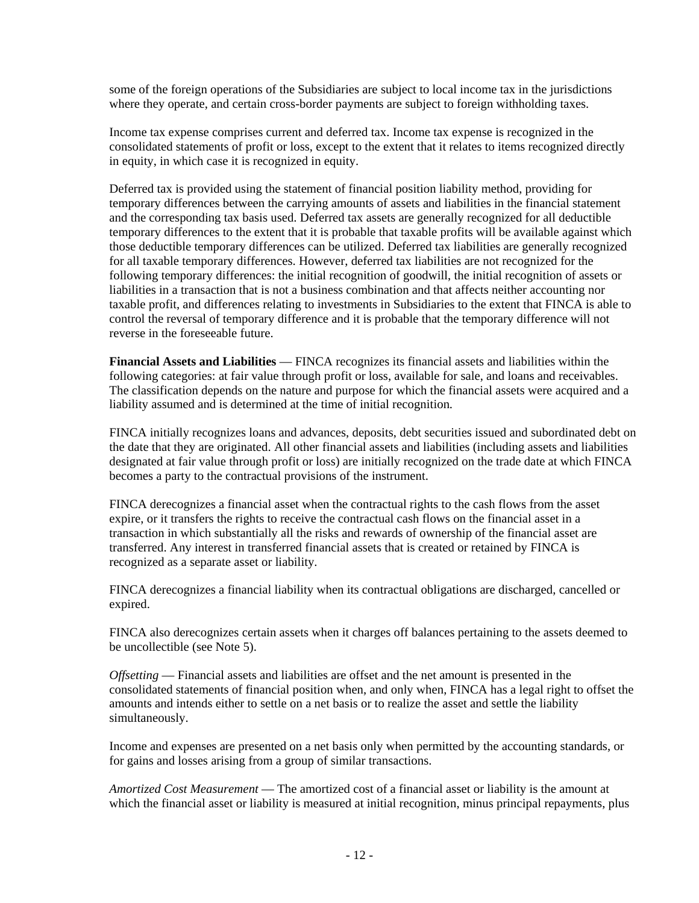some of the foreign operations of the Subsidiaries are subject to local income tax in the jurisdictions where they operate, and certain cross-border payments are subject to foreign withholding taxes.

Income tax expense comprises current and deferred tax. Income tax expense is recognized in the consolidated statements of profit or loss, except to the extent that it relates to items recognized directly in equity, in which case it is recognized in equity.

Deferred tax is provided using the statement of financial position liability method, providing for temporary differences between the carrying amounts of assets and liabilities in the financial statement and the corresponding tax basis used. Deferred tax assets are generally recognized for all deductible temporary differences to the extent that it is probable that taxable profits will be available against which those deductible temporary differences can be utilized. Deferred tax liabilities are generally recognized for all taxable temporary differences. However, deferred tax liabilities are not recognized for the following temporary differences: the initial recognition of goodwill, the initial recognition of assets or liabilities in a transaction that is not a business combination and that affects neither accounting nor taxable profit, and differences relating to investments in Subsidiaries to the extent that FINCA is able to control the reversal of temporary difference and it is probable that the temporary difference will not reverse in the foreseeable future.

**Financial Assets and Liabilities** — FINCA recognizes its financial assets and liabilities within the following categories: at fair value through profit or loss, available for sale, and loans and receivables. The classification depends on the nature and purpose for which the financial assets were acquired and a liability assumed and is determined at the time of initial recognition.

FINCA initially recognizes loans and advances, deposits, debt securities issued and subordinated debt on the date that they are originated. All other financial assets and liabilities (including assets and liabilities designated at fair value through profit or loss) are initially recognized on the trade date at which FINCA becomes a party to the contractual provisions of the instrument.

FINCA derecognizes a financial asset when the contractual rights to the cash flows from the asset expire, or it transfers the rights to receive the contractual cash flows on the financial asset in a transaction in which substantially all the risks and rewards of ownership of the financial asset are transferred. Any interest in transferred financial assets that is created or retained by FINCA is recognized as a separate asset or liability.

FINCA derecognizes a financial liability when its contractual obligations are discharged, cancelled or expired.

FINCA also derecognizes certain assets when it charges off balances pertaining to the assets deemed to be uncollectible (see Note 5).

*Offsetting* — Financial assets and liabilities are offset and the net amount is presented in the consolidated statements of financial position when, and only when, FINCA has a legal right to offset the amounts and intends either to settle on a net basis or to realize the asset and settle the liability simultaneously.

Income and expenses are presented on a net basis only when permitted by the accounting standards, or for gains and losses arising from a group of similar transactions.

*Amortized Cost Measurement* — The amortized cost of a financial asset or liability is the amount at which the financial asset or liability is measured at initial recognition, minus principal repayments, plus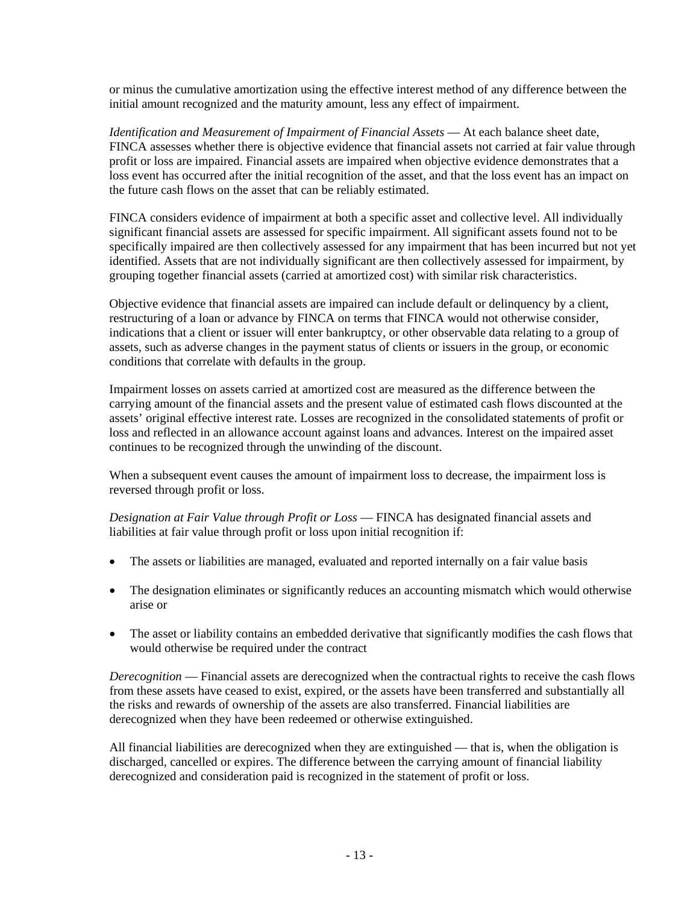or minus the cumulative amortization using the effective interest method of any difference between the initial amount recognized and the maturity amount, less any effect of impairment.

*Identification and Measurement of Impairment of Financial Assets* — At each balance sheet date, FINCA assesses whether there is objective evidence that financial assets not carried at fair value through profit or loss are impaired. Financial assets are impaired when objective evidence demonstrates that a loss event has occurred after the initial recognition of the asset, and that the loss event has an impact on the future cash flows on the asset that can be reliably estimated.

FINCA considers evidence of impairment at both a specific asset and collective level. All individually significant financial assets are assessed for specific impairment. All significant assets found not to be specifically impaired are then collectively assessed for any impairment that has been incurred but not yet identified. Assets that are not individually significant are then collectively assessed for impairment, by grouping together financial assets (carried at amortized cost) with similar risk characteristics.

Objective evidence that financial assets are impaired can include default or delinquency by a client, restructuring of a loan or advance by FINCA on terms that FINCA would not otherwise consider, indications that a client or issuer will enter bankruptcy, or other observable data relating to a group of assets, such as adverse changes in the payment status of clients or issuers in the group, or economic conditions that correlate with defaults in the group.

Impairment losses on assets carried at amortized cost are measured as the difference between the carrying amount of the financial assets and the present value of estimated cash flows discounted at the assets' original effective interest rate. Losses are recognized in the consolidated statements of profit or loss and reflected in an allowance account against loans and advances. Interest on the impaired asset continues to be recognized through the unwinding of the discount.

When a subsequent event causes the amount of impairment loss to decrease, the impairment loss is reversed through profit or loss.

*Designation at Fair Value through Profit or Loss* — FINCA has designated financial assets and liabilities at fair value through profit or loss upon initial recognition if:

- The assets or liabilities are managed, evaluated and reported internally on a fair value basis
- The designation eliminates or significantly reduces an accounting mismatch which would otherwise arise or
- The asset or liability contains an embedded derivative that significantly modifies the cash flows that would otherwise be required under the contract

*Derecognition* — Financial assets are derecognized when the contractual rights to receive the cash flows from these assets have ceased to exist, expired, or the assets have been transferred and substantially all the risks and rewards of ownership of the assets are also transferred. Financial liabilities are derecognized when they have been redeemed or otherwise extinguished.

All financial liabilities are derecognized when they are extinguished — that is, when the obligation is discharged, cancelled or expires. The difference between the carrying amount of financial liability derecognized and consideration paid is recognized in the statement of profit or loss.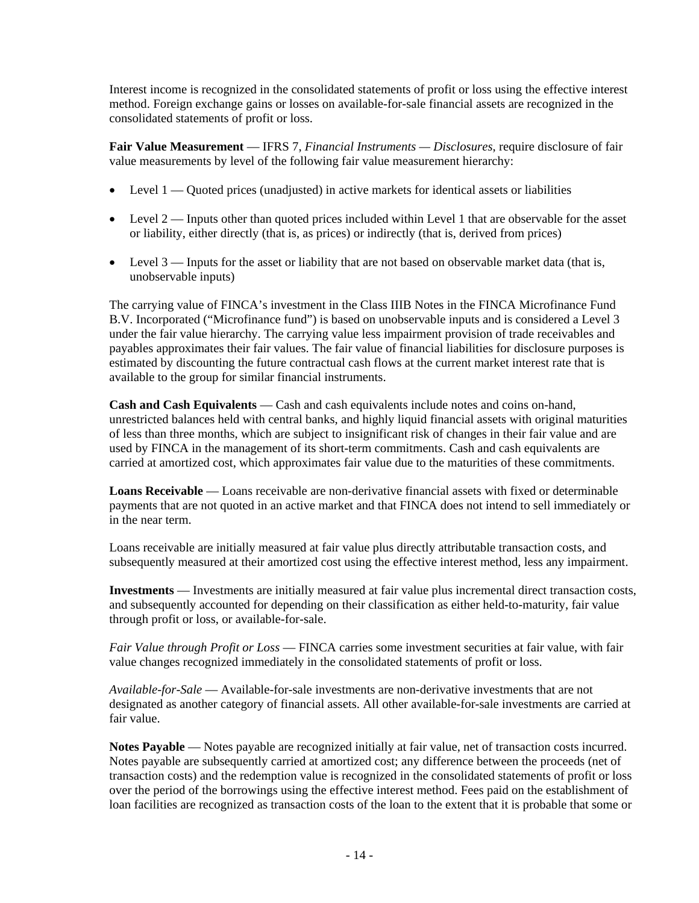Interest income is recognized in the consolidated statements of profit or loss using the effective interest method. Foreign exchange gains or losses on available-for-sale financial assets are recognized in the consolidated statements of profit or loss.

**Fair Value Measurement** — IFRS 7, *Financial Instruments — Disclosures*, require disclosure of fair value measurements by level of the following fair value measurement hierarchy:

- Level  $1$  Quoted prices (unadjusted) in active markets for identical assets or liabilities
- Level 2 Inputs other than quoted prices included within Level 1 that are observable for the asset or liability, either directly (that is, as prices) or indirectly (that is, derived from prices)
- Level 3 Inputs for the asset or liability that are not based on observable market data (that is, unobservable inputs)

The carrying value of FINCA's investment in the Class IIIB Notes in the FINCA Microfinance Fund B.V. Incorporated ("Microfinance fund") is based on unobservable inputs and is considered a Level 3 under the fair value hierarchy. The carrying value less impairment provision of trade receivables and payables approximates their fair values. The fair value of financial liabilities for disclosure purposes is estimated by discounting the future contractual cash flows at the current market interest rate that is available to the group for similar financial instruments.

**Cash and Cash Equivalents** — Cash and cash equivalents include notes and coins on-hand, unrestricted balances held with central banks, and highly liquid financial assets with original maturities of less than three months, which are subject to insignificant risk of changes in their fair value and are used by FINCA in the management of its short-term commitments. Cash and cash equivalents are carried at amortized cost, which approximates fair value due to the maturities of these commitments.

**Loans Receivable** — Loans receivable are non-derivative financial assets with fixed or determinable payments that are not quoted in an active market and that FINCA does not intend to sell immediately or in the near term.

Loans receivable are initially measured at fair value plus directly attributable transaction costs, and subsequently measured at their amortized cost using the effective interest method, less any impairment.

**Investments** — Investments are initially measured at fair value plus incremental direct transaction costs, and subsequently accounted for depending on their classification as either held-to-maturity, fair value through profit or loss, or available-for-sale.

*Fair Value through Profit or Loss* — FINCA carries some investment securities at fair value, with fair value changes recognized immediately in the consolidated statements of profit or loss.

*Available-for-Sale* — Available-for-sale investments are non-derivative investments that are not designated as another category of financial assets. All other available-for-sale investments are carried at fair value.

**Notes Payable** — Notes payable are recognized initially at fair value, net of transaction costs incurred. Notes payable are subsequently carried at amortized cost; any difference between the proceeds (net of transaction costs) and the redemption value is recognized in the consolidated statements of profit or loss over the period of the borrowings using the effective interest method. Fees paid on the establishment of loan facilities are recognized as transaction costs of the loan to the extent that it is probable that some or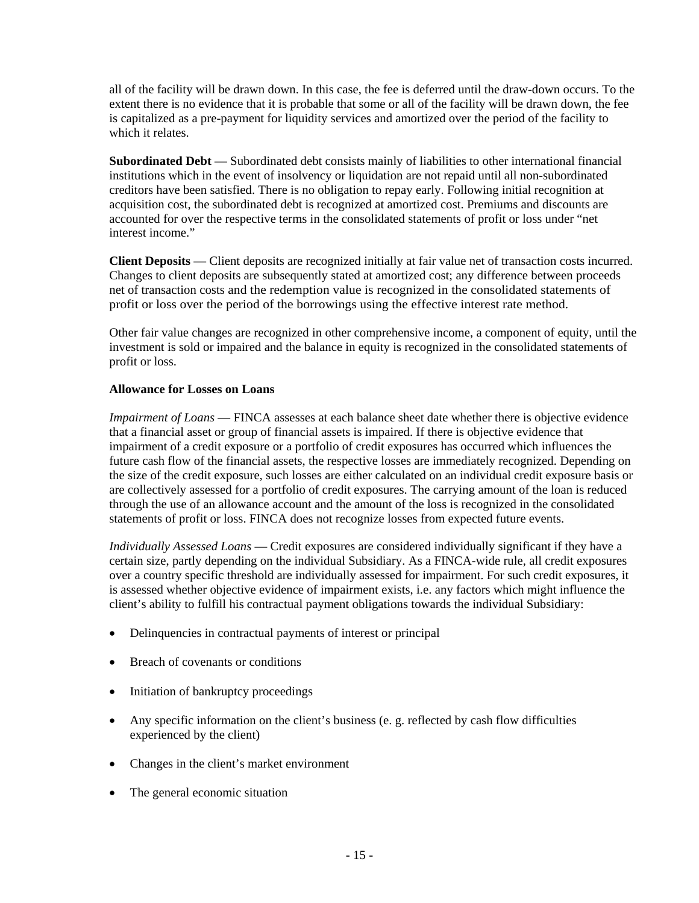all of the facility will be drawn down. In this case, the fee is deferred until the draw-down occurs. To the extent there is no evidence that it is probable that some or all of the facility will be drawn down, the fee is capitalized as a pre-payment for liquidity services and amortized over the period of the facility to which it relates.

**Subordinated Debt** — Subordinated debt consists mainly of liabilities to other international financial institutions which in the event of insolvency or liquidation are not repaid until all non-subordinated creditors have been satisfied. There is no obligation to repay early. Following initial recognition at acquisition cost, the subordinated debt is recognized at amortized cost. Premiums and discounts are accounted for over the respective terms in the consolidated statements of profit or loss under "net interest income."

**Client Deposits** — Client deposits are recognized initially at fair value net of transaction costs incurred. Changes to client deposits are subsequently stated at amortized cost; any difference between proceeds net of transaction costs and the redemption value is recognized in the consolidated statements of profit or loss over the period of the borrowings using the effective interest rate method.

Other fair value changes are recognized in other comprehensive income, a component of equity, until the investment is sold or impaired and the balance in equity is recognized in the consolidated statements of profit or loss.

#### **Allowance for Losses on Loans**

*Impairment of Loans* — FINCA assesses at each balance sheet date whether there is objective evidence that a financial asset or group of financial assets is impaired. If there is objective evidence that impairment of a credit exposure or a portfolio of credit exposures has occurred which influences the future cash flow of the financial assets, the respective losses are immediately recognized. Depending on the size of the credit exposure, such losses are either calculated on an individual credit exposure basis or are collectively assessed for a portfolio of credit exposures. The carrying amount of the loan is reduced through the use of an allowance account and the amount of the loss is recognized in the consolidated statements of profit or loss. FINCA does not recognize losses from expected future events.

*Individually Assessed Loans* — Credit exposures are considered individually significant if they have a certain size, partly depending on the individual Subsidiary. As a FINCA-wide rule, all credit exposures over a country specific threshold are individually assessed for impairment. For such credit exposures, it is assessed whether objective evidence of impairment exists, i.e. any factors which might influence the client's ability to fulfill his contractual payment obligations towards the individual Subsidiary:

- Delinquencies in contractual payments of interest or principal
- Breach of covenants or conditions
- Initiation of bankruptcy proceedings
- Any specific information on the client's business (e. g. reflected by cash flow difficulties experienced by the client)
- Changes in the client's market environment
- The general economic situation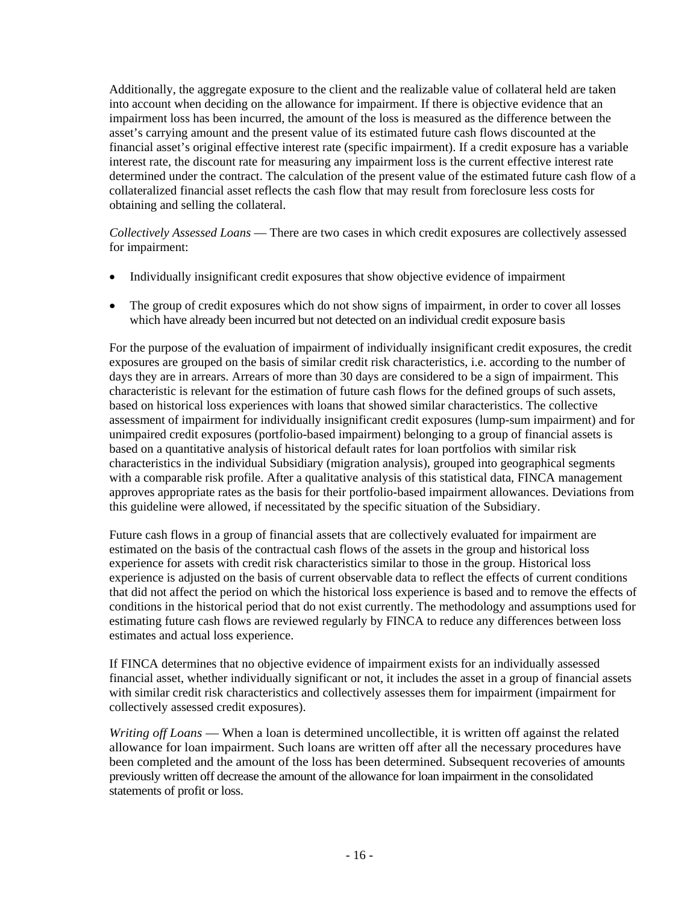Additionally, the aggregate exposure to the client and the realizable value of collateral held are taken into account when deciding on the allowance for impairment. If there is objective evidence that an impairment loss has been incurred, the amount of the loss is measured as the difference between the asset's carrying amount and the present value of its estimated future cash flows discounted at the financial asset's original effective interest rate (specific impairment). If a credit exposure has a variable interest rate, the discount rate for measuring any impairment loss is the current effective interest rate determined under the contract. The calculation of the present value of the estimated future cash flow of a collateralized financial asset reflects the cash flow that may result from foreclosure less costs for obtaining and selling the collateral.

*Collectively Assessed Loans* — There are two cases in which credit exposures are collectively assessed for impairment:

- Individually insignificant credit exposures that show objective evidence of impairment
- The group of credit exposures which do not show signs of impairment, in order to cover all losses which have already been incurred but not detected on an individual credit exposure basis

For the purpose of the evaluation of impairment of individually insignificant credit exposures, the credit exposures are grouped on the basis of similar credit risk characteristics, i.e. according to the number of days they are in arrears. Arrears of more than 30 days are considered to be a sign of impairment. This characteristic is relevant for the estimation of future cash flows for the defined groups of such assets, based on historical loss experiences with loans that showed similar characteristics. The collective assessment of impairment for individually insignificant credit exposures (lump-sum impairment) and for unimpaired credit exposures (portfolio-based impairment) belonging to a group of financial assets is based on a quantitative analysis of historical default rates for loan portfolios with similar risk characteristics in the individual Subsidiary (migration analysis), grouped into geographical segments with a comparable risk profile. After a qualitative analysis of this statistical data, FINCA management approves appropriate rates as the basis for their portfolio-based impairment allowances. Deviations from this guideline were allowed, if necessitated by the specific situation of the Subsidiary.

Future cash flows in a group of financial assets that are collectively evaluated for impairment are estimated on the basis of the contractual cash flows of the assets in the group and historical loss experience for assets with credit risk characteristics similar to those in the group. Historical loss experience is adjusted on the basis of current observable data to reflect the effects of current conditions that did not affect the period on which the historical loss experience is based and to remove the effects of conditions in the historical period that do not exist currently. The methodology and assumptions used for estimating future cash flows are reviewed regularly by FINCA to reduce any differences between loss estimates and actual loss experience.

If FINCA determines that no objective evidence of impairment exists for an individually assessed financial asset, whether individually significant or not, it includes the asset in a group of financial assets with similar credit risk characteristics and collectively assesses them for impairment (impairment for collectively assessed credit exposures).

*Writing off Loans* — When a loan is determined uncollectible, it is written off against the related allowance for loan impairment. Such loans are written off after all the necessary procedures have been completed and the amount of the loss has been determined. Subsequent recoveries of amounts previously written off decrease the amount of the allowance for loan impairment in the consolidated statements of profit or loss.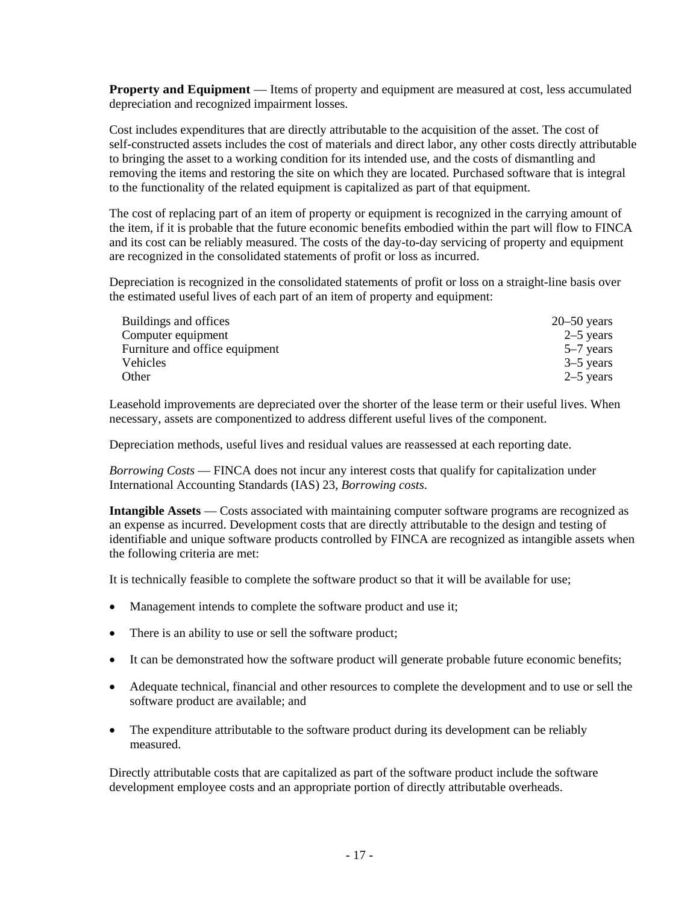**Property and Equipment** — Items of property and equipment are measured at cost, less accumulated depreciation and recognized impairment losses.

Cost includes expenditures that are directly attributable to the acquisition of the asset. The cost of self-constructed assets includes the cost of materials and direct labor, any other costs directly attributable to bringing the asset to a working condition for its intended use, and the costs of dismantling and removing the items and restoring the site on which they are located. Purchased software that is integral to the functionality of the related equipment is capitalized as part of that equipment.

The cost of replacing part of an item of property or equipment is recognized in the carrying amount of the item, if it is probable that the future economic benefits embodied within the part will flow to FINCA and its cost can be reliably measured. The costs of the day-to-day servicing of property and equipment are recognized in the consolidated statements of profit or loss as incurred.

Depreciation is recognized in the consolidated statements of profit or loss on a straight-line basis over the estimated useful lives of each part of an item of property and equipment:

| Buildings and offices          | $20 - 50$ years |
|--------------------------------|-----------------|
| Computer equipment             | $2-5$ years     |
| Furniture and office equipment | $5-7$ years     |
| Vehicles                       | $3-5$ years     |
| Other                          | $2-5$ years     |

Leasehold improvements are depreciated over the shorter of the lease term or their useful lives. When necessary, assets are componentized to address different useful lives of the component.

Depreciation methods, useful lives and residual values are reassessed at each reporting date.

*Borrowing Costs* — FINCA does not incur any interest costs that qualify for capitalization under International Accounting Standards (IAS) 23, *Borrowing costs*.

**Intangible Assets** — Costs associated with maintaining computer software programs are recognized as an expense as incurred. Development costs that are directly attributable to the design and testing of identifiable and unique software products controlled by FINCA are recognized as intangible assets when the following criteria are met:

It is technically feasible to complete the software product so that it will be available for use;

- Management intends to complete the software product and use it;
- There is an ability to use or sell the software product;
- It can be demonstrated how the software product will generate probable future economic benefits;
- Adequate technical, financial and other resources to complete the development and to use or sell the software product are available; and
- The expenditure attributable to the software product during its development can be reliably measured.

Directly attributable costs that are capitalized as part of the software product include the software development employee costs and an appropriate portion of directly attributable overheads.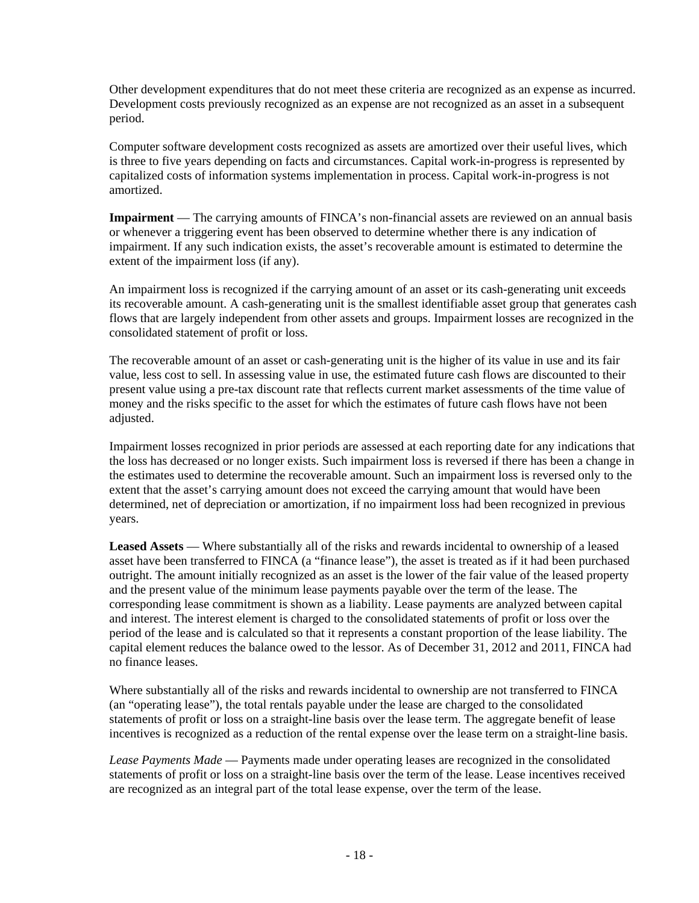Other development expenditures that do not meet these criteria are recognized as an expense as incurred. Development costs previously recognized as an expense are not recognized as an asset in a subsequent period.

Computer software development costs recognized as assets are amortized over their useful lives, which is three to five years depending on facts and circumstances. Capital work-in-progress is represented by capitalized costs of information systems implementation in process. Capital work-in-progress is not amortized.

**Impairment** — The carrying amounts of FINCA's non-financial assets are reviewed on an annual basis or whenever a triggering event has been observed to determine whether there is any indication of impairment. If any such indication exists, the asset's recoverable amount is estimated to determine the extent of the impairment loss (if any).

An impairment loss is recognized if the carrying amount of an asset or its cash-generating unit exceeds its recoverable amount. A cash-generating unit is the smallest identifiable asset group that generates cash flows that are largely independent from other assets and groups. Impairment losses are recognized in the consolidated statement of profit or loss.

The recoverable amount of an asset or cash-generating unit is the higher of its value in use and its fair value, less cost to sell. In assessing value in use, the estimated future cash flows are discounted to their present value using a pre-tax discount rate that reflects current market assessments of the time value of money and the risks specific to the asset for which the estimates of future cash flows have not been adjusted.

Impairment losses recognized in prior periods are assessed at each reporting date for any indications that the loss has decreased or no longer exists. Such impairment loss is reversed if there has been a change in the estimates used to determine the recoverable amount. Such an impairment loss is reversed only to the extent that the asset's carrying amount does not exceed the carrying amount that would have been determined, net of depreciation or amortization, if no impairment loss had been recognized in previous years.

**Leased Assets** — Where substantially all of the risks and rewards incidental to ownership of a leased asset have been transferred to FINCA (a "finance lease"), the asset is treated as if it had been purchased outright. The amount initially recognized as an asset is the lower of the fair value of the leased property and the present value of the minimum lease payments payable over the term of the lease. The corresponding lease commitment is shown as a liability. Lease payments are analyzed between capital and interest. The interest element is charged to the consolidated statements of profit or loss over the period of the lease and is calculated so that it represents a constant proportion of the lease liability. The capital element reduces the balance owed to the lessor. As of December 31, 2012 and 2011, FINCA had no finance leases.

Where substantially all of the risks and rewards incidental to ownership are not transferred to FINCA (an "operating lease"), the total rentals payable under the lease are charged to the consolidated statements of profit or loss on a straight-line basis over the lease term. The aggregate benefit of lease incentives is recognized as a reduction of the rental expense over the lease term on a straight-line basis.

*Lease Payments Made* — Payments made under operating leases are recognized in the consolidated statements of profit or loss on a straight-line basis over the term of the lease. Lease incentives received are recognized as an integral part of the total lease expense, over the term of the lease.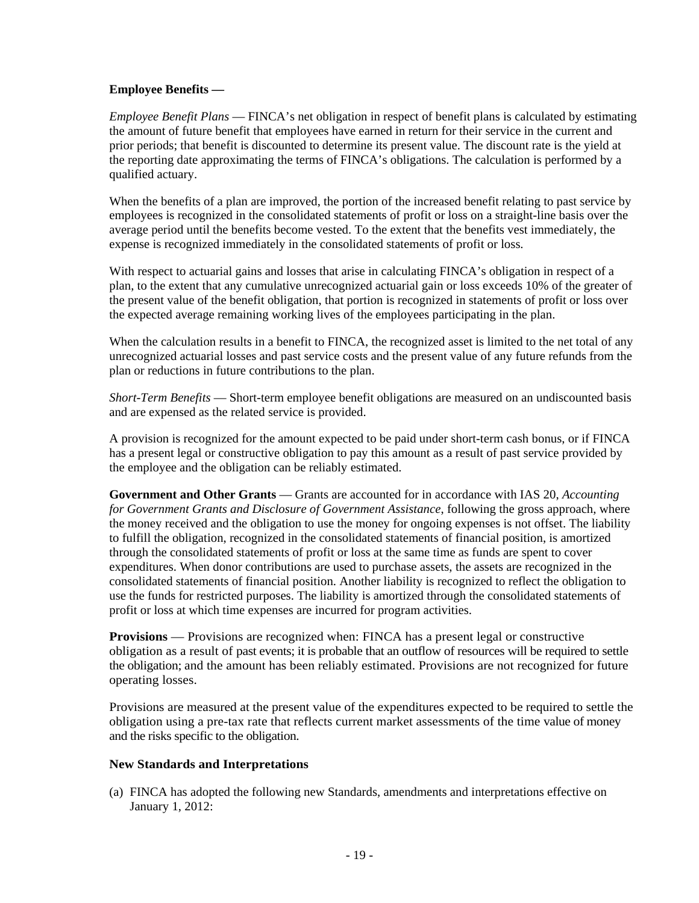#### **Employee Benefits —**

*Employee Benefit Plans* — FINCA's net obligation in respect of benefit plans is calculated by estimating the amount of future benefit that employees have earned in return for their service in the current and prior periods; that benefit is discounted to determine its present value. The discount rate is the yield at the reporting date approximating the terms of FINCA's obligations. The calculation is performed by a qualified actuary.

When the benefits of a plan are improved, the portion of the increased benefit relating to past service by employees is recognized in the consolidated statements of profit or loss on a straight-line basis over the average period until the benefits become vested. To the extent that the benefits vest immediately, the expense is recognized immediately in the consolidated statements of profit or loss.

With respect to actuarial gains and losses that arise in calculating FINCA's obligation in respect of a plan, to the extent that any cumulative unrecognized actuarial gain or loss exceeds 10% of the greater of the present value of the benefit obligation, that portion is recognized in statements of profit or loss over the expected average remaining working lives of the employees participating in the plan.

When the calculation results in a benefit to FINCA, the recognized asset is limited to the net total of any unrecognized actuarial losses and past service costs and the present value of any future refunds from the plan or reductions in future contributions to the plan.

*Short-Term Benefits* — Short-term employee benefit obligations are measured on an undiscounted basis and are expensed as the related service is provided.

A provision is recognized for the amount expected to be paid under short-term cash bonus, or if FINCA has a present legal or constructive obligation to pay this amount as a result of past service provided by the employee and the obligation can be reliably estimated.

**Government and Other Grants** — Grants are accounted for in accordance with IAS 20, *Accounting for Government Grants and Disclosure of Government Assistance*, following the gross approach, where the money received and the obligation to use the money for ongoing expenses is not offset. The liability to fulfill the obligation, recognized in the consolidated statements of financial position, is amortized through the consolidated statements of profit or loss at the same time as funds are spent to cover expenditures. When donor contributions are used to purchase assets, the assets are recognized in the consolidated statements of financial position. Another liability is recognized to reflect the obligation to use the funds for restricted purposes. The liability is amortized through the consolidated statements of profit or loss at which time expenses are incurred for program activities.

**Provisions** — Provisions are recognized when: FINCA has a present legal or constructive obligation as a result of past events; it is probable that an outflow of resources will be required to settle the obligation; and the amount has been reliably estimated. Provisions are not recognized for future operating losses.

Provisions are measured at the present value of the expenditures expected to be required to settle the obligation using a pre-tax rate that reflects current market assessments of the time value of money and the risks specific to the obligation.

#### **New Standards and Interpretations**

(a) FINCA has adopted the following new Standards, amendments and interpretations effective on January 1, 2012: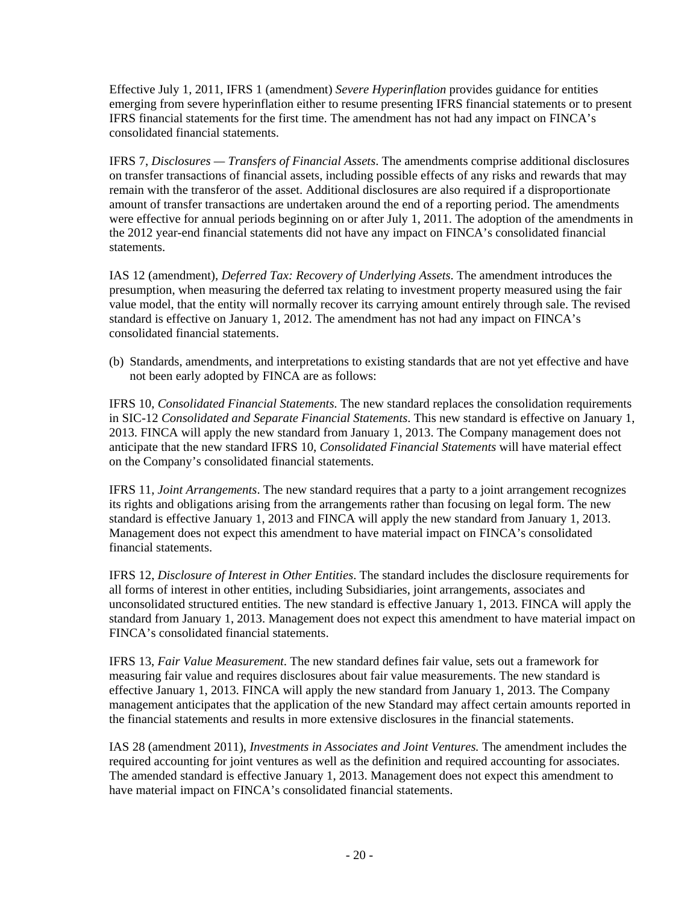Effective July 1, 2011, IFRS 1 (amendment) *Severe Hyperinflation* provides guidance for entities emerging from severe hyperinflation either to resume presenting IFRS financial statements or to present IFRS financial statements for the first time. The amendment has not had any impact on FINCA's consolidated financial statements.

IFRS 7, *Disclosures — Transfers of Financial Assets*. The amendments comprise additional disclosures on transfer transactions of financial assets, including possible effects of any risks and rewards that may remain with the transferor of the asset. Additional disclosures are also required if a disproportionate amount of transfer transactions are undertaken around the end of a reporting period. The amendments were effective for annual periods beginning on or after July 1, 2011. The adoption of the amendments in the 2012 year-end financial statements did not have any impact on FINCA's consolidated financial statements.

IAS 12 (amendment), *Deferred Tax: Recovery of Underlying Assets*. The amendment introduces the presumption, when measuring the deferred tax relating to investment property measured using the fair value model, that the entity will normally recover its carrying amount entirely through sale. The revised standard is effective on January 1, 2012. The amendment has not had any impact on FINCA's consolidated financial statements.

(b) Standards, amendments, and interpretations to existing standards that are not yet effective and have not been early adopted by FINCA are as follows:

IFRS 10, *Consolidated Financial Statements*. The new standard replaces the consolidation requirements in SIC-12 *Consolidated and Separate Financial Statements*. This new standard is effective on January 1, 2013. FINCA will apply the new standard from January 1, 2013. The Company management does not anticipate that the new standard IFRS 10, *Consolidated Financial Statements* will have material effect on the Company's consolidated financial statements.

IFRS 11, *Joint Arrangements*. The new standard requires that a party to a joint arrangement recognizes its rights and obligations arising from the arrangements rather than focusing on legal form. The new standard is effective January 1, 2013 and FINCA will apply the new standard from January 1, 2013. Management does not expect this amendment to have material impact on FINCA's consolidated financial statements.

IFRS 12, *Disclosure of Interest in Other Entities*. The standard includes the disclosure requirements for all forms of interest in other entities, including Subsidiaries, joint arrangements, associates and unconsolidated structured entities. The new standard is effective January 1, 2013. FINCA will apply the standard from January 1, 2013. Management does not expect this amendment to have material impact on FINCA's consolidated financial statements.

IFRS 13, *Fair Value Measurement*. The new standard defines fair value, sets out a framework for measuring fair value and requires disclosures about fair value measurements. The new standard is effective January 1, 2013. FINCA will apply the new standard from January 1, 2013. The Company management anticipates that the application of the new Standard may affect certain amounts reported in the financial statements and results in more extensive disclosures in the financial statements.

IAS 28 (amendment 2011), *Investments in Associates and Joint Ventures.* The amendment includes the required accounting for joint ventures as well as the definition and required accounting for associates. The amended standard is effective January 1, 2013. Management does not expect this amendment to have material impact on FINCA's consolidated financial statements.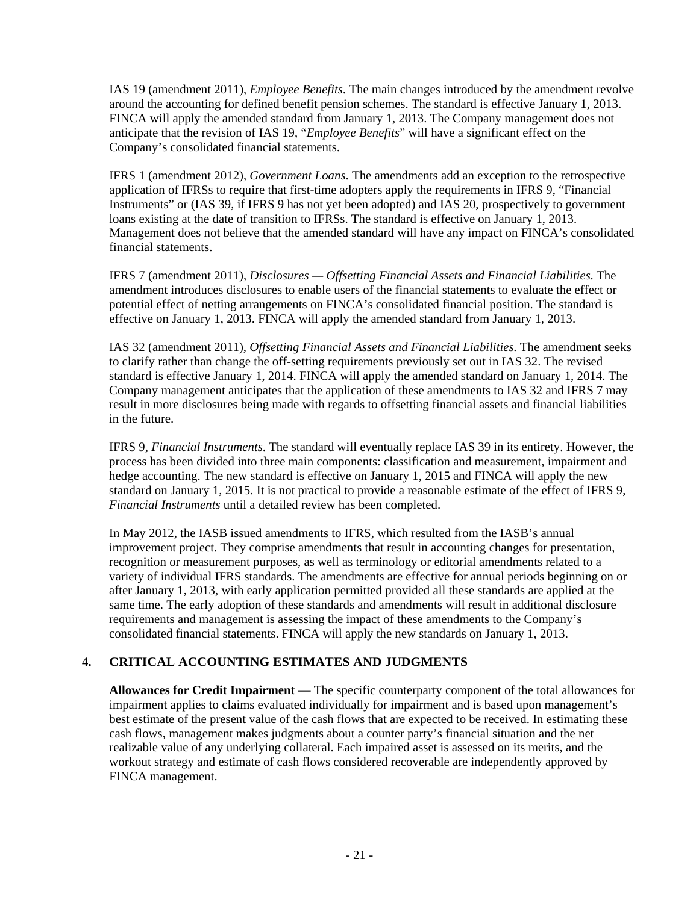IAS 19 (amendment 2011), *Employee Benefits*. The main changes introduced by the amendment revolve around the accounting for defined benefit pension schemes. The standard is effective January 1, 2013. FINCA will apply the amended standard from January 1, 2013. The Company management does not anticipate that the revision of IAS 19, "*Employee Benefits*" will have a significant effect on the Company's consolidated financial statements.

IFRS 1 (amendment 2012), *Government Loans*. The amendments add an exception to the retrospective application of IFRSs to require that first-time adopters apply the requirements in IFRS 9, "Financial Instruments" or (IAS 39, if IFRS 9 has not yet been adopted) and IAS 20, prospectively to government loans existing at the date of transition to IFRSs. The standard is effective on January 1, 2013. Management does not believe that the amended standard will have any impact on FINCA's consolidated financial statements.

IFRS 7 (amendment 2011), *Disclosures — Offsetting Financial Assets and Financial Liabilities*. The amendment introduces disclosures to enable users of the financial statements to evaluate the effect or potential effect of netting arrangements on FINCA's consolidated financial position. The standard is effective on January 1, 2013. FINCA will apply the amended standard from January 1, 2013.

IAS 32 (amendment 2011), *Offsetting Financial Assets and Financial Liabilities*. The amendment seeks to clarify rather than change the off-setting requirements previously set out in IAS 32. The revised standard is effective January 1, 2014. FINCA will apply the amended standard on January 1, 2014. The Company management anticipates that the application of these amendments to IAS 32 and IFRS 7 may result in more disclosures being made with regards to offsetting financial assets and financial liabilities in the future.

IFRS 9, *Financial Instruments*. The standard will eventually replace IAS 39 in its entirety. However, the process has been divided into three main components: classification and measurement, impairment and hedge accounting. The new standard is effective on January 1, 2015 and FINCA will apply the new standard on January 1, 2015. It is not practical to provide a reasonable estimate of the effect of IFRS 9, *Financial Instruments* until a detailed review has been completed.

In May 2012, the IASB issued amendments to IFRS, which resulted from the IASB's annual improvement project. They comprise amendments that result in accounting changes for presentation, recognition or measurement purposes, as well as terminology or editorial amendments related to a variety of individual IFRS standards. The amendments are effective for annual periods beginning on or after January 1, 2013, with early application permitted provided all these standards are applied at the same time. The early adoption of these standards and amendments will result in additional disclosure requirements and management is assessing the impact of these amendments to the Company's consolidated financial statements. FINCA will apply the new standards on January 1, 2013.

#### **4. CRITICAL ACCOUNTING ESTIMATES AND JUDGMENTS**

**Allowances for Credit Impairment** — The specific counterparty component of the total allowances for impairment applies to claims evaluated individually for impairment and is based upon management's best estimate of the present value of the cash flows that are expected to be received. In estimating these cash flows, management makes judgments about a counter party's financial situation and the net realizable value of any underlying collateral. Each impaired asset is assessed on its merits, and the workout strategy and estimate of cash flows considered recoverable are independently approved by FINCA management.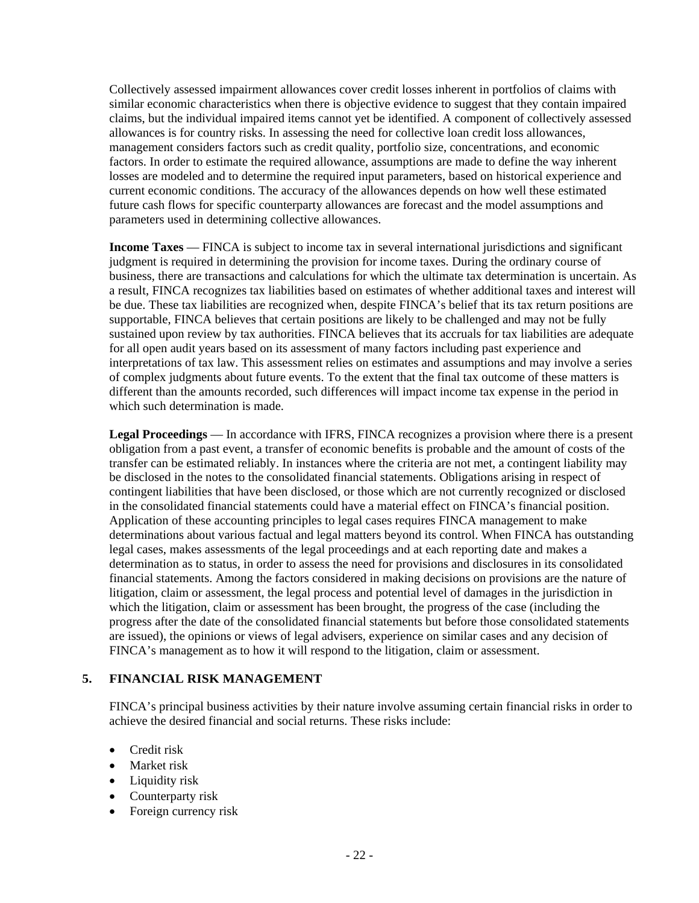Collectively assessed impairment allowances cover credit losses inherent in portfolios of claims with similar economic characteristics when there is objective evidence to suggest that they contain impaired claims, but the individual impaired items cannot yet be identified. A component of collectively assessed allowances is for country risks. In assessing the need for collective loan credit loss allowances, management considers factors such as credit quality, portfolio size, concentrations, and economic factors. In order to estimate the required allowance, assumptions are made to define the way inherent losses are modeled and to determine the required input parameters, based on historical experience and current economic conditions. The accuracy of the allowances depends on how well these estimated future cash flows for specific counterparty allowances are forecast and the model assumptions and parameters used in determining collective allowances.

**Income Taxes** — FINCA is subject to income tax in several international jurisdictions and significant judgment is required in determining the provision for income taxes. During the ordinary course of business, there are transactions and calculations for which the ultimate tax determination is uncertain. As a result, FINCA recognizes tax liabilities based on estimates of whether additional taxes and interest will be due. These tax liabilities are recognized when, despite FINCA's belief that its tax return positions are supportable, FINCA believes that certain positions are likely to be challenged and may not be fully sustained upon review by tax authorities. FINCA believes that its accruals for tax liabilities are adequate for all open audit years based on its assessment of many factors including past experience and interpretations of tax law. This assessment relies on estimates and assumptions and may involve a series of complex judgments about future events. To the extent that the final tax outcome of these matters is different than the amounts recorded, such differences will impact income tax expense in the period in which such determination is made.

**Legal Proceedings** — In accordance with IFRS, FINCA recognizes a provision where there is a present obligation from a past event, a transfer of economic benefits is probable and the amount of costs of the transfer can be estimated reliably. In instances where the criteria are not met, a contingent liability may be disclosed in the notes to the consolidated financial statements. Obligations arising in respect of contingent liabilities that have been disclosed, or those which are not currently recognized or disclosed in the consolidated financial statements could have a material effect on FINCA's financial position. Application of these accounting principles to legal cases requires FINCA management to make determinations about various factual and legal matters beyond its control. When FINCA has outstanding legal cases, makes assessments of the legal proceedings and at each reporting date and makes a determination as to status, in order to assess the need for provisions and disclosures in its consolidated financial statements. Among the factors considered in making decisions on provisions are the nature of litigation, claim or assessment, the legal process and potential level of damages in the jurisdiction in which the litigation, claim or assessment has been brought, the progress of the case (including the progress after the date of the consolidated financial statements but before those consolidated statements are issued), the opinions or views of legal advisers, experience on similar cases and any decision of FINCA's management as to how it will respond to the litigation, claim or assessment.

#### **5. FINANCIAL RISK MANAGEMENT**

FINCA's principal business activities by their nature involve assuming certain financial risks in order to achieve the desired financial and social returns. These risks include:

- Credit risk
- Market risk
- Liquidity risk
- Counterparty risk
- Foreign currency risk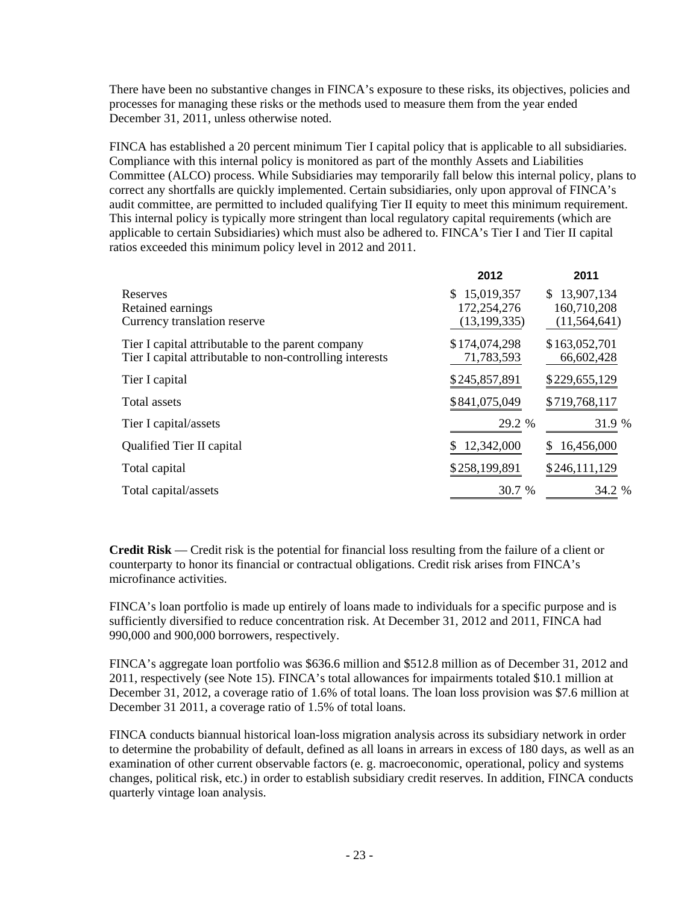There have been no substantive changes in FINCA's exposure to these risks, its objectives, policies and processes for managing these risks or the methods used to measure them from the year ended December 31, 2011, unless otherwise noted.

FINCA has established a 20 percent minimum Tier I capital policy that is applicable to all subsidiaries. Compliance with this internal policy is monitored as part of the monthly Assets and Liabilities Committee (ALCO) process. While Subsidiaries may temporarily fall below this internal policy, plans to correct any shortfalls are quickly implemented. Certain subsidiaries, only upon approval of FINCA's audit committee, are permitted to included qualifying Tier II equity to meet this minimum requirement. This internal policy is typically more stringent than local regulatory capital requirements (which are applicable to certain Subsidiaries) which must also be adhered to. FINCA's Tier I and Tier II capital ratios exceeded this minimum policy level in 2012 and 2011.

|                                                                                                               | 2012                                          | 2011                                          |
|---------------------------------------------------------------------------------------------------------------|-----------------------------------------------|-----------------------------------------------|
| Reserves<br>Retained earnings<br>Currency translation reserve                                                 | \$15,019,357<br>172,254,276<br>(13, 199, 335) | \$13,907,134<br>160,710,208<br>(11, 564, 641) |
| Tier I capital attributable to the parent company<br>Tier I capital attributable to non-controlling interests | \$174,074,298<br>71,783,593                   | \$163,052,701<br>66,602,428                   |
| Tier I capital                                                                                                | \$245,857,891                                 | \$229,655,129                                 |
| Total assets                                                                                                  | \$841,075,049                                 | \$719,768,117                                 |
| Tier I capital/assets                                                                                         | 29.2 %                                        | 31.9 %                                        |
| Qualified Tier II capital                                                                                     | 12,342,000                                    | 16,456,000                                    |
| Total capital                                                                                                 | \$258,199,891                                 | \$246,111,129                                 |
| Total capital/assets                                                                                          | 30.7 %                                        | 34.2 %                                        |
|                                                                                                               |                                               |                                               |

**Credit Risk** — Credit risk is the potential for financial loss resulting from the failure of a client or counterparty to honor its financial or contractual obligations. Credit risk arises from FINCA's microfinance activities.

FINCA's loan portfolio is made up entirely of loans made to individuals for a specific purpose and is sufficiently diversified to reduce concentration risk. At December 31, 2012 and 2011, FINCA had 990,000 and 900,000 borrowers, respectively.

FINCA's aggregate loan portfolio was \$636.6 million and \$512.8 million as of December 31, 2012 and 2011, respectively (see Note 15). FINCA's total allowances for impairments totaled \$10.1 million at December 31, 2012, a coverage ratio of 1.6% of total loans. The loan loss provision was \$7.6 million at December 31 2011, a coverage ratio of 1.5% of total loans.

FINCA conducts biannual historical loan-loss migration analysis across its subsidiary network in order to determine the probability of default, defined as all loans in arrears in excess of 180 days, as well as an examination of other current observable factors (e. g. macroeconomic, operational, policy and systems changes, political risk, etc.) in order to establish subsidiary credit reserves. In addition, FINCA conducts quarterly vintage loan analysis.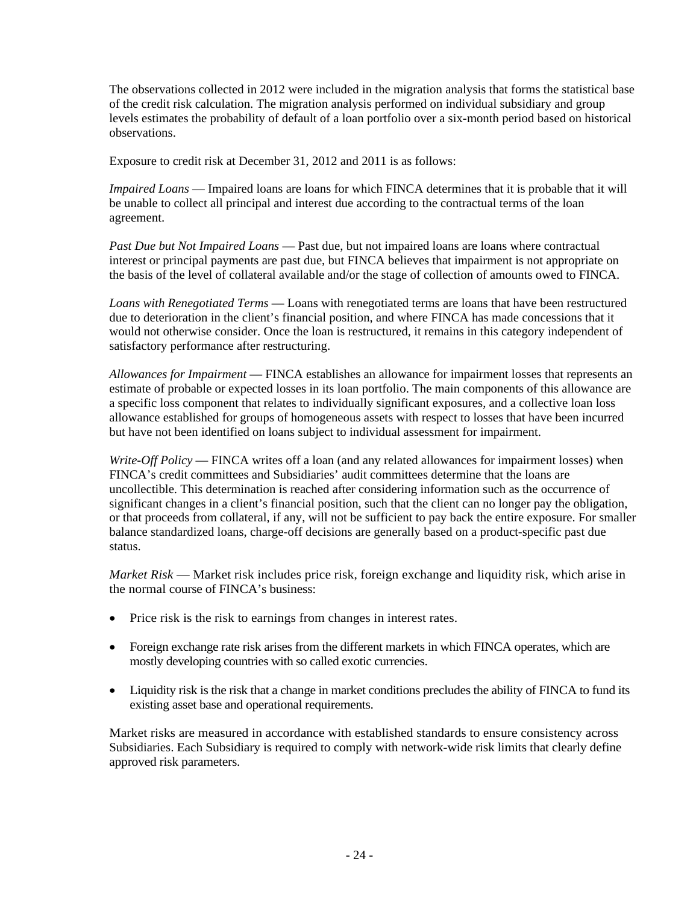The observations collected in 2012 were included in the migration analysis that forms the statistical base of the credit risk calculation. The migration analysis performed on individual subsidiary and group levels estimates the probability of default of a loan portfolio over a six-month period based on historical observations.

Exposure to credit risk at December 31, 2012 and 2011 is as follows:

*Impaired Loans* — Impaired loans are loans for which FINCA determines that it is probable that it will be unable to collect all principal and interest due according to the contractual terms of the loan agreement.

*Past Due but Not Impaired Loans* — Past due, but not impaired loans are loans where contractual interest or principal payments are past due, but FINCA believes that impairment is not appropriate on the basis of the level of collateral available and/or the stage of collection of amounts owed to FINCA.

*Loans with Renegotiated Terms* — Loans with renegotiated terms are loans that have been restructured due to deterioration in the client's financial position, and where FINCA has made concessions that it would not otherwise consider. Once the loan is restructured, it remains in this category independent of satisfactory performance after restructuring.

*Allowances for Impairment* — FINCA establishes an allowance for impairment losses that represents an estimate of probable or expected losses in its loan portfolio. The main components of this allowance are a specific loss component that relates to individually significant exposures, and a collective loan loss allowance established for groups of homogeneous assets with respect to losses that have been incurred but have not been identified on loans subject to individual assessment for impairment.

*Write-Off Policy* — FINCA writes off a loan (and any related allowances for impairment losses) when FINCA's credit committees and Subsidiaries' audit committees determine that the loans are uncollectible. This determination is reached after considering information such as the occurrence of significant changes in a client's financial position, such that the client can no longer pay the obligation, or that proceeds from collateral, if any, will not be sufficient to pay back the entire exposure. For smaller balance standardized loans, charge-off decisions are generally based on a product-specific past due status.

*Market Risk* — Market risk includes price risk, foreign exchange and liquidity risk, which arise in the normal course of FINCA's business:

- Price risk is the risk to earnings from changes in interest rates.
- Foreign exchange rate risk arises from the different markets in which FINCA operates, which are mostly developing countries with so called exotic currencies.
- Liquidity risk is the risk that a change in market conditions precludes the ability of FINCA to fund its existing asset base and operational requirements.

Market risks are measured in accordance with established standards to ensure consistency across Subsidiaries. Each Subsidiary is required to comply with network-wide risk limits that clearly define approved risk parameters.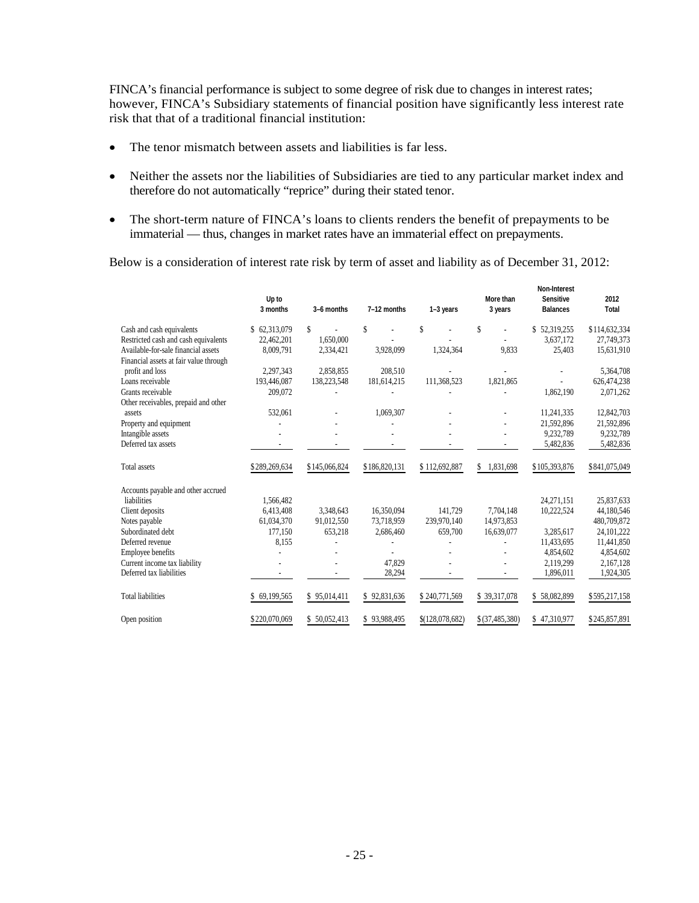FINCA's financial performance is subject to some degree of risk due to changes in interest rates; however, FINCA's Subsidiary statements of financial position have significantly less interest rate risk that that of a traditional financial institution:

- The tenor mismatch between assets and liabilities is far less.
- Neither the assets nor the liabilities of Subsidiaries are tied to any particular market index and therefore do not automatically "reprice" during their stated tenor.
- The short-term nature of FINCA's loans to clients renders the benefit of prepayments to be immaterial — thus, changes in market rates have an immaterial effect on prepayments.

Below is a consideration of interest rate risk by term of asset and liability as of December 31, 2012:

|                                        | Up to<br>3 months | 3-6 months       | 7-12 months   | $1-3$ years     | More than<br>3 years | Non-Interest<br><b>Sensitive</b><br><b>Balances</b> | 2012<br>Total |
|----------------------------------------|-------------------|------------------|---------------|-----------------|----------------------|-----------------------------------------------------|---------------|
| Cash and cash equivalents              | \$ 62,313,079     | \$               | \$            | \$              | \$                   | \$52,319,255                                        | \$114,632,334 |
| Restricted cash and cash equivalents   | 22.462.201        | 1.650.000        |               |                 |                      | 3,637,172                                           | 27,749,373    |
| Available-for-sale financial assets    | 8,009,791         | 2,334,421        | 3,928,099     | 1,324,364       | 9,833                | 25,403                                              | 15,631,910    |
| Financial assets at fair value through |                   |                  |               |                 |                      |                                                     |               |
| profit and loss                        | 2,297,343         | 2,858,855        | 208,510       |                 |                      |                                                     | 5,364,708     |
| Loans receivable                       | 193,446,087       | 138,223,548      | 181,614,215   | 111,368,523     | 1,821,865            |                                                     | 626,474,238   |
| Grants receivable                      | 209.072           |                  |               |                 |                      | 1,862,190                                           | 2,071,262     |
| Other receivables, prepaid and other   |                   |                  |               |                 |                      |                                                     |               |
| assets                                 | 532,061           |                  | 1,069,307     |                 |                      | 11,241,335                                          | 12,842,703    |
| Property and equipment                 |                   |                  |               |                 |                      | 21,592,896                                          | 21,592,896    |
| Intangible assets                      |                   |                  |               |                 |                      | 9,232,789                                           | 9,232,789     |
| Deferred tax assets                    |                   |                  |               |                 |                      | 5,482,836                                           | 5,482,836     |
| <b>Total assets</b>                    | \$289,269,634     | \$145,066,824    | \$186,820,131 | \$112,692,887   | \$1,831,698          | \$105,393,876                                       | \$841,075,049 |
| Accounts payable and other accrued     |                   |                  |               |                 |                      |                                                     |               |
| liabilities                            | 1,566,482         |                  |               |                 |                      | 24, 271, 151                                        | 25,837,633    |
| Client deposits                        | 6,413,408         | 3,348,643        | 16,350,094    | 141.729         | 7,704,148            | 10,222,524                                          | 44,180,546    |
| Notes payable                          | 61,034,370        | 91,012,550       | 73,718,959    | 239,970,140     | 14,973,853           |                                                     | 480,709,872   |
| Subordinated debt                      | 177,150           | 653,218          | 2,686,460     | 659,700         | 16,639,077           | 3,285,617                                           | 24, 101, 222  |
| Deferred revenue                       | 8,155             |                  |               |                 |                      | 11,433,695                                          | 11,441,850    |
| Employee benefits                      |                   |                  |               |                 |                      | 4,854,602                                           | 4,854,602     |
| Current income tax liability           |                   |                  | 47,829        |                 |                      | 2,119,299                                           | 2,167,128     |
| Deferred tax liabilities               |                   |                  | 28,294        |                 |                      | 1,896,011                                           | 1,924,305     |
| <b>Total liabilities</b>               | 69,199,565<br>S   | \$95,014,411     | \$92,831,636  | \$240,771,569   | \$39,317,078         | \$58,082,899                                        | \$595,217,158 |
| Open position                          | \$220,070,069     | 50,052,413<br>S. | \$93,988,495  | \$(128,078,682) | $$$ $(37,485,380)$   | \$47,310,977                                        | \$245,857,891 |
|                                        |                   |                  |               |                 |                      |                                                     |               |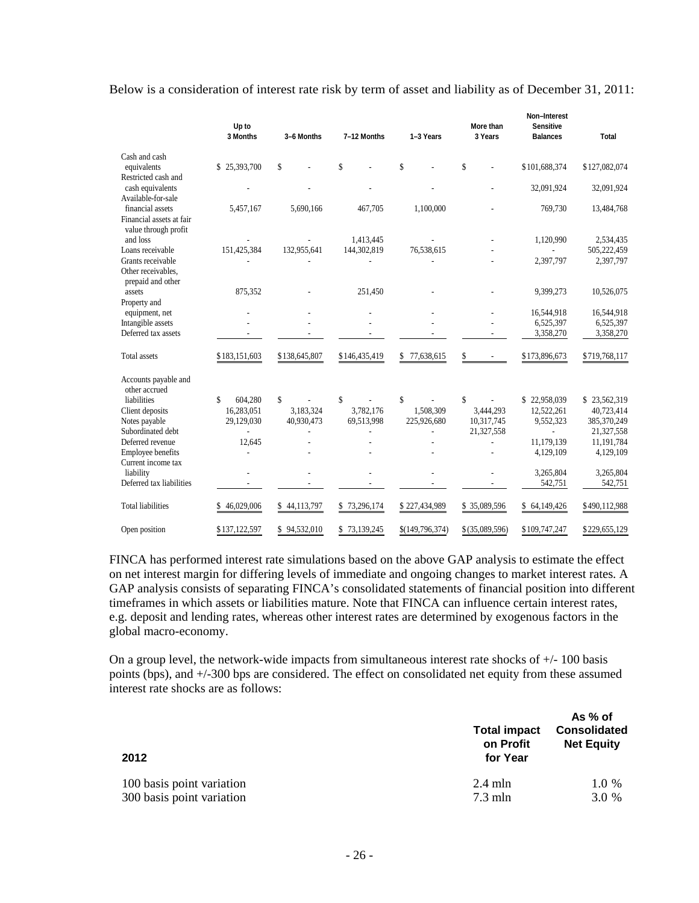Below is a consideration of interest rate risk by term of asset and liability as of December 31, 2011:

|                                                                      | Up to<br>3 Months | 3-6 Months    | 7-12 Months   | 1-3 Years         | More than<br>3 Years | Non-Interest<br><b>Sensitive</b><br><b>Balances</b> | <b>Total</b>  |
|----------------------------------------------------------------------|-------------------|---------------|---------------|-------------------|----------------------|-----------------------------------------------------|---------------|
| Cash and cash                                                        |                   |               |               |                   |                      |                                                     |               |
| equivalents<br>Restricted cash and                                   | \$25,393,700      | \$            | \$            | \$                | \$                   | \$101,688,374                                       | \$127,082,074 |
| cash equivalents                                                     |                   |               |               |                   |                      | 32,091,924                                          | 32,091,924    |
| Available-for-sale                                                   |                   |               |               |                   |                      |                                                     |               |
| financial assets<br>Financial assets at fair<br>value through profit | 5,457,167         | 5,690,166     | 467,705       | 1,100,000         |                      | 769,730                                             | 13,484,768    |
| and loss                                                             |                   |               | 1,413,445     |                   |                      | 1,120,990                                           | 2,534,435     |
| Loans receivable                                                     | 151,425,384       | 132,955,641   | 144,302,819   | 76,538,615        |                      |                                                     | 505,222,459   |
| Grants receivable<br>Other receivables,<br>prepaid and other         |                   |               |               |                   |                      | 2,397,797                                           | 2,397,797     |
| assets<br>Property and                                               | 875,352           |               | 251,450       |                   |                      | 9,399,273                                           | 10,526,075    |
| equipment, net                                                       |                   |               |               |                   |                      | 16,544,918                                          | 16,544,918    |
| Intangible assets                                                    |                   |               |               |                   |                      | 6,525,397                                           | 6,525,397     |
| Deferred tax assets                                                  |                   |               |               |                   |                      | 3,358,270                                           | 3,358,270     |
| Total assets                                                         | \$183,151,603     | \$138,645,807 | \$146,435,419 | 77,638,615<br>\$  | \$                   | \$173,896,673                                       | \$719,768,117 |
| Accounts payable and<br>other accrued                                |                   |               |               |                   |                      |                                                     |               |
| liabilities                                                          | \$<br>604.280     | \$            | \$            | \$                | \$                   | \$22,958,039                                        | \$23,562,319  |
| Client deposits                                                      | 16,283,051        | 3.183.324     | 3,782,176     | 1,508,309         | 3,444,293            | 12,522,261                                          | 40,723,414    |
| Notes payable                                                        | 29,129,030        | 40,930,473    | 69,513,998    | 225,926,680       | 10,317,745           | 9,552,323                                           | 385,370,249   |
| Subordinated debt                                                    | L.                |               |               |                   | 21,327,558           |                                                     | 21,327,558    |
| Deferred revenue                                                     | 12,645            |               |               |                   |                      | 11,179,139                                          | 11, 191, 784  |
| Employee benefits<br>Current income tax                              |                   |               |               |                   |                      | 4,129,109                                           | 4,129,109     |
| liability                                                            |                   |               |               |                   |                      | 3,265,804                                           | 3,265,804     |
| Deferred tax liabilities                                             |                   |               |               |                   |                      | 542,751                                             | 542,751       |
| <b>Total liabilities</b>                                             | 46,029,006<br>\$  | \$44,113,797  | \$73,296,174  | \$227,434,989     | \$35,089,596         | 64,149,426<br>\$                                    | \$490,112,988 |
| Open position                                                        | \$137,122,597     | \$94,532,010  | \$73,139,245  | \$(149, 796, 374) | $$$ $(35,089,596)$   | \$109,747,247                                       | \$229,655,129 |

FINCA has performed interest rate simulations based on the above GAP analysis to estimate the effect on net interest margin for differing levels of immediate and ongoing changes to market interest rates. A GAP analysis consists of separating FINCA's consolidated statements of financial position into different timeframes in which assets or liabilities mature. Note that FINCA can influence certain interest rates, e.g. deposit and lending rates, whereas other interest rates are determined by exogenous factors in the global macro-economy.

On a group level, the network-wide impacts from simultaneous interest rate shocks of  $+/-100$  basis points (bps), and +/-300 bps are considered. The effect on consolidated net equity from these assumed interest rate shocks are as follows:

| 2012                      | <b>Total impact</b><br>on Profit<br>for Year | As % of<br><b>Consolidated</b><br><b>Net Equity</b> |  |
|---------------------------|----------------------------------------------|-----------------------------------------------------|--|
| 100 basis point variation | $2.4$ mln                                    | 1.0 %                                               |  |
| 300 basis point variation | $7.3 \text{ mln}$                            | 3.0 %                                               |  |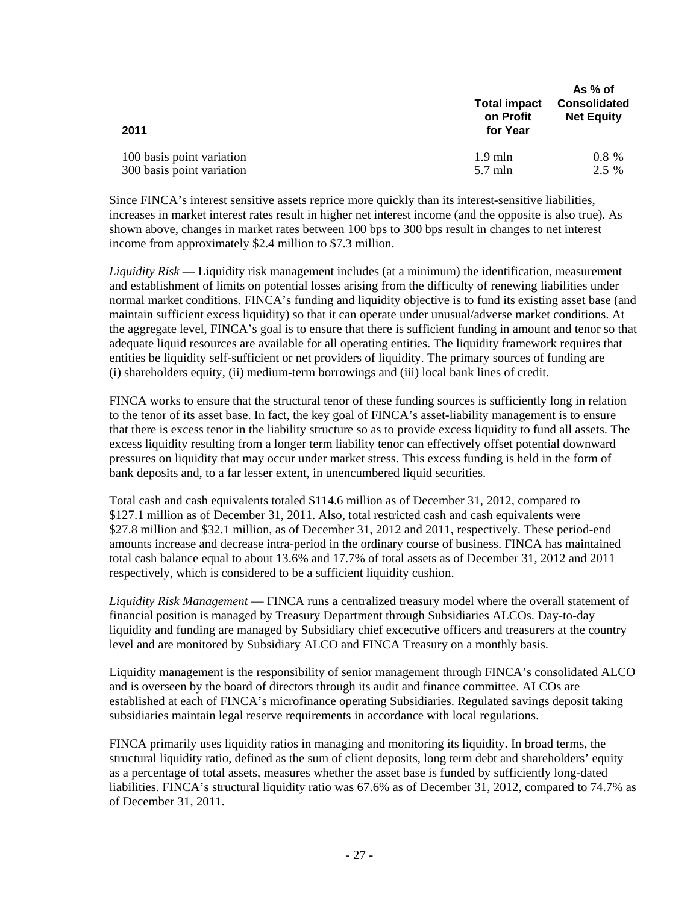| <b>Total impact</b><br>on Profit<br>for Year |                  |
|----------------------------------------------|------------------|
| $1.9$ mln                                    | $0.8\%$<br>2.5 % |
|                                              | $5.7$ mln        |

Since FINCA's interest sensitive assets reprice more quickly than its interest-sensitive liabilities, increases in market interest rates result in higher net interest income (and the opposite is also true). As shown above, changes in market rates between 100 bps to 300 bps result in changes to net interest income from approximately \$2.4 million to \$7.3 million.

*Liquidity Risk* — Liquidity risk management includes (at a minimum) the identification, measurement and establishment of limits on potential losses arising from the difficulty of renewing liabilities under normal market conditions. FINCA's funding and liquidity objective is to fund its existing asset base (and maintain sufficient excess liquidity) so that it can operate under unusual/adverse market conditions. At the aggregate level, FINCA's goal is to ensure that there is sufficient funding in amount and tenor so that adequate liquid resources are available for all operating entities. The liquidity framework requires that entities be liquidity self-sufficient or net providers of liquidity. The primary sources of funding are (i) shareholders equity, (ii) medium-term borrowings and (iii) local bank lines of credit.

FINCA works to ensure that the structural tenor of these funding sources is sufficiently long in relation to the tenor of its asset base. In fact, the key goal of FINCA's asset-liability management is to ensure that there is excess tenor in the liability structure so as to provide excess liquidity to fund all assets. The excess liquidity resulting from a longer term liability tenor can effectively offset potential downward pressures on liquidity that may occur under market stress. This excess funding is held in the form of bank deposits and, to a far lesser extent, in unencumbered liquid securities.

Total cash and cash equivalents totaled \$114.6 million as of December 31, 2012, compared to \$127.1 million as of December 31, 2011. Also, total restricted cash and cash equivalents were \$27.8 million and \$32.1 million, as of December 31, 2012 and 2011, respectively. These period-end amounts increase and decrease intra-period in the ordinary course of business. FINCA has maintained total cash balance equal to about 13.6% and 17.7% of total assets as of December 31, 2012 and 2011 respectively, which is considered to be a sufficient liquidity cushion.

*Liquidity Risk Management* — FINCA runs a centralized treasury model where the overall statement of financial position is managed by Treasury Department through Subsidiaries ALCOs. Day-to-day liquidity and funding are managed by Subsidiary chief excecutive officers and treasurers at the country level and are monitored by Subsidiary ALCO and FINCA Treasury on a monthly basis.

Liquidity management is the responsibility of senior management through FINCA's consolidated ALCO and is overseen by the board of directors through its audit and finance committee. ALCOs are established at each of FINCA's microfinance operating Subsidiaries. Regulated savings deposit taking subsidiaries maintain legal reserve requirements in accordance with local regulations.

FINCA primarily uses liquidity ratios in managing and monitoring its liquidity. In broad terms, the structural liquidity ratio, defined as the sum of client deposits, long term debt and shareholders' equity as a percentage of total assets, measures whether the asset base is funded by sufficiently long-dated liabilities. FINCA's structural liquidity ratio was 67.6% as of December 31, 2012, compared to 74.7% as of December 31, 2011.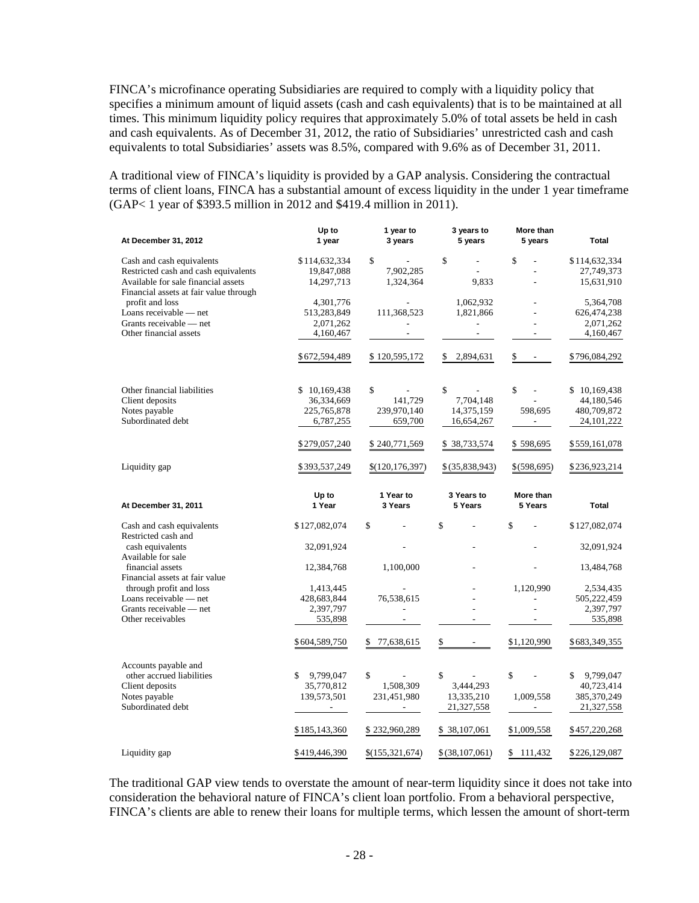FINCA's microfinance operating Subsidiaries are required to comply with a liquidity policy that specifies a minimum amount of liquid assets (cash and cash equivalents) that is to be maintained at all times. This minimum liquidity policy requires that approximately 5.0% of total assets be held in cash and cash equivalents. As of December 31, 2012, the ratio of Subsidiaries' unrestricted cash and cash equivalents to total Subsidiaries' assets was 8.5%, compared with 9.6% as of December 31, 2011.

A traditional view of FINCA's liquidity is provided by a GAP analysis. Considering the contractual terms of client loans, FINCA has a substantial amount of excess liquidity in the under 1 year timeframe (GAP< 1 year of \$393.5 million in 2012 and \$419.4 million in 2011).

| At December 31, 2012                                                          | Up to<br>1 year | 1 year to<br>3 years           | 3 years to<br>5 years | More than<br>5 years | <b>Total</b>    |
|-------------------------------------------------------------------------------|-----------------|--------------------------------|-----------------------|----------------------|-----------------|
| Cash and cash equivalents                                                     | \$114,632,334   | \$                             | \$                    | \$                   | \$114,632,334   |
| Restricted cash and cash equivalents                                          | 19,847,088      | 7,902,285                      | $\overline{a}$        |                      | 27,749,373      |
| Available for sale financial assets<br>Financial assets at fair value through | 14,297,713      | 1,324,364                      | 9.833                 |                      | 15,631,910      |
| profit and loss                                                               | 4,301,776       |                                | 1,062,932             |                      | 5,364,708       |
| Loans receivable — net                                                        | 513,283,849     | 111,368,523                    | 1,821,866             | $\overline{a}$       | 626, 474, 238   |
| Grants receivable — net                                                       | 2,071,262       |                                | $\overline{a}$        |                      | 2,071,262       |
| Other financial assets                                                        | 4,160,467       |                                | $\frac{1}{2}$         |                      | 4,160,467       |
|                                                                               | \$672,594,489   | \$120,595,172                  | 2,894,631<br>\$       | \$                   | \$796,084,292   |
| Other financial liabilities                                                   | \$10,169,438    | \$                             | \$                    | $\mathbf{\hat{S}}$   | \$10,169,438    |
| Client deposits                                                               | 36,334,669      | 141,729                        | 7,704,148             |                      | 44,180,546      |
| Notes payable                                                                 | 225, 765, 878   | 239,970,140                    | 14,375,159            | 598,695              | 480,709,872     |
| Subordinated debt                                                             | 6,787,255       | 659,700                        | 16,654,267            | ÷                    | 24, 101, 222    |
|                                                                               | \$279,057,240   | \$240,771,569                  | \$38,733,574          | \$598,695            | \$559,161,078   |
| Liquidity gap                                                                 | \$393,537,249   | \$(120, 176, 397)              | $$$ (35,838,943)      | \$(598,695)          | \$236,923,214   |
| At December 31, 2011                                                          | Up to<br>1 Year | 1 Year to<br>3 Years           | 3 Years to<br>5 Years | More than<br>5 Years | <b>Total</b>    |
| Cash and cash equivalents<br>Restricted cash and                              | \$127,082,074   | \$                             | \$                    | \$                   | \$127,082,074   |
| cash equivalents<br>Available for sale                                        | 32,091,924      |                                |                       |                      | 32,091,924      |
| financial assets<br>Financial assets at fair value                            | 12,384,768      | 1,100,000                      |                       |                      | 13,484,768      |
| through profit and loss                                                       | 1,413,445       |                                |                       | 1,120,990            | 2,534,435       |
| Loans receivable — net                                                        | 428,683,844     | 76,538,615                     |                       |                      | 505,222,459     |
| Grants receivable — net                                                       | 2,397,797       |                                |                       |                      | 2,397,797       |
| Other receivables                                                             | 535,898         |                                |                       |                      | 535,898         |
|                                                                               | \$604,589,750   | 77,638,615<br>\$               | \$                    | \$1,120,990          | \$683,349,355   |
| Accounts payable and                                                          |                 |                                |                       |                      |                 |
| other accrued liabilities                                                     | \$<br>9,799,047 | \$<br>$\overline{\phantom{a}}$ | \$                    | \$<br>$\frac{1}{2}$  | \$<br>9,799,047 |
| Client deposits                                                               | 35,770,812      | 1,508,309                      | 3,444,293             |                      | 40,723,414      |
| Notes payable                                                                 | 139,573,501     | 231,451,980                    | 13,335,210            | 1,009,558            | 385,370,249     |
| Subordinated debt                                                             | $\sim$          | $\sim$                         | 21,327,558            |                      | 21,327,558      |
|                                                                               | \$185,143,360   | \$232,960,289                  | \$38,107,061          | \$1,009,558          | \$457,220,268   |
| Liquidity gap                                                                 | \$419,446,390   | \$(155,321,674)                | $$$ (38,107,061)      | \$ 111,432           | \$226,129,087   |

The traditional GAP view tends to overstate the amount of near-term liquidity since it does not take into consideration the behavioral nature of FINCA's client loan portfolio. From a behavioral perspective, FINCA's clients are able to renew their loans for multiple terms, which lessen the amount of short-term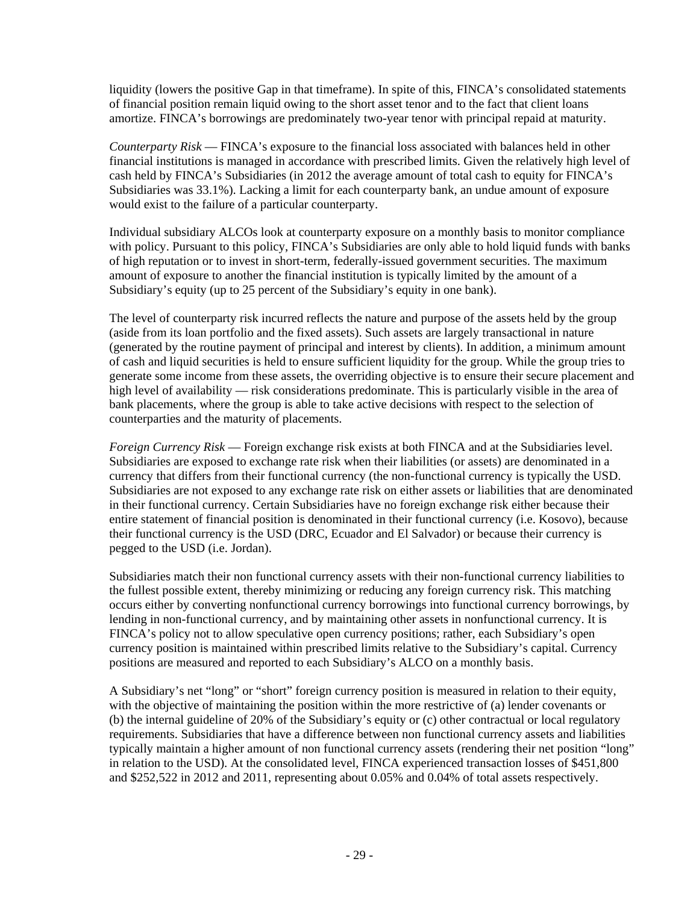liquidity (lowers the positive Gap in that timeframe). In spite of this, FINCA's consolidated statements of financial position remain liquid owing to the short asset tenor and to the fact that client loans amortize. FINCA's borrowings are predominately two-year tenor with principal repaid at maturity.

*Counterparty Risk* — FINCA's exposure to the financial loss associated with balances held in other financial institutions is managed in accordance with prescribed limits. Given the relatively high level of cash held by FINCA's Subsidiaries (in 2012 the average amount of total cash to equity for FINCA's Subsidiaries was 33.1%). Lacking a limit for each counterparty bank, an undue amount of exposure would exist to the failure of a particular counterparty.

Individual subsidiary ALCOs look at counterparty exposure on a monthly basis to monitor compliance with policy. Pursuant to this policy, FINCA's Subsidiaries are only able to hold liquid funds with banks of high reputation or to invest in short-term, federally-issued government securities. The maximum amount of exposure to another the financial institution is typically limited by the amount of a Subsidiary's equity (up to 25 percent of the Subsidiary's equity in one bank).

The level of counterparty risk incurred reflects the nature and purpose of the assets held by the group (aside from its loan portfolio and the fixed assets). Such assets are largely transactional in nature (generated by the routine payment of principal and interest by clients). In addition, a minimum amount of cash and liquid securities is held to ensure sufficient liquidity for the group. While the group tries to generate some income from these assets, the overriding objective is to ensure their secure placement and high level of availability — risk considerations predominate. This is particularly visible in the area of bank placements, where the group is able to take active decisions with respect to the selection of counterparties and the maturity of placements.

*Foreign Currency Risk* — Foreign exchange risk exists at both FINCA and at the Subsidiaries level. Subsidiaries are exposed to exchange rate risk when their liabilities (or assets) are denominated in a currency that differs from their functional currency (the non-functional currency is typically the USD. Subsidiaries are not exposed to any exchange rate risk on either assets or liabilities that are denominated in their functional currency. Certain Subsidiaries have no foreign exchange risk either because their entire statement of financial position is denominated in their functional currency (i.e. Kosovo), because their functional currency is the USD (DRC, Ecuador and El Salvador) or because their currency is pegged to the USD (i.e. Jordan).

Subsidiaries match their non functional currency assets with their non-functional currency liabilities to the fullest possible extent, thereby minimizing or reducing any foreign currency risk. This matching occurs either by converting nonfunctional currency borrowings into functional currency borrowings, by lending in non-functional currency, and by maintaining other assets in nonfunctional currency. It is FINCA's policy not to allow speculative open currency positions; rather, each Subsidiary's open currency position is maintained within prescribed limits relative to the Subsidiary's capital. Currency positions are measured and reported to each Subsidiary's ALCO on a monthly basis.

A Subsidiary's net "long" or "short" foreign currency position is measured in relation to their equity, with the objective of maintaining the position within the more restrictive of (a) lender covenants or (b) the internal guideline of 20% of the Subsidiary's equity or (c) other contractual or local regulatory requirements. Subsidiaries that have a difference between non functional currency assets and liabilities typically maintain a higher amount of non functional currency assets (rendering their net position "long" in relation to the USD). At the consolidated level, FINCA experienced transaction losses of \$451,800 and \$252,522 in 2012 and 2011, representing about 0.05% and 0.04% of total assets respectively.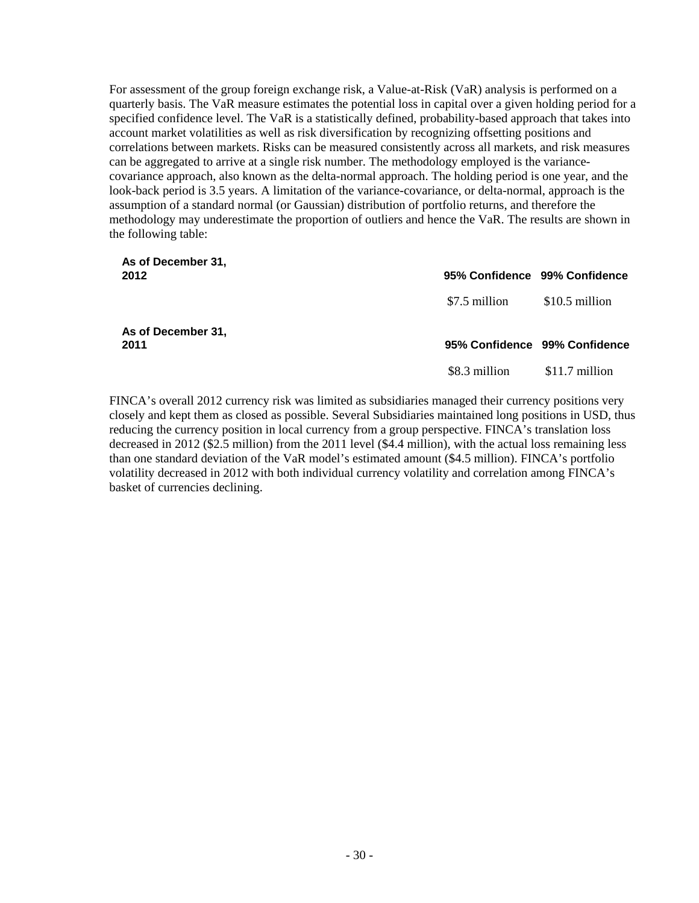For assessment of the group foreign exchange risk, a Value-at-Risk (VaR) analysis is performed on a quarterly basis. The VaR measure estimates the potential loss in capital over a given holding period for a specified confidence level. The VaR is a statistically defined, probability-based approach that takes into account market volatilities as well as risk diversification by recognizing offsetting positions and correlations between markets. Risks can be measured consistently across all markets, and risk measures can be aggregated to arrive at a single risk number. The methodology employed is the variancecovariance approach, also known as the delta-normal approach. The holding period is one year, and the look-back period is 3.5 years. A limitation of the variance-covariance, or delta-normal, approach is the assumption of a standard normal (or Gaussian) distribution of portfolio returns, and therefore the methodology may underestimate the proportion of outliers and hence the VaR. The results are shown in the following table:

| As of December 31,<br>2012 | 95% Confidence 99% Confidence |                 |
|----------------------------|-------------------------------|-----------------|
|                            | \$7.5 million                 | \$10.5 million  |
| As of December 31,<br>2011 | 95% Confidence 99% Confidence |                 |
|                            | \$8.3 million                 | $$11.7$ million |

FINCA's overall 2012 currency risk was limited as subsidiaries managed their currency positions very closely and kept them as closed as possible. Several Subsidiaries maintained long positions in USD, thus reducing the currency position in local currency from a group perspective. FINCA's translation loss decreased in 2012 (\$2.5 million) from the 2011 level (\$4.4 million), with the actual loss remaining less than one standard deviation of the VaR model's estimated amount (\$4.5 million). FINCA's portfolio volatility decreased in 2012 with both individual currency volatility and correlation among FINCA's basket of currencies declining.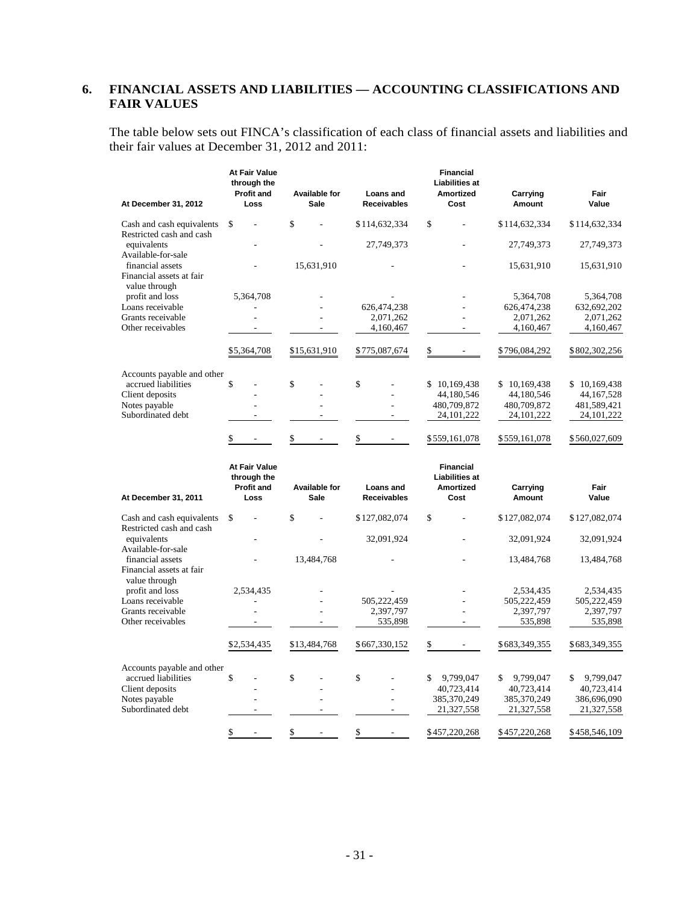#### **6. FINANCIAL ASSETS AND LIABILITIES — ACCOUNTING CLASSIFICATIONS AND FAIR VALUES**

The table below sets out FINCA's classification of each class of financial assets and liabilities and their fair values at December 31, 2012 and 2011:

| At December 31, 2012                                                                | <b>At Fair Value</b><br>through the<br><b>Profit and</b><br>Loss | <b>Available for</b><br>Sale | Loans and<br><b>Receivables</b> | <b>Financial</b><br><b>Liabilities at</b><br><b>Amortized</b><br>Cost | Carrying<br>Amount     | Fair<br>Value          |
|-------------------------------------------------------------------------------------|------------------------------------------------------------------|------------------------------|---------------------------------|-----------------------------------------------------------------------|------------------------|------------------------|
| Cash and cash equivalents<br>Restricted cash and cash                               | \$                                                               | \$                           | \$114,632,334                   | \$                                                                    | \$114,632,334          | \$114,632,334          |
| equivalents<br>Available-for-sale                                                   |                                                                  |                              | 27,749,373                      |                                                                       | 27,749,373             | 27,749,373             |
| financial assets<br>Financial assets at fair<br>value through                       |                                                                  | 15,631,910                   |                                 |                                                                       | 15,631,910             | 15,631,910             |
| profit and loss                                                                     | 5,364,708                                                        |                              |                                 |                                                                       | 5,364,708              | 5,364,708              |
| Loans receivable                                                                    |                                                                  |                              | 626,474,238                     |                                                                       | 626,474,238            | 632,692,202            |
| Grants receivable<br>Other receivables                                              | L.                                                               |                              | 2,071,262<br>4,160,467          | ÷.                                                                    | 2,071,262<br>4,160,467 | 2,071,262<br>4,160,467 |
|                                                                                     | \$5,364,708                                                      | \$15,631,910                 | \$775,087,674                   | \$                                                                    | \$796,084,292          | \$802,302,256          |
| Accounts payable and other                                                          |                                                                  |                              |                                 |                                                                       |                        |                        |
| accrued liabilities                                                                 | \$                                                               | \$                           | \$                              | \$10,169,438                                                          | \$10,169,438           | \$10,169,438           |
| Client deposits                                                                     |                                                                  |                              |                                 | 44,180,546                                                            | 44,180,546             | 44,167,528             |
| Notes payable                                                                       |                                                                  |                              | ÷                               | 480,709,872                                                           | 480,709,872            | 481,589,421            |
| Subordinated debt                                                                   |                                                                  |                              |                                 | 24, 101, 222                                                          | 24, 101, 222           | 24, 101, 222           |
|                                                                                     | \$                                                               | \$                           | \$                              | \$559,161,078                                                         | \$559,161,078          | \$560,027,609          |
| At December 31, 2011                                                                | At Fair Value<br>through the<br><b>Profit and</b><br>Loss        | <b>Available for</b><br>Sale | Loans and<br><b>Receivables</b> | <b>Financial</b><br><b>Liabilities at</b><br>Amortized<br>Cost        | Carrying<br>Amount     | Fair<br>Value          |
|                                                                                     |                                                                  |                              |                                 |                                                                       |                        |                        |
| Cash and cash equivalents<br>Restricted cash and cash                               | \$                                                               | \$                           | \$127,082,074                   | \$                                                                    | \$127,082,074          | \$127,082,074          |
| equivalents                                                                         |                                                                  |                              | 32,091,924                      |                                                                       | 32,091,924             | 32,091,924             |
| Available-for-sale<br>financial assets<br>Financial assets at fair<br>value through |                                                                  | 13,484,768                   |                                 |                                                                       | 13,484,768             | 13,484,768             |
| profit and loss                                                                     | 2,534,435                                                        |                              |                                 |                                                                       | 2,534,435              | 2,534,435              |
| Loans receivable                                                                    |                                                                  |                              | 505,222,459                     |                                                                       | 505,222,459            | 505,222,459            |
| Grants receivable                                                                   |                                                                  |                              | 2,397,797                       |                                                                       | 2,397,797              | 2,397,797              |
| Other receivables                                                                   |                                                                  |                              | 535,898                         |                                                                       | 535,898                | 535,898                |
|                                                                                     | \$2,534,435                                                      | \$13,484,768                 | \$667,330,152                   | \$                                                                    | \$683,349,355          | \$683,349,355          |
| Accounts payable and other                                                          |                                                                  |                              |                                 |                                                                       |                        |                        |
| accrued liabilities                                                                 | \$                                                               | \$                           | \$                              | \$<br>9,799,047                                                       | \$<br>9,799,047        | \$<br>9,799,047        |
| Client deposits                                                                     |                                                                  |                              |                                 | 40,723,414                                                            | 40,723,414             | 40,723,414             |
| Notes payable                                                                       |                                                                  |                              |                                 | 385,370,249                                                           | 385,370,249            | 386,696,090            |
| Subordinated debt                                                                   |                                                                  |                              |                                 | 21,327,558                                                            | 21,327,558             | 21,327,558             |
|                                                                                     | \$                                                               | \$                           | \$                              | \$457,220,268                                                         | \$457,220,268          | \$458,546,109          |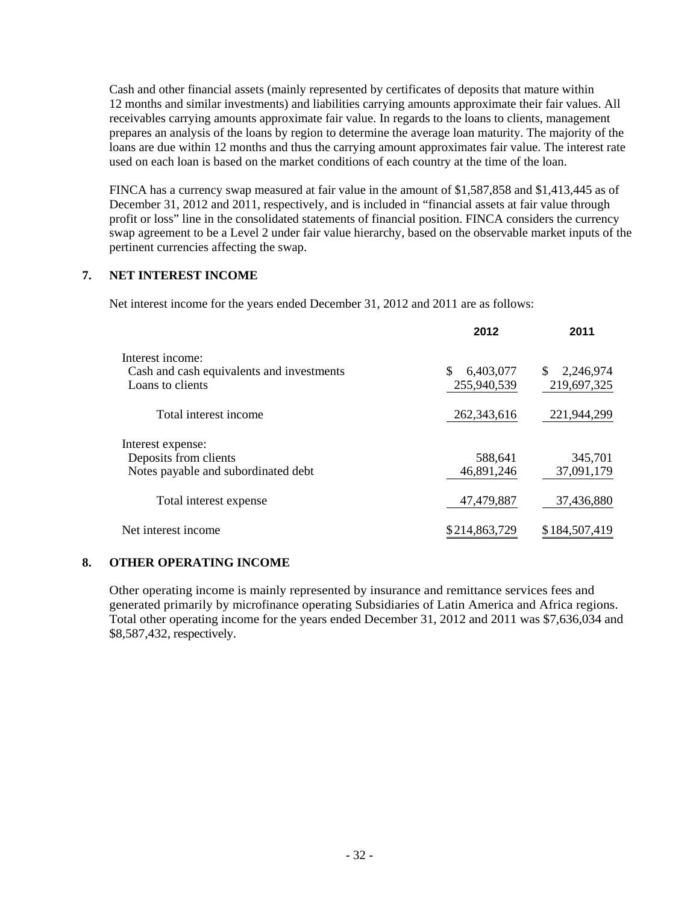Cash and other financial assets (mainly represented by certificates of deposits that mature within 12 months and similar investments) and liabilities carrying amounts approximate their fair values. All receivables carrying amounts approximate fair value. In regards to the loans to clients, management prepares an analysis of the loans by region to determine the average loan maturity. The majority of the loans are due within 12 months and thus the carrying amount approximates fair value. The interest rate used on each loan is based on the market conditions of each country at the time of the loan.

FINCA has a currency swap measured at fair value in the amount of \$1,587,858 and \$1,413,445 as of December 31, 2012 and 2011, respectively, and is included in "financial assets at fair value through profit or loss" line in the consolidated statements of financial position. FINCA considers the currency swap agreement to be a Level 2 under fair value hierarchy, based on the observable market inputs of the pertinent currencies affecting the swap.

#### **7. NET INTEREST INCOME**

Net interest income for the years ended December 31, 2012 and 2011 are as follows:

|                | 2011                |
|----------------|---------------------|
|                |                     |
| S<br>6,403,077 | 2,246,974<br>S.     |
|                | 219,697,325         |
| 262,343,616    | 221,944,299         |
|                |                     |
| 588.641        | 345,701             |
| 46,891,246     | 37,091,179          |
| 47,479,887     | 37,436,880          |
| \$214,863,729  | \$184,507,419       |
|                | 2012<br>255,940,539 |

#### **8. OTHER OPERATING INCOME**

Other operating income is mainly represented by insurance and remittance services fees and generated primarily by microfinance operating Subsidiaries of Latin America and Africa regions. Total other operating income for the years ended December 31, 2012 and 2011 was \$7,636,034 and \$8,587,432, respectively.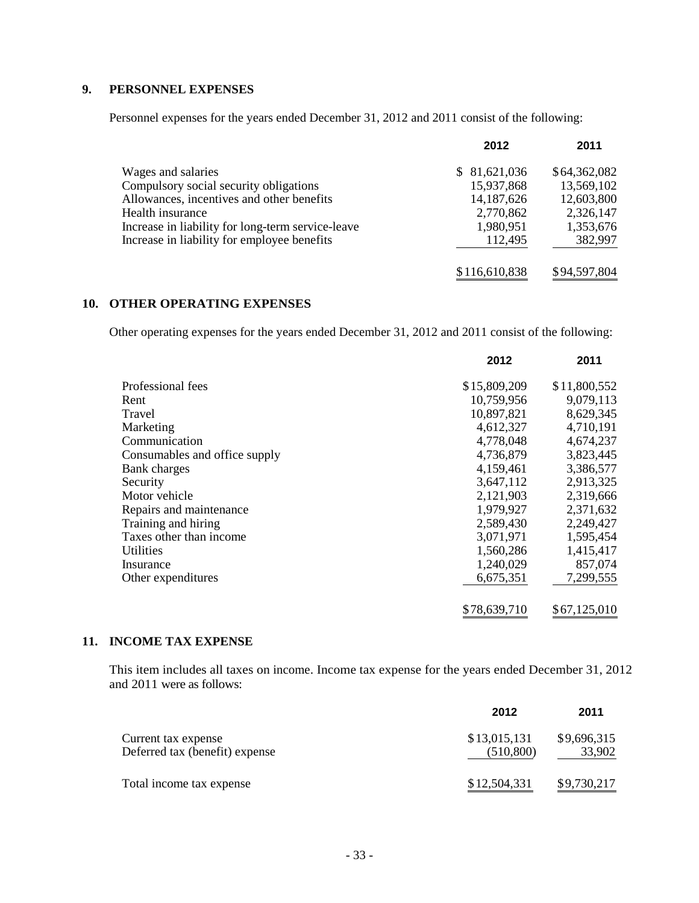#### **9. PERSONNEL EXPENSES**

Personnel expenses for the years ended December 31, 2012 and 2011 consist of the following:

|                                                   | 2012          | 2011         |
|---------------------------------------------------|---------------|--------------|
| Wages and salaries                                | \$81,621,036  | \$64,362,082 |
| Compulsory social security obligations            | 15,937,868    | 13,569,102   |
| Allowances, incentives and other benefits         | 14,187,626    | 12,603,800   |
| Health insurance                                  | 2,770,862     | 2,326,147    |
| Increase in liability for long-term service-leave | 1,980,951     | 1,353,676    |
| Increase in liability for employee benefits       | 112,495       | 382,997      |
|                                                   | \$116,610,838 | \$94,597,804 |

#### **10. OTHER OPERATING EXPENSES**

Other operating expenses for the years ended December 31, 2012 and 2011 consist of the following:

|                               | 2012         | 2011         |
|-------------------------------|--------------|--------------|
| Professional fees             | \$15,809,209 | \$11,800,552 |
| Rent                          | 10,759,956   | 9,079,113    |
| Travel                        | 10,897,821   | 8,629,345    |
| Marketing                     | 4,612,327    | 4,710,191    |
| Communication                 | 4,778,048    | 4,674,237    |
| Consumables and office supply | 4,736,879    | 3,823,445    |
| Bank charges                  | 4,159,461    | 3,386,577    |
| Security                      | 3,647,112    | 2,913,325    |
| Motor vehicle                 | 2,121,903    | 2,319,666    |
| Repairs and maintenance       | 1,979,927    | 2,371,632    |
| Training and hiring           | 2,589,430    | 2,249,427    |
| Taxes other than income       | 3,071,971    | 1,595,454    |
| <b>Utilities</b>              | 1,560,286    | 1,415,417    |
| Insurance                     | 1,240,029    | 857,074      |
| Other expenditures            | 6,675,351    | 7,299,555    |
|                               | \$78,639,710 | \$67,125,010 |

#### **11. INCOME TAX EXPENSE**

This item includes all taxes on income. Income tax expense for the years ended December 31, 2012 and 2011 were as follows:

|                                                       | 2012                       | 2011                  |
|-------------------------------------------------------|----------------------------|-----------------------|
| Current tax expense<br>Deferred tax (benefit) expense | \$13,015,131<br>(510, 800) | \$9,696,315<br>33,902 |
| Total income tax expense                              | \$12,504,331               | \$9,730,217           |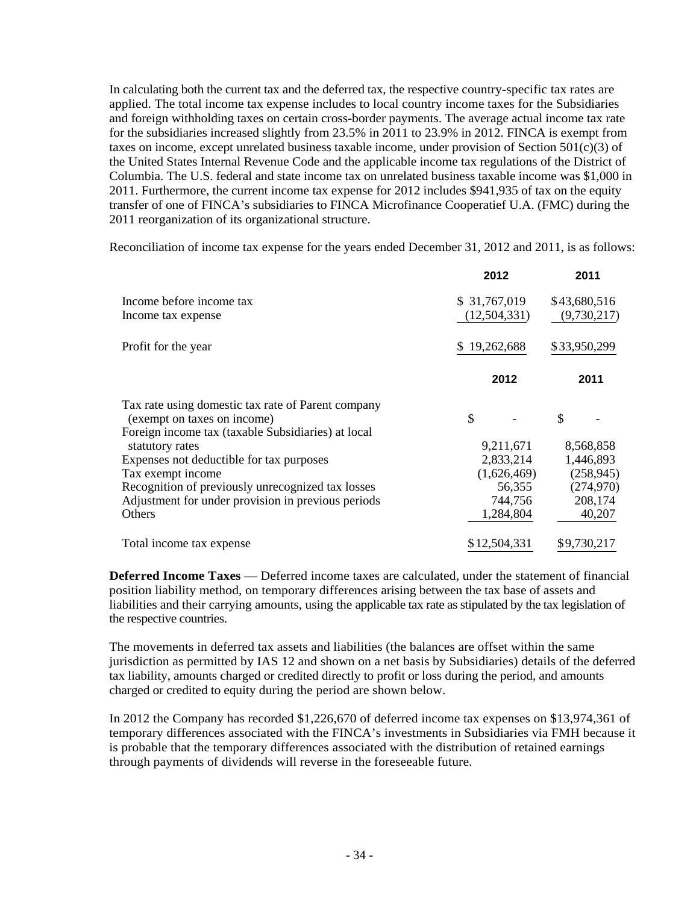In calculating both the current tax and the deferred tax, the respective country-specific tax rates are applied. The total income tax expense includes to local country income taxes for the Subsidiaries and foreign withholding taxes on certain cross-border payments. The average actual income tax rate for the subsidiaries increased slightly from 23.5% in 2011 to 23.9% in 2012. FINCA is exempt from taxes on income, except unrelated business taxable income, under provision of Section 501(c)(3) of the United States Internal Revenue Code and the applicable income tax regulations of the District of Columbia. The U.S. federal and state income tax on unrelated business taxable income was \$1,000 in 2011. Furthermore, the current income tax expense for 2012 includes \$941,935 of tax on the equity transfer of one of FINCA's subsidiaries to FINCA Microfinance Cooperatief U.A. (FMC) during the 2011 reorganization of its organizational structure.

Reconciliation of income tax expense for the years ended December 31, 2012 and 2011, is as follows:

|                                                                                                                                                                                                                                                                                                                                        | 2012                                                             | 2011                                                               |
|----------------------------------------------------------------------------------------------------------------------------------------------------------------------------------------------------------------------------------------------------------------------------------------------------------------------------------------|------------------------------------------------------------------|--------------------------------------------------------------------|
| Income before income tax<br>Income tax expense                                                                                                                                                                                                                                                                                         | \$ 31,767,019<br>(12,504,331)                                    | \$43,680,516<br>(9,730,217)                                        |
| Profit for the year                                                                                                                                                                                                                                                                                                                    | \$19,262,688                                                     | \$33,950,299                                                       |
|                                                                                                                                                                                                                                                                                                                                        | 2012                                                             | 2011                                                               |
| Tax rate using domestic tax rate of Parent company<br>(exempt on taxes on income)<br>Foreign income tax (taxable Subsidiaries) at local<br>statutory rates<br>Expenses not deductible for tax purposes<br>Tax exempt income<br>Recognition of previously unrecognized tax losses<br>Adjustment for under provision in previous periods | \$<br>9,211,671<br>2,833,214<br>(1,626,469)<br>56,355<br>744,756 | \$<br>8,568,858<br>1,446,893<br>(258, 945)<br>(274,970)<br>208,174 |
| Others                                                                                                                                                                                                                                                                                                                                 | 1,284,804                                                        | 40,207                                                             |
| Total income tax expense                                                                                                                                                                                                                                                                                                               | \$12,504,331                                                     | \$9,730,217                                                        |

**Deferred Income Taxes** — Deferred income taxes are calculated, under the statement of financial position liability method, on temporary differences arising between the tax base of assets and liabilities and their carrying amounts, using the applicable tax rate as stipulated by the tax legislation of the respective countries.

The movements in deferred tax assets and liabilities (the balances are offset within the same jurisdiction as permitted by IAS 12 and shown on a net basis by Subsidiaries) details of the deferred tax liability, amounts charged or credited directly to profit or loss during the period, and amounts charged or credited to equity during the period are shown below.

In 2012 the Company has recorded \$1,226,670 of deferred income tax expenses on \$13,974,361 of temporary differences associated with the FINCA's investments in Subsidiaries via FMH because it is probable that the temporary differences associated with the distribution of retained earnings through payments of dividends will reverse in the foreseeable future.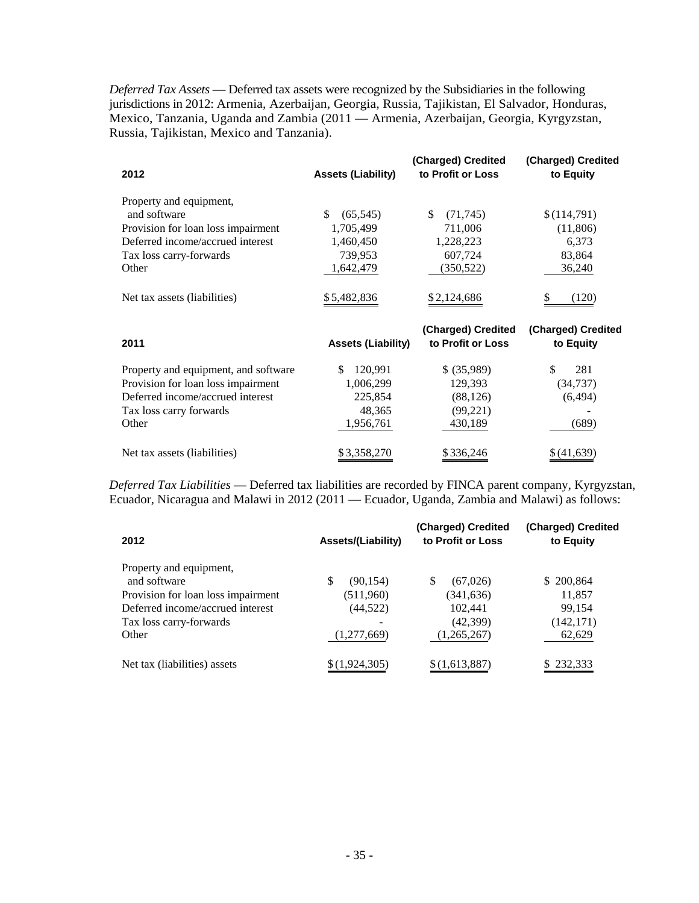*Deferred Tax Assets* — Deferred tax assets were recognized by the Subsidiaries in the following jurisdictions in 2012: Armenia, Azerbaijan, Georgia, Russia, Tajikistan, El Salvador, Honduras, Mexico, Tanzania, Uganda and Zambia (2011 — Armenia, Azerbaijan, Georgia, Kyrgyzstan, Russia, Tajikistan, Mexico and Tanzania).

| 2012                                 | <b>Assets (Liability)</b> | (Charged) Credited<br>to Profit or Loss | (Charged) Credited<br>to Equity |
|--------------------------------------|---------------------------|-----------------------------------------|---------------------------------|
| Property and equipment,              |                           |                                         |                                 |
| and software                         | \$<br>(65, 545)           | \$<br>(71, 745)                         | \$(114,791)                     |
| Provision for loan loss impairment   | 1,705,499                 | 711,006                                 | (11,806)                        |
| Deferred income/accrued interest     | 1,460,450                 | 1,228,223                               | 6,373                           |
| Tax loss carry-forwards              | 739,953                   | 607,724                                 | 83,864                          |
| Other                                | 1,642,479                 | (350, 522)                              | 36,240                          |
| Net tax assets (liabilities)         | \$5,482,836               | \$2,124,686                             | \$<br>(120)                     |
| 2011                                 | <b>Assets (Liability)</b> | (Charged) Credited<br>to Profit or Loss | (Charged) Credited<br>to Equity |
| Property and equipment, and software | 120,991<br>S.             | $$$ (35,989)                            | \$.<br>281                      |
| Provision for loan loss impairment   | 1,006,299                 | 129,393                                 | (34, 737)                       |
| Deferred income/accrued interest     | 225,854                   | (88, 126)                               | (6, 494)                        |
|                                      |                           |                                         |                                 |
| Tax loss carry forwards              | 48,365                    | (99, 221)                               |                                 |
| Other                                | 1,956,761                 | 430,189                                 | (689)                           |

*Deferred Tax Liabilities* — Deferred tax liabilities are recorded by FINCA parent company, Kyrgyzstan, Ecuador, Nicaragua and Malawi in 2012 (2011 — Ecuador, Uganda, Zambia and Malawi) as follows:

| 2012                               | Assets/(Liability) | (Charged) Credited<br>to Profit or Loss | (Charged) Credited<br>to Equity |
|------------------------------------|--------------------|-----------------------------------------|---------------------------------|
| Property and equipment,            |                    |                                         |                                 |
| and software                       | S<br>(90, 154)     | S<br>(67,026)                           | \$200,864                       |
| Provision for loan loss impairment | (511,960)          | (341, 636)                              | 11,857                          |
| Deferred income/accrued interest   | (44, 522)          | 102,441                                 | 99,154                          |
| Tax loss carry-forwards            |                    | (42,399)                                | (142, 171)                      |
| Other                              | (1,277,669)        | (1,265,267)                             | 62,629                          |
| Net tax (liabilities) assets       | \$(1,924,305)      | \$(1,613,887)                           | \$232,333                       |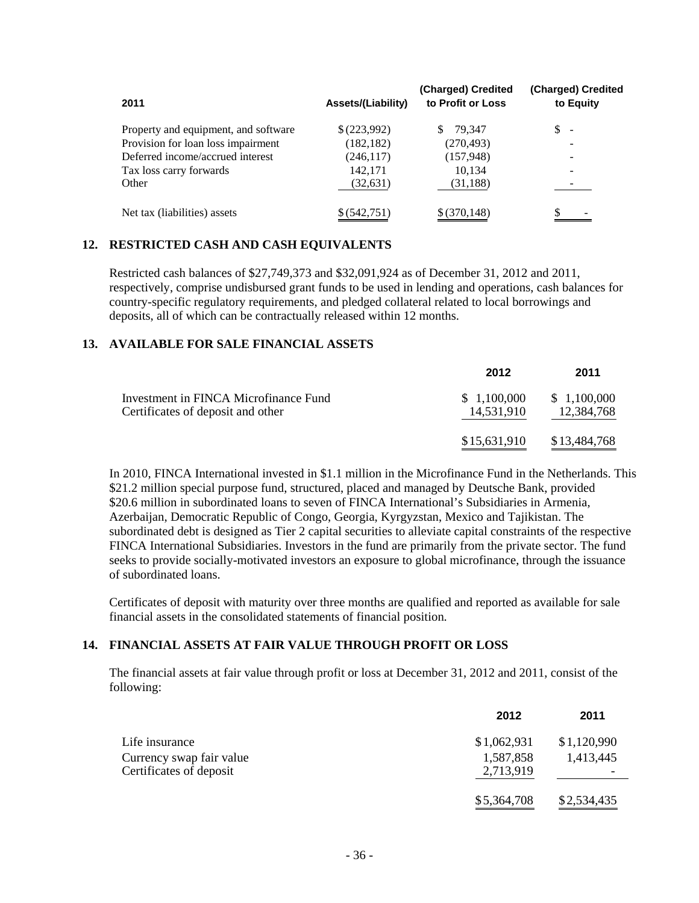| 2011                                 | <b>Assets/(Liability)</b> | (Charged) Credited<br>to Profit or Loss | (Charged) Credited<br>to Equity |
|--------------------------------------|---------------------------|-----------------------------------------|---------------------------------|
| Property and equipment, and software | \$(223,992)               | 79.347<br>S.                            | \$<br>- -                       |
| Provision for loan loss impairment   | (182, 182)                | (270, 493)                              |                                 |
| Deferred income/accrued interest     | (246, 117)                | (157, 948)                              |                                 |
| Tax loss carry forwards              | 142,171                   | 10,134                                  |                                 |
| Other                                | (32, 631)                 | (31, 188)                               |                                 |
| Net tax (liabilities) assets         | \$(542,751)               | \$(370, 148)                            |                                 |

#### **12. RESTRICTED CASH AND CASH EQUIVALENTS**

Restricted cash balances of \$27,749,373 and \$32,091,924 as of December 31, 2012 and 2011, respectively, comprise undisbursed grant funds to be used in lending and operations, cash balances for country-specific regulatory requirements, and pledged collateral related to local borrowings and deposits, all of which can be contractually released within 12 months.

#### **13. AVAILABLE FOR SALE FINANCIAL ASSETS**

|                                                                            | 2012                      | 2011                      |
|----------------------------------------------------------------------------|---------------------------|---------------------------|
| Investment in FINCA Microfinance Fund<br>Certificates of deposit and other | \$1,100,000<br>14,531,910 | \$1,100,000<br>12,384,768 |
|                                                                            | \$15,631,910              | \$13,484,768              |

In 2010, FINCA International invested in \$1.1 million in the Microfinance Fund in the Netherlands. This \$21.2 million special purpose fund, structured, placed and managed by Deutsche Bank, provided \$20.6 million in subordinated loans to seven of FINCA International's Subsidiaries in Armenia, Azerbaijan, Democratic Republic of Congo, Georgia, Kyrgyzstan, Mexico and Tajikistan. The subordinated debt is designed as Tier 2 capital securities to alleviate capital constraints of the respective FINCA International Subsidiaries. Investors in the fund are primarily from the private sector. The fund seeks to provide socially-motivated investors an exposure to global microfinance, through the issuance of subordinated loans.

Certificates of deposit with maturity over three months are qualified and reported as available for sale financial assets in the consolidated statements of financial position.

#### **14. FINANCIAL ASSETS AT FAIR VALUE THROUGH PROFIT OR LOSS**

The financial assets at fair value through profit or loss at December 31, 2012 and 2011, consist of the following:

|                                                     | 2012                   | 2011        |
|-----------------------------------------------------|------------------------|-------------|
| Life insurance                                      | \$1,062,931            | \$1,120,990 |
| Currency swap fair value<br>Certificates of deposit | 1,587,858<br>2,713,919 | 1,413,445   |
|                                                     | \$5,364,708            | \$2,534,435 |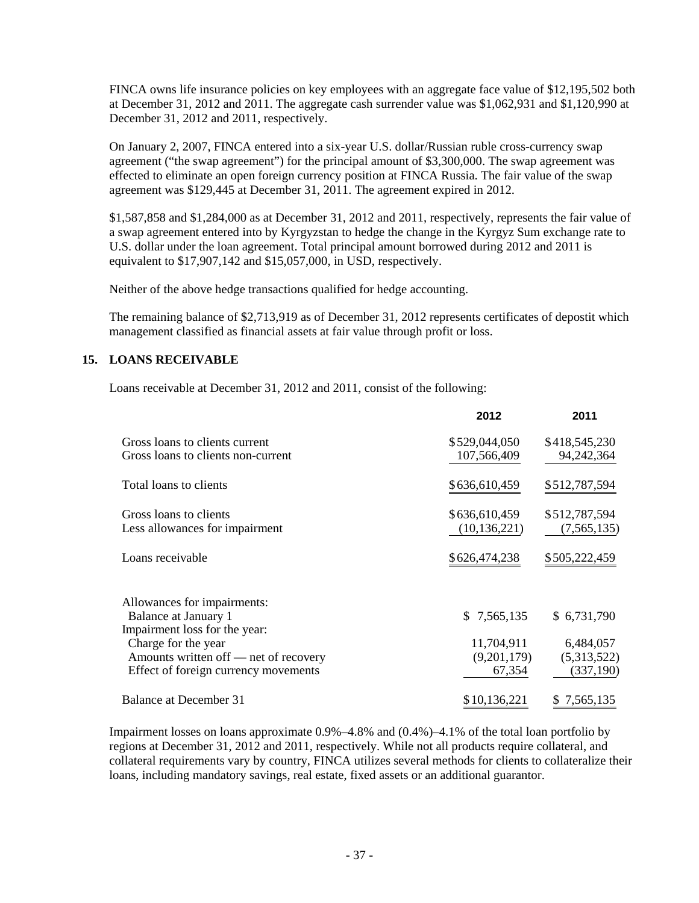FINCA owns life insurance policies on key employees with an aggregate face value of \$12,195,502 both at December 31, 2012 and 2011. The aggregate cash surrender value was \$1,062,931 and \$1,120,990 at December 31, 2012 and 2011, respectively.

On January 2, 2007, FINCA entered into a six-year U.S. dollar/Russian ruble cross-currency swap agreement ("the swap agreement") for the principal amount of \$3,300,000. The swap agreement was effected to eliminate an open foreign currency position at FINCA Russia. The fair value of the swap agreement was \$129,445 at December 31, 2011. The agreement expired in 2012.

\$1,587,858 and \$1,284,000 as at December 31, 2012 and 2011, respectively, represents the fair value of a swap agreement entered into by Kyrgyzstan to hedge the change in the Kyrgyz Sum exchange rate to U.S. dollar under the loan agreement. Total principal amount borrowed during 2012 and 2011 is equivalent to \$17,907,142 and \$15,057,000, in USD, respectively.

Neither of the above hedge transactions qualified for hedge accounting.

The remaining balance of \$2,713,919 as of December 31, 2012 represents certificates of depostit which management classified as financial assets at fair value through profit or loss.

#### **15. LOANS RECEIVABLE**

Loans receivable at December 31, 2012 and 2011, consist of the following:

|                                       | 2012           | 2011          |
|---------------------------------------|----------------|---------------|
| Gross loans to clients current        | \$529,044,050  | \$418,545,230 |
| Gross loans to clients non-current    | 107,566,409    | 94,242,364    |
| Total loans to clients                | \$636,610,459  | \$512,787,594 |
| Gross loans to clients                | \$636,610,459  | \$512,787,594 |
| Less allowances for impairment        | (10, 136, 221) | (7, 565, 135) |
| Loans receivable                      | \$626,474,238  | \$505,222,459 |
| Allowances for impairments:           |                |               |
| Balance at January 1                  | \$7,565,135    | \$6,731,790   |
| Impairment loss for the year:         |                |               |
| Charge for the year                   | 11,704,911     | 6,484,057     |
| Amounts written off — net of recovery | (9,201,179)    | (5,313,522)   |
| Effect of foreign currency movements  | 67,354         | (337, 190)    |
| Balance at December 31                | \$10,136,221   | \$7,565,135   |

Impairment losses on loans approximate 0.9%–4.8% and (0.4%)–4.1% of the total loan portfolio by regions at December 31, 2012 and 2011, respectively. While not all products require collateral, and collateral requirements vary by country, FINCA utilizes several methods for clients to collateralize their loans, including mandatory savings, real estate, fixed assets or an additional guarantor.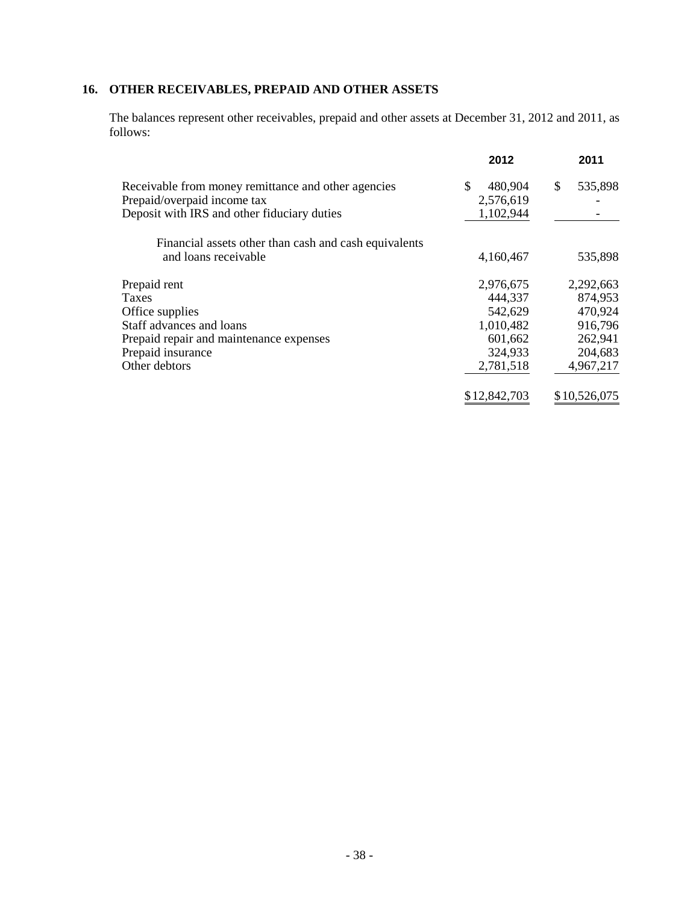#### **16. OTHER RECEIVABLES, PREPAID AND OTHER ASSETS**

The balances represent other receivables, prepaid and other assets at December 31, 2012 and 2011, as follows:

|                                                       | 2012          | 2011          |
|-------------------------------------------------------|---------------|---------------|
| Receivable from money remittance and other agencies   | \$<br>480,904 | 535,898<br>\$ |
| Prepaid/overpaid income tax                           | 2,576,619     |               |
| Deposit with IRS and other fiduciary duties           | 1,102,944     |               |
| Financial assets other than cash and cash equivalents |               |               |
| and loans receivable                                  | 4,160,467     | 535,898       |
| Prepaid rent                                          | 2,976,675     | 2,292,663     |
| <b>Taxes</b>                                          | 444,337       | 874,953       |
| Office supplies                                       | 542,629       | 470,924       |
| Staff advances and loans                              | 1,010,482     | 916,796       |
| Prepaid repair and maintenance expenses               | 601,662       | 262,941       |
| Prepaid insurance                                     | 324,933       | 204,683       |
| Other debtors                                         | 2,781,518     | 4,967,217     |
|                                                       | \$12,842,703  | \$10,526,075  |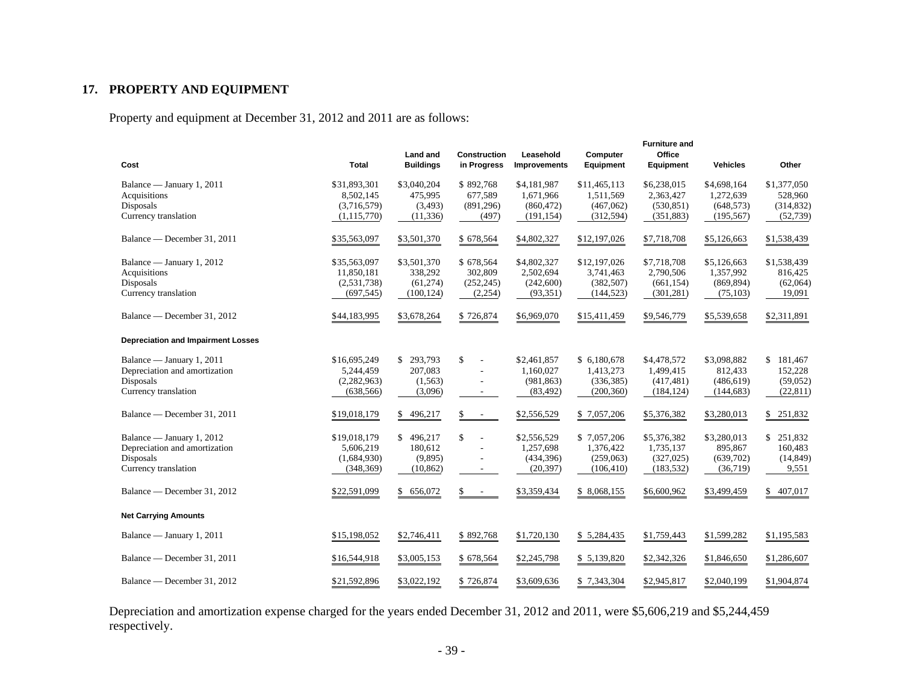#### **17. PROPERTY AND EQUIPMENT**

Property and equipment at December 31, 2012 and 2011 are as follows:

| Cost                                                                                            | <b>Total</b>                                              | <b>Land and</b><br><b>Buildings</b>               | <b>Construction</b><br>in Progress            | Leasehold<br><b>Improvements</b>                     | Computer<br>Equipment                                 | <b>Furniture and</b><br>Office<br><b>Equipment</b>   | <b>Vehicles</b>                                      | Other                                             |
|-------------------------------------------------------------------------------------------------|-----------------------------------------------------------|---------------------------------------------------|-----------------------------------------------|------------------------------------------------------|-------------------------------------------------------|------------------------------------------------------|------------------------------------------------------|---------------------------------------------------|
| Balance — January 1, 2011<br>Acquisitions<br>Disposals<br>Currency translation                  | \$31,893,301<br>8,502,145<br>(3,716,579)<br>(1, 115, 770) | \$3,040,204<br>475,995<br>(3,493)<br>(11, 336)    | \$892,768<br>677,589<br>(891, 296)<br>(497)   | \$4,181,987<br>1,671,966<br>(860, 472)<br>(191, 154) | \$11,465,113<br>1,511,569<br>(467,062)<br>(312, 594)  | \$6,238,015<br>2,363,427<br>(530, 851)<br>(351, 883) | \$4,698,164<br>1,272,639<br>(648, 573)<br>(195, 567) | \$1,377,050<br>528,960<br>(314, 832)<br>(52, 739) |
| Balance — December 31, 2011                                                                     | \$35,563,097                                              | \$3,501,370                                       | \$678,564                                     | \$4,802,327                                          | \$12,197,026                                          | \$7,718,708                                          | \$5,126,663                                          | \$1,538,439                                       |
| Balance — January 1, 2012<br>Acquisitions<br>Disposals<br>Currency translation                  | \$35,563,097<br>11,850,181<br>(2,531,738)<br>(697, 545)   | \$3,501,370<br>338,292<br>(61, 274)<br>(100, 124) | \$678,564<br>302,809<br>(252, 245)<br>(2,254) | \$4,802,327<br>2,502,694<br>(242,600)<br>(93, 351)   | \$12,197,026<br>3,741,463<br>(382, 507)<br>(144, 523) | \$7,718,708<br>2,790,506<br>(661, 154)<br>(301, 281) | \$5,126,663<br>1,357,992<br>(869, 894)<br>(75, 103)  | \$1,538,439<br>816,425<br>(62,064)<br>19,091      |
| Balance — December 31, 2012                                                                     | \$44,183,995                                              | \$3,678,264                                       | \$726,874                                     | \$6,969,070                                          | \$15,411,459                                          | \$9,546,779                                          | \$5,539,658                                          | \$2,311,891                                       |
| <b>Depreciation and Impairment Losses</b>                                                       |                                                           |                                                   |                                               |                                                      |                                                       |                                                      |                                                      |                                                   |
| Balance — January 1, 2011<br>Depreciation and amortization<br>Disposals<br>Currency translation | \$16,695,249<br>5,244,459<br>(2,282,963)<br>(638, 566)    | \$293,793<br>207,083<br>(1, 563)<br>(3,096)       | \$<br>$\sim$<br>$\sim$                        | \$2,461,857<br>1,160,027<br>(981, 863)<br>(83, 492)  | \$6,180,678<br>1,413,273<br>(336, 385)<br>(200, 360)  | \$4,478,572<br>1,499,415<br>(417, 481)<br>(184, 124) | \$3,098,882<br>812,433<br>(486, 619)<br>(144, 683)   | \$181,467<br>152,228<br>(59,052)<br>(22, 811)     |
| Balance — December 31, 2011                                                                     | \$19,018,179                                              | \$496,217                                         | \$                                            | \$2,556,529                                          | \$7,057,206                                           | \$5,376,382                                          | \$3,280,013                                          | \$251,832                                         |
| Balance — January 1, 2012<br>Depreciation and amortization<br>Disposals<br>Currency translation | \$19,018,179<br>5,606,219<br>(1,684,930)<br>(348, 369)    | \$496,217<br>180,612<br>(9,895)<br>(10, 862)      | \$<br>$\sim$<br>$\sim$                        | \$2,556,529<br>1,257,698<br>(434, 396)<br>(20, 397)  | \$7,057,206<br>1,376,422<br>(259,063)<br>(106, 410)   | \$5,376,382<br>1,735,137<br>(327, 025)<br>(183, 532) | \$3,280,013<br>895,867<br>(639,702)<br>(36,719)      | \$251,832<br>160,483<br>(14, 849)<br>9,551        |
| Balance — December 31, 2012                                                                     | \$22,591,099                                              | \$656,072                                         | \$<br>$\sim$                                  | \$3,359,434                                          | \$ 8,068,155                                          | \$6,600,962                                          | \$3,499,459                                          | \$407,017                                         |
| <b>Net Carrying Amounts</b>                                                                     |                                                           |                                                   |                                               |                                                      |                                                       |                                                      |                                                      |                                                   |
| Balance — January 1, 2011                                                                       | \$15,198,052                                              | \$2,746,411                                       | \$892,768                                     | \$1,720,130                                          | \$5,284,435                                           | \$1,759,443                                          | \$1,599,282                                          | \$1,195,583                                       |
| Balance — December 31, 2011                                                                     | \$16,544,918                                              | \$3,005,153                                       | \$678,564                                     | \$2,245,798                                          | \$5,139,820                                           | \$2,342,326                                          | \$1,846,650                                          | \$1,286,607                                       |
| Balance — December 31, 2012                                                                     | \$21,592,896                                              | \$3,022,192                                       | \$726,874                                     | \$3,609,636                                          | \$7,343,304                                           | \$2,945,817                                          | \$2,040,199                                          | \$1,904,874                                       |

Depreciation and amortization expense charged for the years ended December 31, 2012 and 2011, were \$5,606,219 and \$5,244,459 respectively.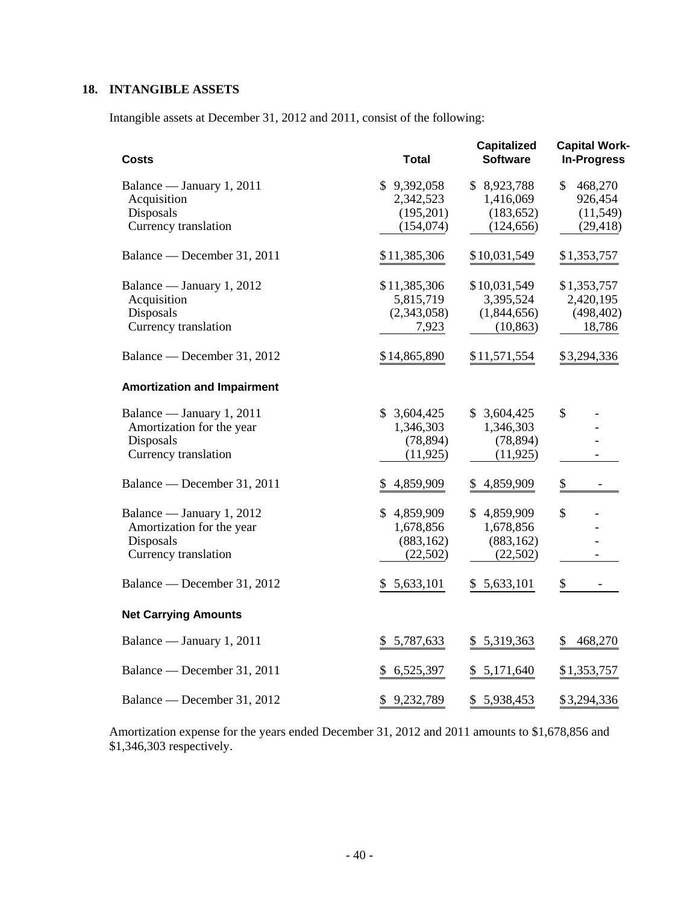#### **18. INTANGIBLE ASSETS**

Intangible assets at December 31, 2012 and 2011, consist of the following:

| Costs                                                                                       | Total                                               | <b>Capitalized</b><br><b>Software</b>                 | <b>Capital Work-</b><br><b>In-Progress</b>         |
|---------------------------------------------------------------------------------------------|-----------------------------------------------------|-------------------------------------------------------|----------------------------------------------------|
| Balance — January 1, 2011<br>Acquisition<br>Disposals<br>Currency translation               | \$9,392,058<br>2,342,523<br>(195,201)<br>(154, 074) | \$8,923,788<br>1,416,069<br>(183, 652)<br>(124, 656)  | 468,270<br>\$<br>926,454<br>(11, 549)<br>(29, 418) |
| Balance — December 31, 2011                                                                 | \$11,385,306                                        | \$10,031,549                                          | \$1,353,757                                        |
| Balance — January 1, 2012<br>Acquisition<br>Disposals<br>Currency translation               | \$11,385,306<br>5,815,719<br>(2,343,058)<br>7,923   | \$10,031,549<br>3,395,524<br>(1,844,656)<br>(10, 863) | \$1,353,757<br>2,420,195<br>(498, 402)<br>18,786   |
| Balance — December 31, 2012                                                                 | \$14,865,890                                        | \$11,571,554                                          | \$3,294,336                                        |
| <b>Amortization and Impairment</b>                                                          |                                                     |                                                       |                                                    |
| Balance — January 1, 2011<br>Amortization for the year<br>Disposals<br>Currency translation | \$3,604,425<br>1,346,303<br>(78, 894)<br>(11, 925)  | \$3,604,425<br>1,346,303<br>(78, 894)<br>(11, 925)    | \$                                                 |
| Balance — December 31, 2011                                                                 | 4,859,909                                           | \$4,859,909                                           | \$                                                 |
| Balance — January 1, 2012<br>Amortization for the year<br>Disposals<br>Currency translation | \$4,859,909<br>1,678,856<br>(883, 162)<br>(22,502)  | \$4,859,909<br>1,678,856<br>(883, 162)<br>(22,502)    | \$                                                 |
| Balance — December 31, 2012                                                                 | \$5,633,101                                         | \$5,633,101                                           | \$                                                 |
| <b>Net Carrying Amounts</b>                                                                 |                                                     |                                                       |                                                    |
| Balance — January 1, 2011                                                                   | \$5,787,633                                         | \$5,319,363                                           | 468,270<br>S.                                      |
| Balance — December 31, 2011                                                                 | 6,525,397<br>S.                                     | \$5,171,640                                           | \$1,353,757                                        |
| Balance — December 31, 2012                                                                 | 9,232,789<br>\$                                     | \$5,938,453                                           | \$3,294,336                                        |

Amortization expense for the years ended December 31, 2012 and 2011 amounts to \$1,678,856 and \$1,346,303 respectively.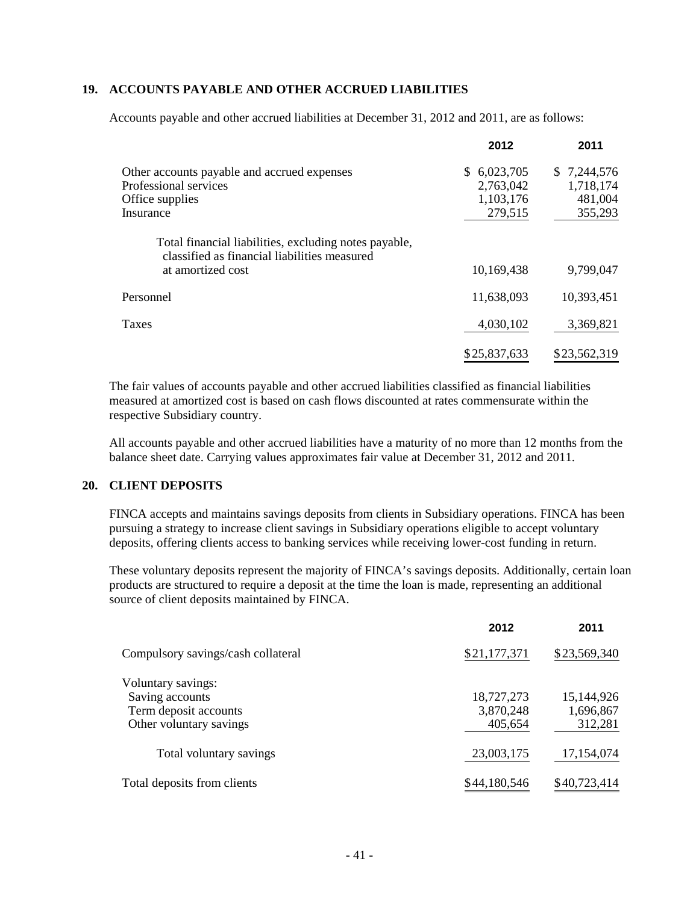#### **19. ACCOUNTS PAYABLE AND OTHER ACCRUED LIABILITIES**

Accounts payable and other accrued liabilities at December 31, 2012 and 2011, are as follows:

|                                                                                                                            | 2012                                                 | 2011                                           |
|----------------------------------------------------------------------------------------------------------------------------|------------------------------------------------------|------------------------------------------------|
| Other accounts payable and accrued expenses<br>Professional services<br>Office supplies<br>Insurance                       | 6,023,705<br>S.<br>2,763,042<br>1,103,176<br>279,515 | \$7,244,576<br>1,718,174<br>481,004<br>355,293 |
| Total financial liabilities, excluding notes payable,<br>classified as financial liabilities measured<br>at amortized cost | 10,169,438                                           | 9,799,047                                      |
| Personnel                                                                                                                  | 11,638,093                                           | 10,393,451                                     |
| Taxes                                                                                                                      | 4,030,102                                            | 3,369,821                                      |
|                                                                                                                            | \$25,837,633                                         | \$23,562,319                                   |

The fair values of accounts payable and other accrued liabilities classified as financial liabilities measured at amortized cost is based on cash flows discounted at rates commensurate within the respective Subsidiary country.

All accounts payable and other accrued liabilities have a maturity of no more than 12 months from the balance sheet date. Carrying values approximates fair value at December 31, 2012 and 2011.

#### **20. CLIENT DEPOSITS**

FINCA accepts and maintains savings deposits from clients in Subsidiary operations. FINCA has been pursuing a strategy to increase client savings in Subsidiary operations eligible to accept voluntary deposits, offering clients access to banking services while receiving lower-cost funding in return.

These voluntary deposits represent the majority of FINCA's savings deposits. Additionally, certain loan products are structured to require a deposit at the time the loan is made, representing an additional source of client deposits maintained by FINCA.

|                                    | 2012         | 2011         |
|------------------------------------|--------------|--------------|
| Compulsory savings/cash collateral | \$21,177,371 | \$23,569,340 |
| Voluntary savings:                 |              |              |
| Saving accounts                    | 18,727,273   | 15,144,926   |
| Term deposit accounts              | 3,870,248    | 1,696,867    |
| Other voluntary savings            | 405,654      | 312,281      |
| Total voluntary savings            | 23,003,175   | 17,154,074   |
| Total deposits from clients        | \$44,180,546 | \$40,723,414 |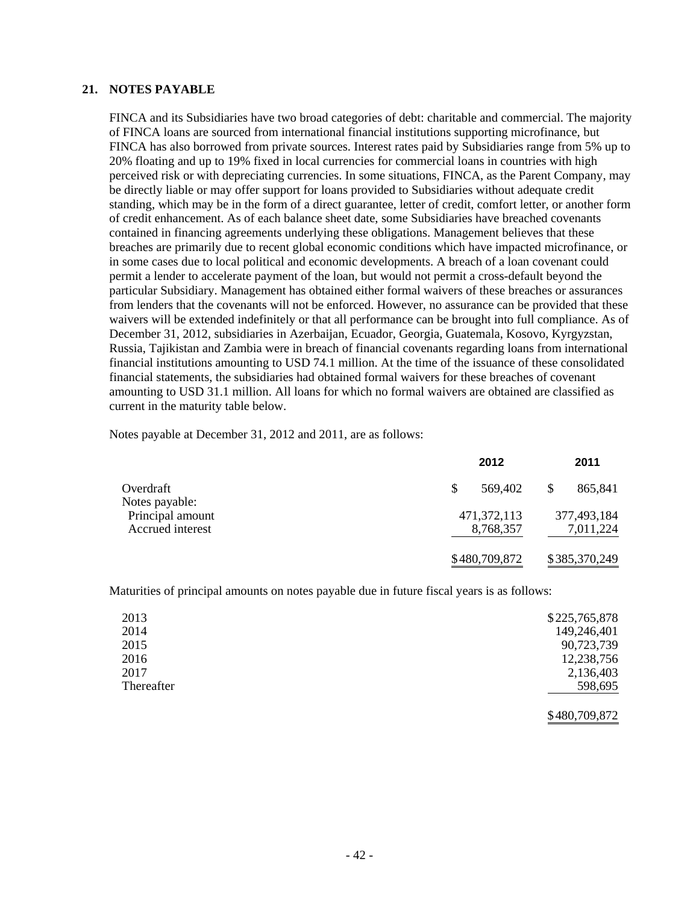#### **21. NOTES PAYABLE**

FINCA and its Subsidiaries have two broad categories of debt: charitable and commercial. The majority of FINCA loans are sourced from international financial institutions supporting microfinance, but FINCA has also borrowed from private sources. Interest rates paid by Subsidiaries range from 5% up to 20% floating and up to 19% fixed in local currencies for commercial loans in countries with high perceived risk or with depreciating currencies. In some situations, FINCA, as the Parent Company, may be directly liable or may offer support for loans provided to Subsidiaries without adequate credit standing, which may be in the form of a direct guarantee, letter of credit, comfort letter, or another form of credit enhancement. As of each balance sheet date, some Subsidiaries have breached covenants contained in financing agreements underlying these obligations. Management believes that these breaches are primarily due to recent global economic conditions which have impacted microfinance, or in some cases due to local political and economic developments. A breach of a loan covenant could permit a lender to accelerate payment of the loan, but would not permit a cross-default beyond the particular Subsidiary. Management has obtained either formal waivers of these breaches or assurances from lenders that the covenants will not be enforced. However, no assurance can be provided that these waivers will be extended indefinitely or that all performance can be brought into full compliance. As of December 31, 2012, subsidiaries in Azerbaijan, Ecuador, Georgia, Guatemala, Kosovo, Kyrgyzstan, Russia, Tajikistan and Zambia were in breach of financial covenants regarding loans from international financial institutions amounting to USD 74.1 million. At the time of the issuance of these consolidated financial statements, the subsidiaries had obtained formal waivers for these breaches of covenant amounting to USD 31.1 million. All loans for which no formal waivers are obtained are classified as current in the maturity table below.

Notes payable at December 31, 2012 and 2011, are as follows:

|                                                        | 2012                       | 2011                     |
|--------------------------------------------------------|----------------------------|--------------------------|
| Overdraft                                              | 569,402<br>S.              | S<br>865,841             |
| Notes payable:<br>Principal amount<br>Accrued interest | 471, 372, 113<br>8,768,357 | 377,493,184<br>7,011,224 |
|                                                        | \$480,709,872              | \$385,370,249            |

Maturities of principal amounts on notes payable due in future fiscal years is as follows:

| 2013       | \$225,765,878 |
|------------|---------------|
| 2014       | 149,246,401   |
| 2015       | 90,723,739    |
| 2016       | 12,238,756    |
| 2017       | 2,136,403     |
| Thereafter | 598,695       |
|            |               |

\$480,709,872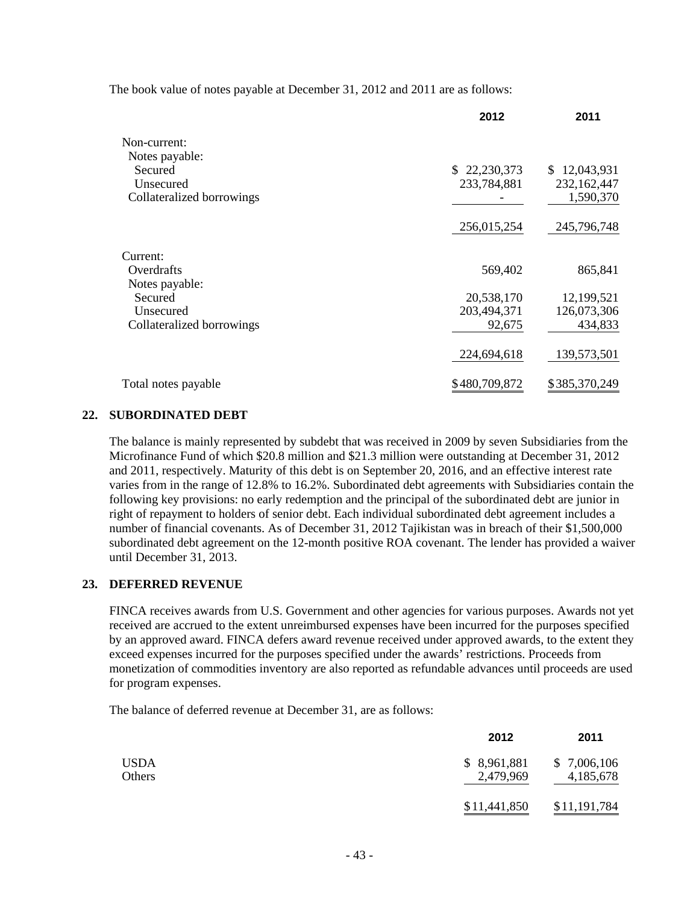The book value of notes payable at December 31, 2012 and 2011 are as follows:

|                           | 2012          | 2011          |
|---------------------------|---------------|---------------|
| Non-current:              |               |               |
| Notes payable:            |               |               |
| Secured                   | \$22,230,373  | \$12,043,931  |
| Unsecured                 | 233,784,881   | 232,162,447   |
| Collateralized borrowings |               | 1,590,370     |
|                           | 256,015,254   | 245,796,748   |
| Current:                  |               |               |
| Overdrafts                | 569,402       | 865,841       |
| Notes payable:            |               |               |
| Secured                   | 20,538,170    | 12,199,521    |
| Unsecured                 | 203,494,371   | 126,073,306   |
| Collateralized borrowings | 92,675        | 434,833       |
|                           | 224,694,618   | 139,573,501   |
| Total notes payable       | \$480,709,872 | \$385,370,249 |

#### **22. SUBORDINATED DEBT**

The balance is mainly represented by subdebt that was received in 2009 by seven Subsidiaries from the Microfinance Fund of which \$20.8 million and \$21.3 million were outstanding at December 31, 2012 and 2011, respectively. Maturity of this debt is on September 20, 2016, and an effective interest rate varies from in the range of 12.8% to 16.2%. Subordinated debt agreements with Subsidiaries contain the following key provisions: no early redemption and the principal of the subordinated debt are junior in right of repayment to holders of senior debt. Each individual subordinated debt agreement includes a number of financial covenants. As of December 31, 2012 Tajikistan was in breach of their \$1,500,000 subordinated debt agreement on the 12-month positive ROA covenant. The lender has provided a waiver until December 31, 2013.

#### **23. DEFERRED REVENUE**

FINCA receives awards from U.S. Government and other agencies for various purposes. Awards not yet received are accrued to the extent unreimbursed expenses have been incurred for the purposes specified by an approved award. FINCA defers award revenue received under approved awards, to the extent they exceed expenses incurred for the purposes specified under the awards' restrictions. Proceeds from monetization of commodities inventory are also reported as refundable advances until proceeds are used for program expenses.

The balance of deferred revenue at December 31, are as follows:

|        | 2012         | 2011         |
|--------|--------------|--------------|
| USDA   | \$ 8,961,881 | \$7,006,106  |
| Others | 2,479,969    | 4,185,678    |
|        | \$11,441,850 | \$11,191,784 |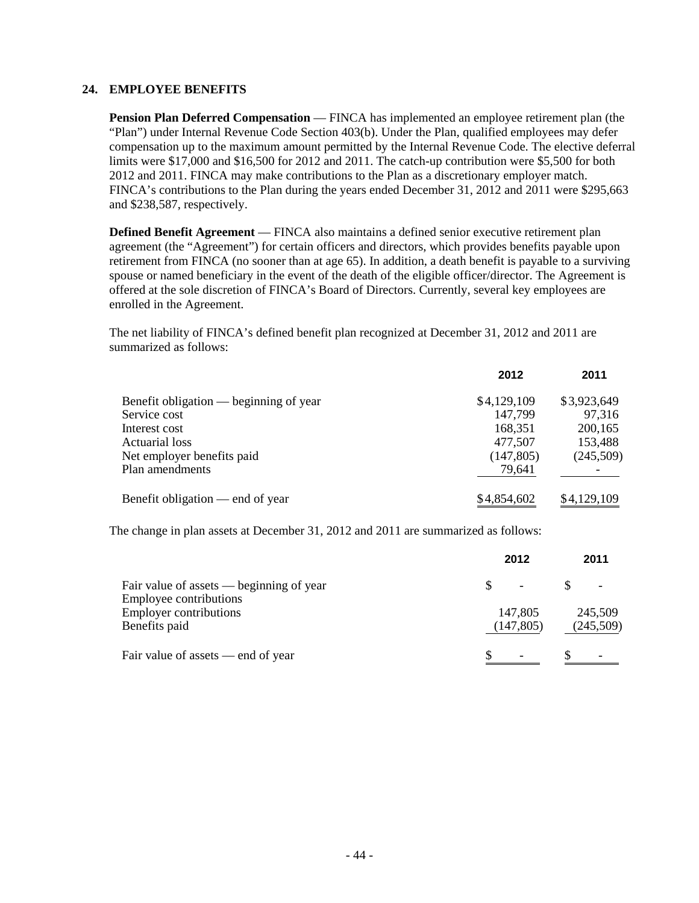#### **24. EMPLOYEE BENEFITS**

**Pension Plan Deferred Compensation** — FINCA has implemented an employee retirement plan (the "Plan") under Internal Revenue Code Section 403(b). Under the Plan, qualified employees may defer compensation up to the maximum amount permitted by the Internal Revenue Code. The elective deferral limits were \$17,000 and \$16,500 for 2012 and 2011. The catch-up contribution were \$5,500 for both 2012 and 2011. FINCA may make contributions to the Plan as a discretionary employer match. FINCA's contributions to the Plan during the years ended December 31, 2012 and 2011 were \$295,663 and \$238,587, respectively.

**Defined Benefit Agreement** — FINCA also maintains a defined senior executive retirement plan agreement (the "Agreement") for certain officers and directors, which provides benefits payable upon retirement from FINCA (no sooner than at age 65). In addition, a death benefit is payable to a surviving spouse or named beneficiary in the event of the death of the eligible officer/director. The Agreement is offered at the sole discretion of FINCA's Board of Directors. Currently, several key employees are enrolled in the Agreement.

The net liability of FINCA's defined benefit plan recognized at December 31, 2012 and 2011 are summarized as follows:

|                                        | 2012        | 2011        |
|----------------------------------------|-------------|-------------|
| Benefit obligation — beginning of year | \$4,129,109 | \$3,923,649 |
| Service cost                           | 147,799     | 97,316      |
| Interest cost                          | 168,351     | 200,165     |
| <b>Actuarial loss</b>                  | 477,507     | 153,488     |
| Net employer benefits paid             | (147, 805)  | (245,509)   |
| Plan amendments                        | 79,641      |             |
| Benefit obligation — end of year       | \$4,854,602 | \$4,129,109 |

The change in plan assets at December 31, 2012 and 2011 are summarized as follows:

|                                                                    | 2012                  | 2011                 |
|--------------------------------------------------------------------|-----------------------|----------------------|
| Fair value of assets — beginning of year<br>Employee contributions |                       |                      |
| <b>Employer contributions</b><br>Benefits paid                     | 147,805<br>(147, 805) | 245,509<br>(245,509) |
| Fair value of assets — end of year                                 |                       |                      |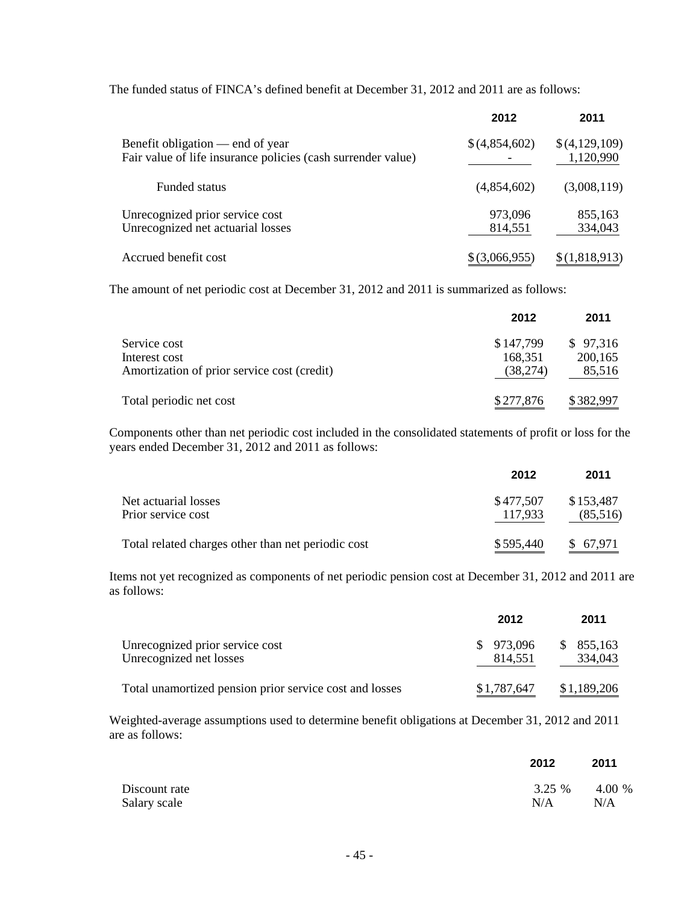The funded status of FINCA's defined benefit at December 31, 2012 and 2011 are as follows:

|                                                                                                  | 2012               | 2011                       |
|--------------------------------------------------------------------------------------------------|--------------------|----------------------------|
| Benefit obligation — end of year<br>Fair value of life insurance policies (cash surrender value) | \$(4,854,602)      | \$(4,129,109)<br>1,120,990 |
| <b>Funded status</b>                                                                             | (4,854,602)        | (3,008,119)                |
| Unrecognized prior service cost<br>Unrecognized net actuarial losses                             | 973,096<br>814,551 | 855,163<br>334,043         |
| Accrued benefit cost                                                                             | $$$ (3,066,955)    | \$(1,818,913)              |

The amount of net periodic cost at December 31, 2012 and 2011 is summarized as follows:

|                                                                              | 2012                             | 2011                          |
|------------------------------------------------------------------------------|----------------------------------|-------------------------------|
| Service cost<br>Interest cost<br>Amortization of prior service cost (credit) | \$147,799<br>168,351<br>(38,274) | \$97,316<br>200,165<br>85,516 |
| Total periodic net cost                                                      | \$277,876                        | \$382,997                     |

Components other than net periodic cost included in the consolidated statements of profit or loss for the years ended December 31, 2012 and 2011 as follows:

|                                                    | 2012      | 2011      |
|----------------------------------------------------|-----------|-----------|
| Net actuarial losses                               | \$477.507 | \$153,487 |
| Prior service cost                                 | 117.933   | (85,516)  |
| Total related charges other than net periodic cost | \$595.440 | \$67.971  |

Items not yet recognized as components of net periodic pension cost at December 31, 2012 and 2011 are as follows:

|                                                            | 2012                 | 2011                     |
|------------------------------------------------------------|----------------------|--------------------------|
| Unrecognized prior service cost<br>Unrecognized net losses | \$973,096<br>814.551 | 855,163<br>S.<br>334,043 |
| Total unamortized pension prior service cost and losses    | \$1,787,647          | \$1,189,206              |

Weighted-average assumptions used to determine benefit obligations at December 31, 2012 and 2011 are as follows:

|               | 2012            | 2011 |
|---------------|-----------------|------|
| Discount rate | $3.25\%$ 4.00 % |      |
| Salary scale  | N/A             | N/A  |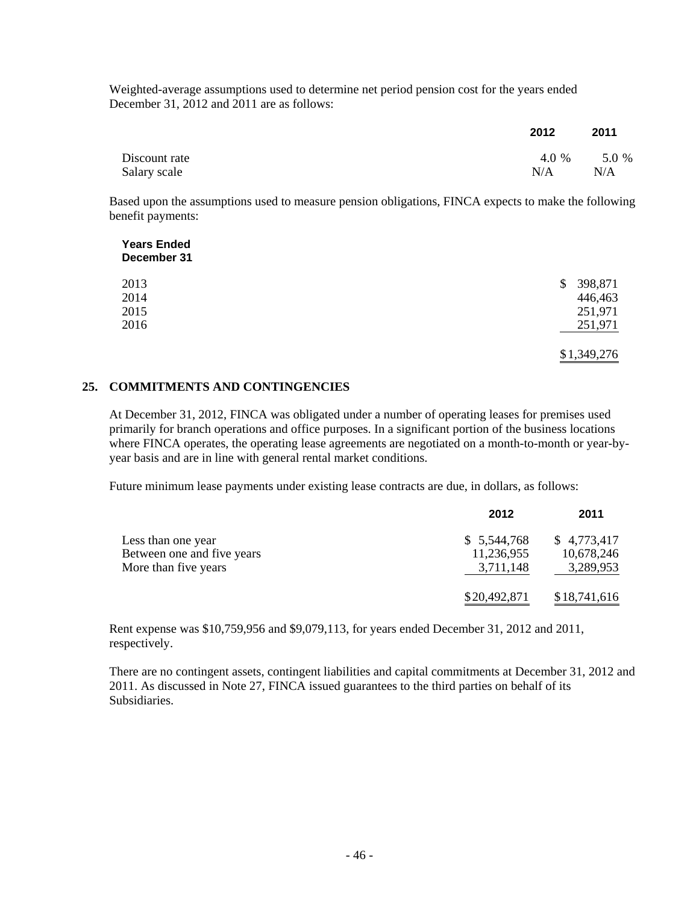Weighted-average assumptions used to determine net period pension cost for the years ended December 31, 2012 and 2011 are as follows:

|               | 2012 | 2011          |
|---------------|------|---------------|
| Discount rate |      | $4.0\%$ 5.0 % |
| Salary scale  | N/A  | N/A           |

Based upon the assumptions used to measure pension obligations, FINCA expects to make the following benefit payments:

| <b>Years Ended</b><br>December 31 |               |
|-----------------------------------|---------------|
| 2013                              | 398,871<br>\$ |
| 2014                              | 446,463       |
| 2015                              | 251,971       |
| 2016                              | 251,971       |
|                                   | \$1,349,276   |

#### **25. COMMITMENTS AND CONTINGENCIES**

At December 31, 2012, FINCA was obligated under a number of operating leases for premises used primarily for branch operations and office purposes. In a significant portion of the business locations where FINCA operates, the operating lease agreements are negotiated on a month-to-month or year-byyear basis and are in line with general rental market conditions.

Future minimum lease payments under existing lease contracts are due, in dollars, as follows:

|                                                  | 2012                      | 2011                      |
|--------------------------------------------------|---------------------------|---------------------------|
| Less than one year<br>Between one and five years | \$5,544,768<br>11,236,955 | \$4,773,417<br>10,678,246 |
| More than five years                             | 3,711,148                 | 3,289,953                 |
|                                                  | \$20,492,871              | \$18,741,616              |

Rent expense was \$10,759,956 and \$9,079,113, for years ended December 31, 2012 and 2011, respectively.

There are no contingent assets, contingent liabilities and capital commitments at December 31, 2012 and 2011. As discussed in Note 27, FINCA issued guarantees to the third parties on behalf of its Subsidiaries.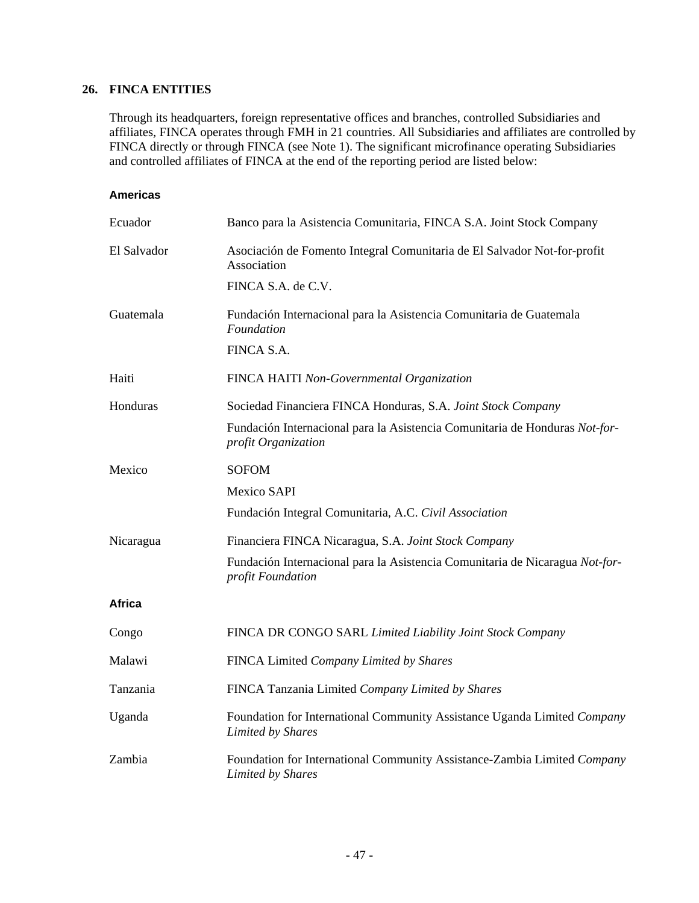#### **26. FINCA ENTITIES**

Through its headquarters, foreign representative offices and branches, controlled Subsidiaries and affiliates, FINCA operates through FMH in 21 countries. All Subsidiaries and affiliates are controlled by FINCA directly or through FINCA (see Note 1). The significant microfinance operating Subsidiaries and controlled affiliates of FINCA at the end of the reporting period are listed below:

#### **Americas**

| Ecuador       | Banco para la Asistencia Comunitaria, FINCA S.A. Joint Stock Company                                 |
|---------------|------------------------------------------------------------------------------------------------------|
| El Salvador   | Asociación de Fomento Integral Comunitaria de El Salvador Not-for-profit<br>Association              |
|               | FINCA S.A. de C.V.                                                                                   |
| Guatemala     | Fundación Internacional para la Asistencia Comunitaria de Guatemala<br>Foundation                    |
|               | FINCA S.A.                                                                                           |
| Haiti         | FINCA HAITI Non-Governmental Organization                                                            |
| Honduras      | Sociedad Financiera FINCA Honduras, S.A. Joint Stock Company                                         |
|               | Fundación Internacional para la Asistencia Comunitaria de Honduras Not-for-<br>profit Organization   |
| Mexico        | <b>SOFOM</b>                                                                                         |
|               | <b>Mexico SAPI</b>                                                                                   |
|               | Fundación Integral Comunitaria, A.C. Civil Association                                               |
| Nicaragua     | Financiera FINCA Nicaragua, S.A. Joint Stock Company                                                 |
|               | Fundación Internacional para la Asistencia Comunitaria de Nicaragua Not-for-<br>profit Foundation    |
| <b>Africa</b> |                                                                                                      |
| Congo         | FINCA DR CONGO SARL Limited Liability Joint Stock Company                                            |
| Malawi        | FINCA Limited Company Limited by Shares                                                              |
| Tanzania      | FINCA Tanzania Limited Company Limited by Shares                                                     |
| Uganda        | Foundation for International Community Assistance Uganda Limited Company<br><b>Limited by Shares</b> |
| Zambia        | Foundation for International Community Assistance-Zambia Limited Company<br>Limited by Shares        |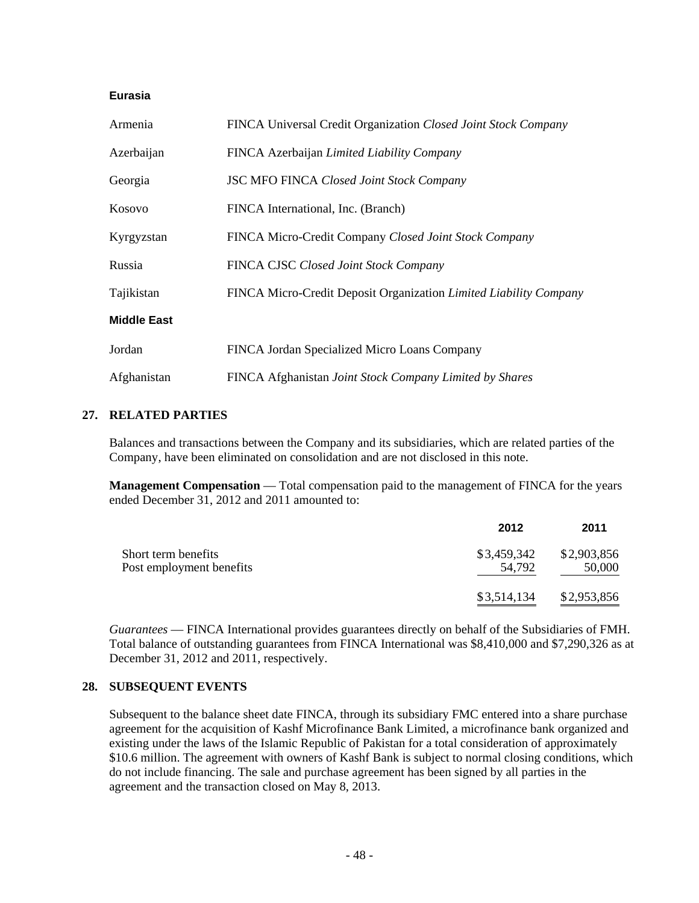#### **Eurasia**

| Armenia            | FINCA Universal Credit Organization Closed Joint Stock Company    |
|--------------------|-------------------------------------------------------------------|
| Azerbaijan         | FINCA Azerbaijan Limited Liability Company                        |
| Georgia            | <b>JSC MFO FINCA Closed Joint Stock Company</b>                   |
| Kosovo             | FINCA International, Inc. (Branch)                                |
| Kyrgyzstan         | FINCA Micro-Credit Company Closed Joint Stock Company             |
| Russia             | FINCA CJSC Closed Joint Stock Company                             |
| Tajikistan         | FINCA Micro-Credit Deposit Organization Limited Liability Company |
| <b>Middle East</b> |                                                                   |
| Jordan             | FINCA Jordan Specialized Micro Loans Company                      |
| Afghanistan        | FINCA Afghanistan Joint Stock Company Limited by Shares           |

#### **27. RELATED PARTIES**

Balances and transactions between the Company and its subsidiaries, which are related parties of the Company, have been eliminated on consolidation and are not disclosed in this note.

**Management Compensation** — Total compensation paid to the management of FINCA for the years ended December 31, 2012 and 2011 amounted to:

|                          | 2012        | 2011        |
|--------------------------|-------------|-------------|
| Short term benefits      | \$3,459,342 | \$2,903,856 |
| Post employment benefits | 54,792      | 50,000      |
|                          | \$3,514,134 | \$2,953,856 |

*Guarantees* — FINCA International provides guarantees directly on behalf of the Subsidiaries of FMH. Total balance of outstanding guarantees from FINCA International was \$8,410,000 and \$7,290,326 as at December 31, 2012 and 2011, respectively.

#### **28. SUBSEQUENT EVENTS**

Subsequent to the balance sheet date FINCA, through its subsidiary FMC entered into a share purchase agreement for the acquisition of Kashf Microfinance Bank Limited, a microfinance bank organized and existing under the laws of the Islamic Republic of Pakistan for a total consideration of approximately \$10.6 million. The agreement with owners of Kashf Bank is subject to normal closing conditions, which do not include financing. The sale and purchase agreement has been signed by all parties in the agreement and the transaction closed on May 8, 2013.